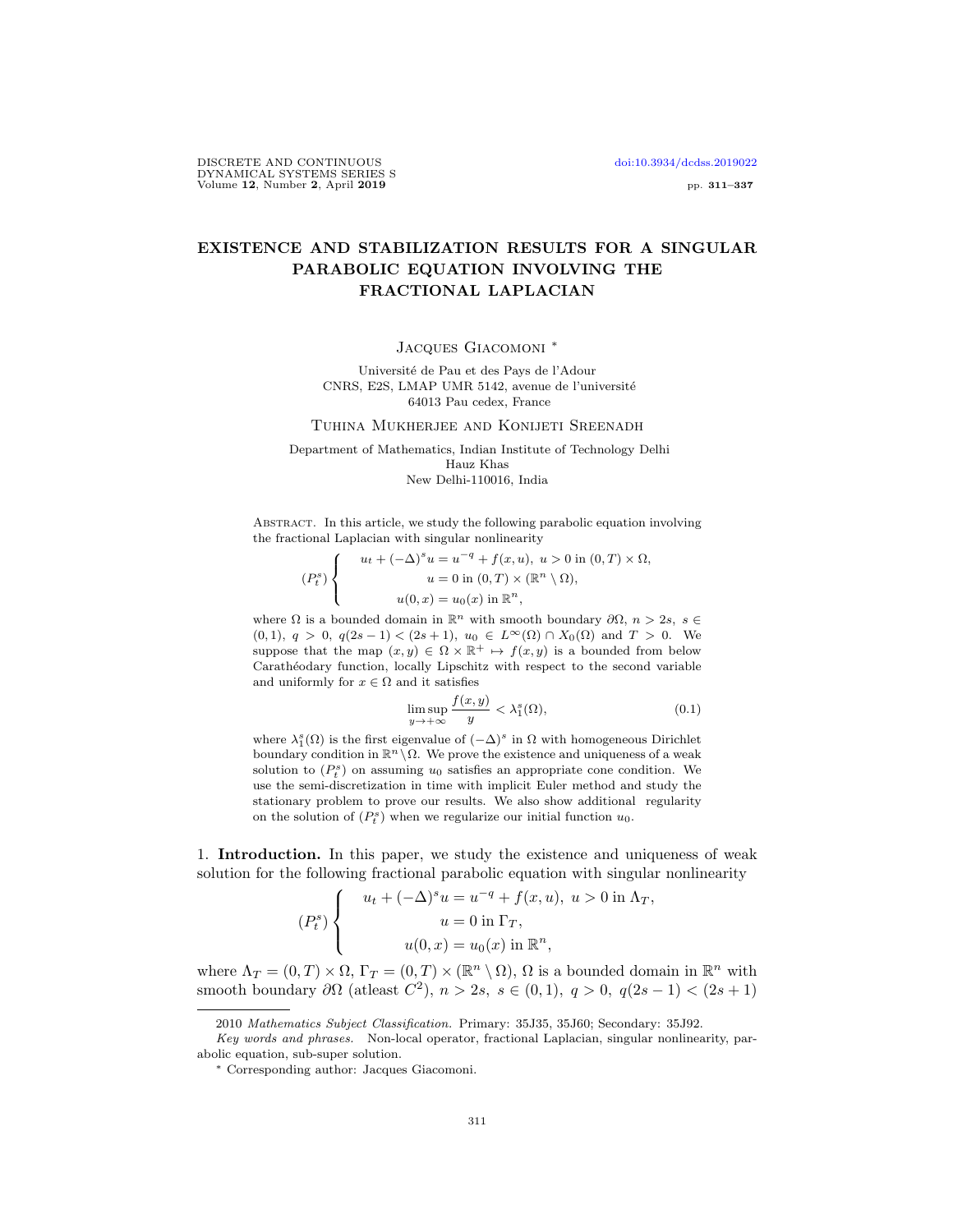DISCRETE AND CONTINUOUS doi:10.3934/dcdss.2019022 DYNAMICAL SYSTEMS SERIES S Volume 12, Number 2, April 2019 pp. 311–337

## EXISTENCE AND STABILIZATION RESULTS FOR A SINGULAR PARABOLIC EQUATION INVOLVING THE FRACTIONAL LAPLACIAN

Jacques Giacomoni <sup>∗</sup>

Université de Pau et des Pays de l'Adour CNRS, E2S, LMAP UMR 5142, avenue de l'universit´e 64013 Pau cedex, France

Tuhina Mukherjee and Konijeti Sreenadh

Department of Mathematics, Indian Institute of Technology Delhi Hauz Khas New Delhi-110016, India

Abstract. In this article, we study the following parabolic equation involving the fractional Laplacian with singular nonlinearity

$$
(P_t^s) \begin{cases} u_t + (-\Delta)^s u = u^{-q} + f(x, u), u > 0 \text{ in } (0, T) \times \Omega, \\ u = 0 \text{ in } (0, T) \times (\mathbb{R}^n \setminus \Omega), \\ u(0, x) = u_0(x) \text{ in } \mathbb{R}^n, \end{cases}
$$

where  $\Omega$  is a bounded domain in  $\mathbb{R}^n$  with smooth boundary  $\partial\Omega$ ,  $n > 2s$ ,  $s \in$ (0, 1),  $q > 0$ ,  $q(2s-1) < (2s+1)$ ,  $u_0 \in L^{\infty}(\Omega) \cap X_0(\Omega)$  and  $T > 0$ . We suppose that the map  $(x, y) \in \Omega \times \mathbb{R}^+ \mapsto f(x, y)$  is a bounded from below Carathéodary function, locally Lipschitz with respect to the second variable and uniformly for  $x \in \Omega$  and it satisfies

$$
\limsup_{y \to +\infty} \frac{f(x, y)}{y} < \lambda_1^s(\Omega),\tag{0.1}
$$

where  $\lambda_1^s(\Omega)$  is the first eigenvalue of  $(-\Delta)^s$  in  $\Omega$  with homogeneous Dirichlet boundary condition in  $\mathbb{R}^n \setminus \Omega$ . We prove the existence and uniqueness of a weak solution to  $(P_t^s)$  on assuming  $u_0$  satisfies an appropriate cone condition. We use the semi-discretization in time with implicit Euler method and study the stationary problem to prove our results. We also show additional regularity on the solution of  $(P_t^s)$  when we regularize our initial function  $u_0$ .

1. Introduction. In this paper, we study the existence and uniqueness of weak solution for the following fractional parabolic equation with singular nonlinearity

$$
(P_t^s)\begin{cases}\nu_t + (-\Delta)^s u = u^{-q} + f(x, u), u > 0 \text{ in } \Lambda_T, \\
u = 0 \text{ in } \Gamma_T, \\
u(0, x) = u_0(x) \text{ in } \mathbb{R}^n,\n\end{cases}
$$

where  $\Lambda_T = (0, T) \times \Omega$ ,  $\Gamma_T = (0, T) \times (\mathbb{R}^n \setminus \Omega)$ ,  $\Omega$  is a bounded domain in  $\mathbb{R}^n$  with smooth boundary  $\partial\Omega$  (at least  $C^2$ ),  $n > 2s$ ,  $s \in (0,1)$ ,  $q > 0$ ,  $q(2s - 1) < (2s + 1)$ 

<sup>2010</sup> Mathematics Subject Classification. Primary: 35J35, 35J60; Secondary: 35J92.

Key words and phrases. Non-local operator, fractional Laplacian, singular nonlinearity, parabolic equation, sub-super solution.

<sup>∗</sup> Corresponding author: Jacques Giacomoni.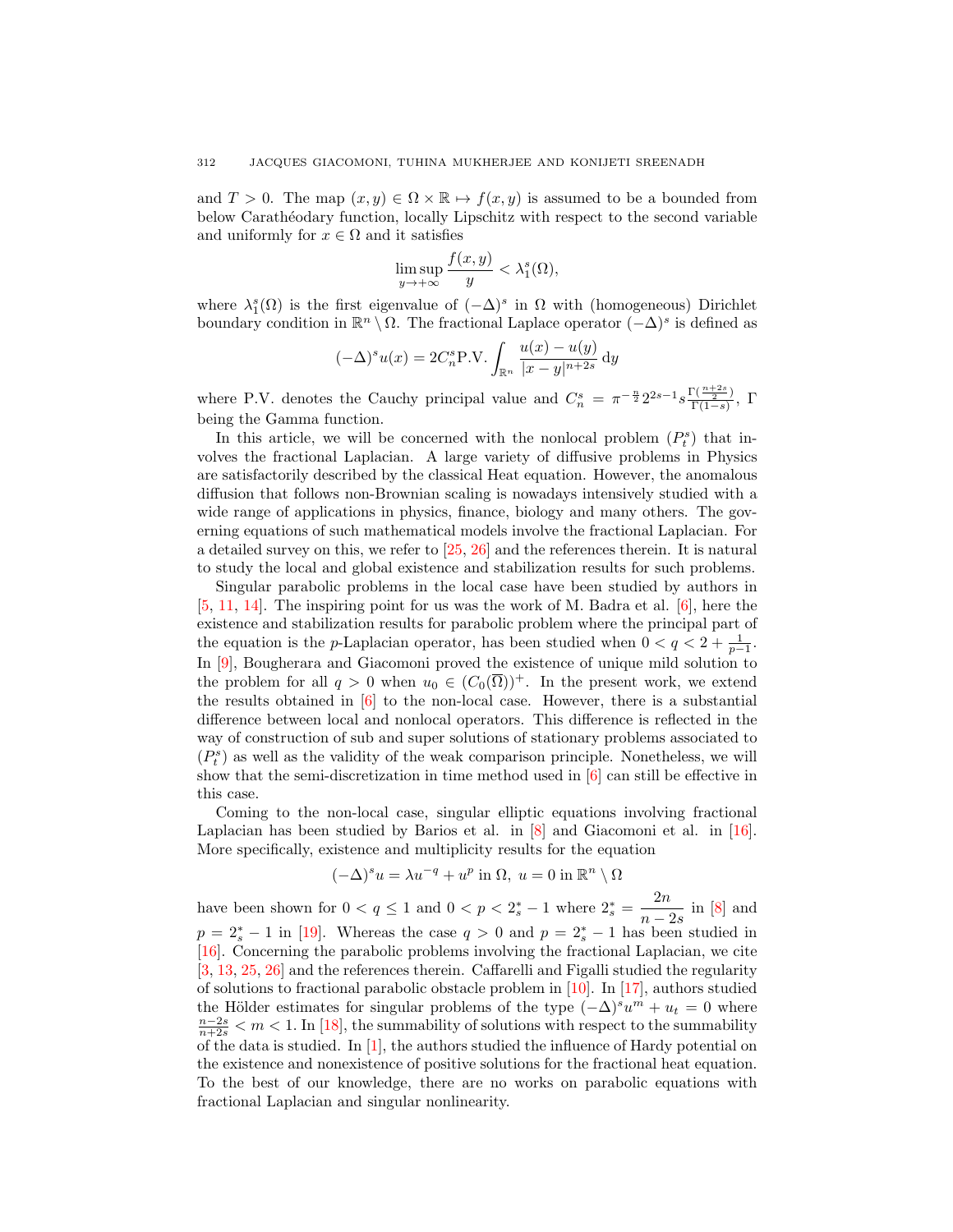and  $T > 0$ . The map  $(x, y) \in \Omega \times \mathbb{R} \mapsto f(x, y)$  is assumed to be a bounded from below Carathéodary function, locally Lipschitz with respect to the second variable and uniformly for  $x \in \Omega$  and it satisfies

$$
\limsup_{y \to +\infty} \frac{f(x, y)}{y} < \lambda_1^s(\Omega),
$$

where  $\lambda_1^s(\Omega)$  is the first eigenvalue of  $(-\Delta)^s$  in  $\Omega$  with (homogeneous) Dirichlet boundary condition in  $\mathbb{R}^n \setminus \Omega$ . The fractional Laplace operator  $(-\Delta)^s$  is defined as

$$
(-\Delta)^s u(x) = 2C_n^s P.V. \int_{\mathbb{R}^n} \frac{u(x) - u(y)}{|x - y|^{n+2s}} dy
$$

where P.V. denotes the Cauchy principal value and  $C_n^s = \pi^{-\frac{n}{2}} 2^{2s-1} s \frac{\Gamma(\frac{n+2s}{2})}{\Gamma(1-s)}$  $\frac{\sqrt{-2}}{\Gamma(1-s)}, \Gamma$ being the Gamma function.

In this article, we will be concerned with the nonlocal problem  $(P_t^s)$  that involves the fractional Laplacian. A large variety of diffusive problems in Physics are satisfactorily described by the classical Heat equation. However, the anomalous diffusion that follows non-Brownian scaling is nowadays intensively studied with a wide range of applications in physics, finance, biology and many others. The governing equations of such mathematical models involve the fractional Laplacian. For a detailed survey on this, we refer to [25, 26] and the references therein. It is natural to study the local and global existence and stabilization results for such problems.

Singular parabolic problems in the local case have been studied by authors in [5, 11, 14]. The inspiring point for us was the work of M. Badra et al. [6], here the existence and stabilization results for parabolic problem where the principal part of the equation is the p-Laplacian operator, has been studied when  $0 < q < 2 + \frac{1}{p-1}$ . In [9], Bougherara and Giacomoni proved the existence of unique mild solution to the problem for all  $q > 0$  when  $u_0 \in (C_0(\overline{\Omega}))^+$ . In the present work, we extend the results obtained in [6] to the non-local case. However, there is a substantial difference between local and nonlocal operators. This difference is reflected in the way of construction of sub and super solutions of stationary problems associated to  $\left( P_{t}^{s}\right)$  as well as the validity of the weak comparison principle. Nonetheless, we will show that the semi-discretization in time method used in [6] can still be effective in this case.

Coming to the non-local case, singular elliptic equations involving fractional Laplacian has been studied by Barios et al. in [8] and Giacomoni et al. in [16]. More specifically, existence and multiplicity results for the equation

$$
(-\Delta)^s u = \lambda u^{-q} + u^p \text{ in } \Omega, u = 0 \text{ in } \mathbb{R}^n \setminus \Omega
$$

have been shown for  $0 < q \leq 1$  and  $0 < p < 2_s^* - 1$  where  $2_s^* = \frac{2n}{n}$  $\frac{2n}{n-2s}$  in [8] and  $p = 2_s^* - 1$  in [19]. Whereas the case  $q > 0$  and  $p = 2_s^* - 1$  has been studied in [16]. Concerning the parabolic problems involving the fractional Laplacian, we cite [3, 13, 25, 26] and the references therein. Caffarelli and Figalli studied the regularity of solutions to fractional parabolic obstacle problem in [10]. In [17], authors studied the Hölder estimates for singular problems of the type  $(-\Delta)^s u^m + u_t = 0$  where  $\frac{n-2s}{n+2s} < m < 1$ . In [18], the summability of solutions with respect to the summability of the data is studied. In  $[1]$ , the authors studied the influence of Hardy potential on the existence and nonexistence of positive solutions for the fractional heat equation. To the best of our knowledge, there are no works on parabolic equations with fractional Laplacian and singular nonlinearity.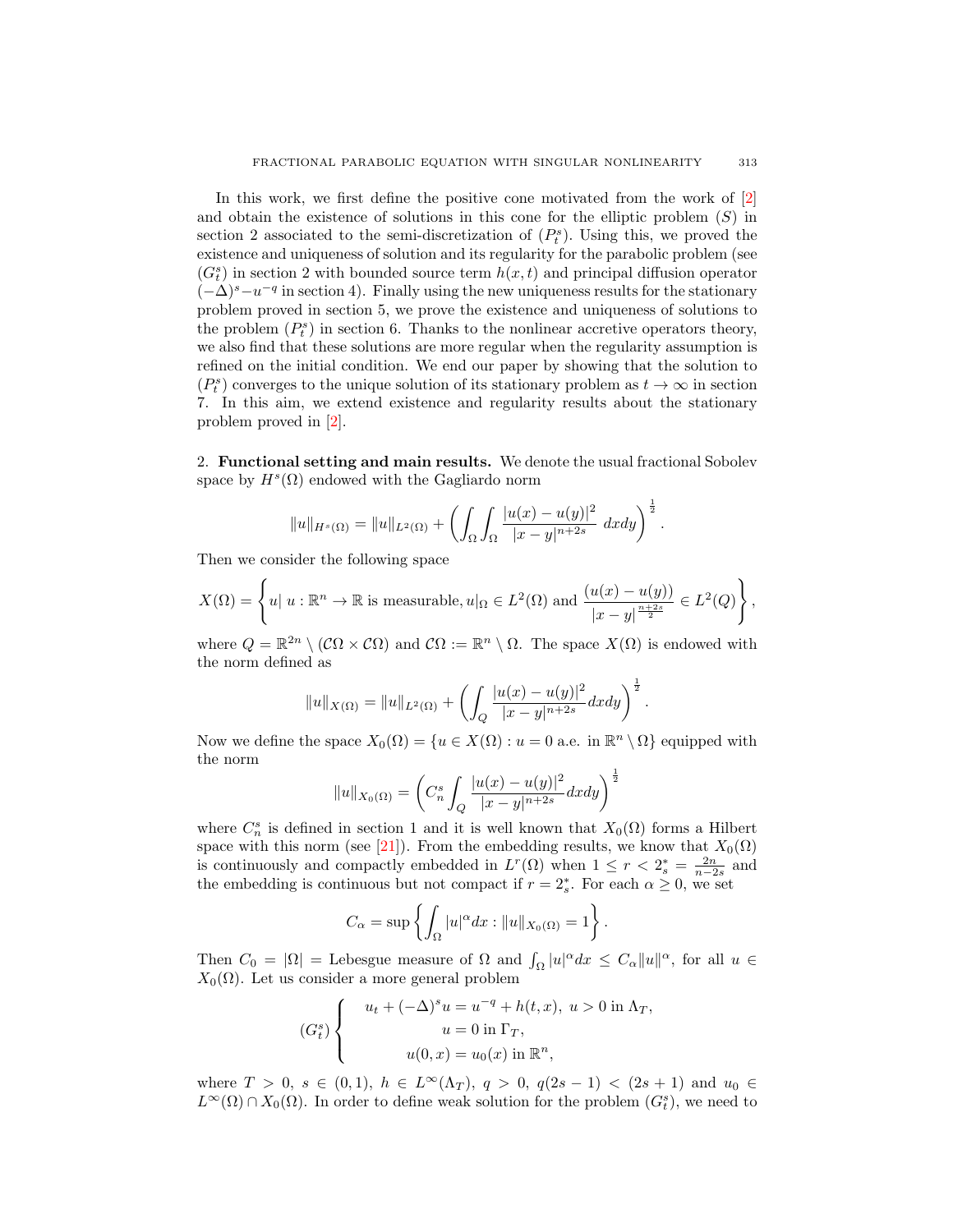In this work, we first define the positive cone motivated from the work of  $[2]$ and obtain the existence of solutions in this cone for the elliptic problem  $(S)$  in section 2 associated to the semi-discretization of  $(P_t^s)$ . Using this, we proved the existence and uniqueness of solution and its regularity for the parabolic problem (see  $(G_t^s)$  in section 2 with bounded source term  $h(x, t)$  and principal diffusion operator  $(-\Delta)^s - u^{-q}$  in section 4). Finally using the new uniqueness results for the stationary problem proved in section 5, we prove the existence and uniqueness of solutions to the problem  $(P_t^s)$  in section 6. Thanks to the nonlinear accretive operators theory, we also find that these solutions are more regular when the regularity assumption is refined on the initial condition. We end our paper by showing that the solution to  $(P_t^s)$  converges to the unique solution of its stationary problem as  $t \to \infty$  in section 7. In this aim, we extend existence and regularity results about the stationary problem proved in [2].

2. Functional setting and main results. We denote the usual fractional Sobolev space by  $H^s(\Omega)$  endowed with the Gagliardo norm

$$
||u||_{H^{s}(\Omega)} = ||u||_{L^{2}(\Omega)} + \left(\int_{\Omega} \int_{\Omega} \frac{|u(x) - u(y)|^{2}}{|x - y|^{n+2s}} dx dy\right)^{\frac{1}{2}}.
$$

Then we consider the following space

$$
X(\Omega) = \left\{ u \mid u : \mathbb{R}^n \to \mathbb{R} \text{ is measurable}, u|_{\Omega} \in L^2(\Omega) \text{ and } \frac{(u(x) - u(y))}{|x - y|^{\frac{n + 2s}{2}}} \in L^2(Q) \right\},\
$$

where  $Q = \mathbb{R}^{2n} \setminus (\mathcal{C}\Omega \times \mathcal{C}\Omega)$  and  $\mathcal{C}\Omega := \mathbb{R}^n \setminus \Omega$ . The space  $X(\Omega)$  is endowed with the norm defined as

$$
||u||_{X(\Omega)} = ||u||_{L^2(\Omega)} + \left( \int_Q \frac{|u(x) - u(y)|^2}{|x - y|^{n+2s}} dx dy \right)^{\frac{1}{2}}.
$$

Now we define the space  $X_0(\Omega) = \{u \in X(\Omega) : u = 0 \text{ a.e. in } \mathbb{R}^n \setminus \Omega\}$  equipped with the norm

$$
||u||_{X_0(\Omega)} = \left(C_n^s \int_Q \frac{|u(x) - u(y)|^2}{|x - y|^{n+2s}} dx dy\right)^{\frac{1}{2}}
$$

where  $C_n^s$  is defined in section 1 and it is well known that  $X_0(\Omega)$  forms a Hilbert space with this norm (see [21]). From the embedding results, we know that  $X_0(\Omega)$ is continuously and compactly embedded in  $L^r(\Omega)$  when  $1 \leq r < 2_s^* = \frac{2n}{n-2s}$  and the embedding is continuous but not compact if  $r = 2_s^*$ . For each  $\alpha \geq 0$ , we set

$$
C_{\alpha} = \sup \left\{ \int_{\Omega} |u|^{\alpha} dx : ||u||_{X_0(\Omega)} = 1 \right\}.
$$

Then  $C_0 = |\Omega|$  = Lebesgue measure of  $\Omega$  and  $\int_{\Omega} |u|^{\alpha} dx \leq C_{\alpha} ||u||^{\alpha}$ , for all  $u \in$  $X_0(\Omega)$ . Let us consider a more general problem

$$
(Gts)\begin{cases}\nu_t + (-\Delta)^s u = u^{-q} + h(t, x), u > 0 \text{ in } \Lambda_T, \\
u = 0 \text{ in } \Gamma_T, \\
u(0, x) = u_0(x) \text{ in } \mathbb{R}^n,\n\end{cases}
$$

where  $T > 0$ ,  $s \in (0, 1)$ ,  $h \in L^{\infty}(\Lambda_T)$ ,  $q > 0$ ,  $q(2s - 1) < (2s + 1)$  and  $u_0 \in$  $L^{\infty}(\Omega) \cap X_0(\Omega)$ . In order to define weak solution for the problem  $(G_t^s)$ , we need to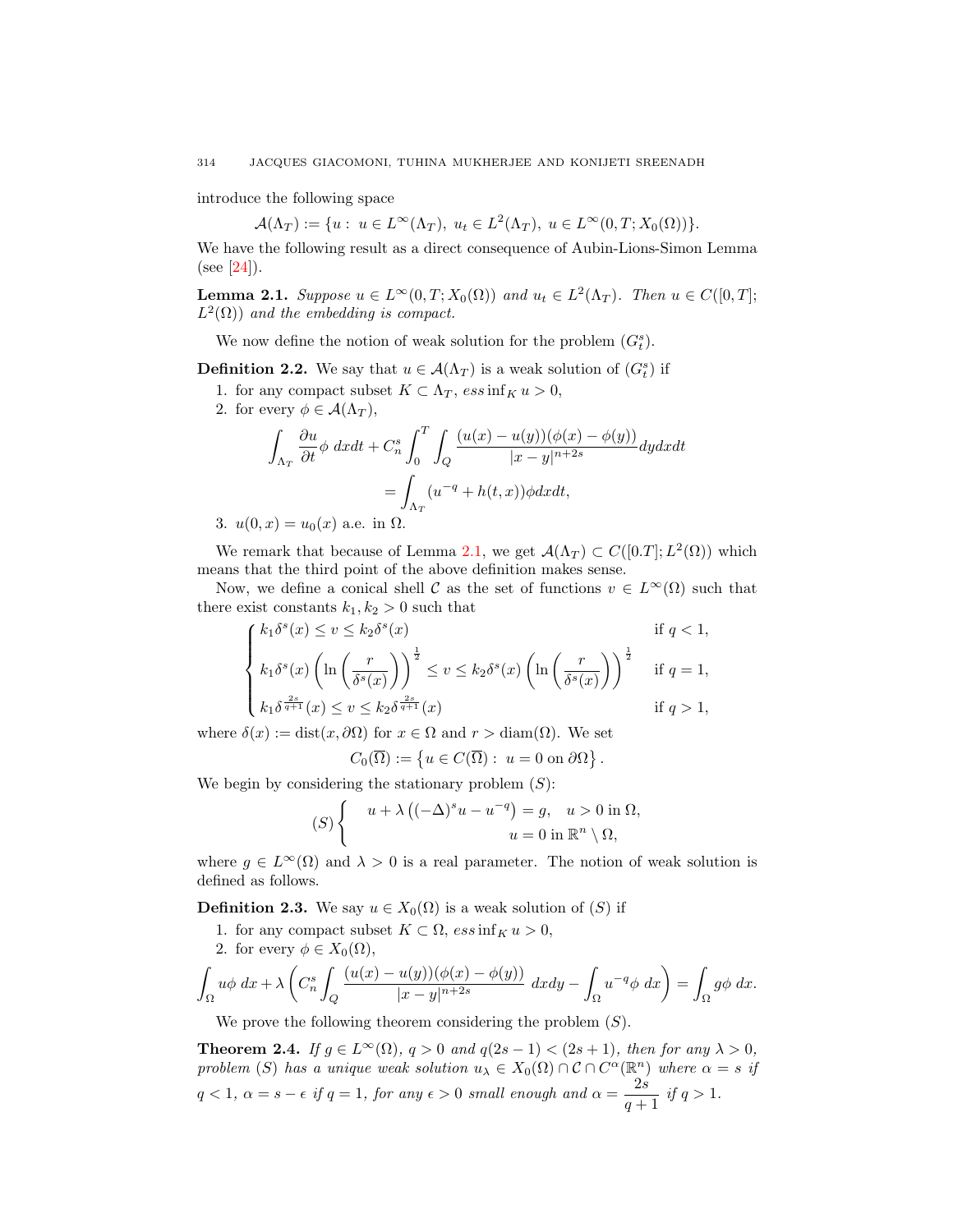introduce the following space

$$
\mathcal{A}(\Lambda_T) := \{ u : u \in L^{\infty}(\Lambda_T), u_t \in L^2(\Lambda_T), u \in L^{\infty}(0,T;X_0(\Omega)) \}.
$$

We have the following result as a direct consequence of Aubin-Lions-Simon Lemma  $(see [24]).$ 

**Lemma 2.1.** *Suppose*  $u \in L^{\infty}(0,T; X_0(\Omega))$  *and*  $u_t \in L^2(\Lambda_T)$ *. Then*  $u \in C([0,T];$  $L^2(\Omega)$  and the embedding is compact.

We now define the notion of weak solution for the problem  $(G_t^s)$ .

**Definition 2.2.** We say that  $u \in \mathcal{A}(\Lambda_T)$  is a weak solution of  $(G_t^s)$  if

- 1. for any compact subset  $K \subset \Lambda_T$ ,  $ess \inf_K u > 0$ ,
- 2. for every  $\phi \in \mathcal{A}(\Lambda_T)$ ,

$$
\int_{\Lambda_T} \frac{\partial u}{\partial t} \phi \, dxdt + C_n^s \int_0^T \int_Q \frac{(u(x) - u(y))(\phi(x) - \phi(y))}{|x - y|^{n+2s}} dydxdt
$$

$$
= \int_{\Lambda_T} (u^{-q} + h(t, x)) \phi dxdt,
$$

3. 
$$
u(0, x) = u_0(x)
$$
 a.e. in  $\Omega$ .

We remark that because of Lemma 2.1, we get  $\mathcal{A}(\Lambda_T) \subset C([0,T]; L^2(\Omega))$  which means that the third point of the above definition makes sense.

Now, we define a conical shell C as the set of functions  $v \in L^{\infty}(\Omega)$  such that there exist constants  $k_1, k_2 > 0$  such that

$$
\begin{cases} k_1 \delta^s(x) \le v \le k_2 \delta^s(x) & \text{if } q < 1, \\ k_1 \delta^s(x) \left( \ln \left( \frac{r}{\delta^s(x)} \right) \right)^{\frac{1}{2}} \le v \le k_2 \delta^s(x) \left( \ln \left( \frac{r}{\delta^s(x)} \right) \right)^{\frac{1}{2}} & \text{if } q = 1, \\ k_1 \delta^{\frac{2s}{q+1}}(x) \le v \le k_2 \delta^{\frac{2s}{q+1}}(x) & \text{if } q > 1, \end{cases}
$$

where  $\delta(x) := \text{dist}(x, \partial \Omega)$  for  $x \in \Omega$  and  $r > \text{diam}(\Omega)$ . We set

$$
C_0(\overline{\Omega}) := \{ u \in C(\overline{\Omega}) : u = 0 \text{ on } \partial \Omega \}.
$$

We begin by considering the stationary problem  $(S)$ :

$$
(S) \begin{cases} u + \lambda \left( (-\Delta)^s u - u^{-q} \right) = g, & u > 0 \text{ in } \Omega, \\ u = 0 \text{ in } \mathbb{R}^n \setminus \Omega, \end{cases}
$$

where  $g \in L^{\infty}(\Omega)$  and  $\lambda > 0$  is a real parameter. The notion of weak solution is defined as follows.

**Definition 2.3.** We say  $u \in X_0(\Omega)$  is a weak solution of  $(S)$  if

- 1. for any compact subset  $K \subset \Omega$ ,  $ess \inf_K u > 0$ ,
- 2. for every  $\phi \in X_0(\Omega)$ ,

$$
\int_{\Omega} u\phi \, dx + \lambda \left( C_n^s \int_Q \frac{(u(x) - u(y))(\phi(x) - \phi(y))}{|x - y|^{n+2s}} \, dxdy - \int_{\Omega} u^{-q} \phi \, dx \right) = \int_{\Omega} g\phi \, dx.
$$

We prove the following theorem considering the problem  $(S)$ .

**Theorem 2.4.** *If*  $g \in L^{\infty}(\Omega)$ *,*  $q > 0$  *and*  $q(2s - 1) < (2s + 1)$ *, then for any*  $\lambda > 0$ *, problem* (S) has a unique weak solution  $u_{\lambda} \in X_0(\Omega) \cap C \cap C^{\alpha}(\mathbb{R}^n)$  where  $\alpha = s$  if  $q < 1, \ \alpha = s - \epsilon \ \textit{if} \ q = 1, \ \textit{for any} \ \epsilon > 0 \ \textit{small enough and} \ \alpha = \frac{2s}{\sqrt{2}}$  $\frac{20}{q+1}$  if  $q > 1$ .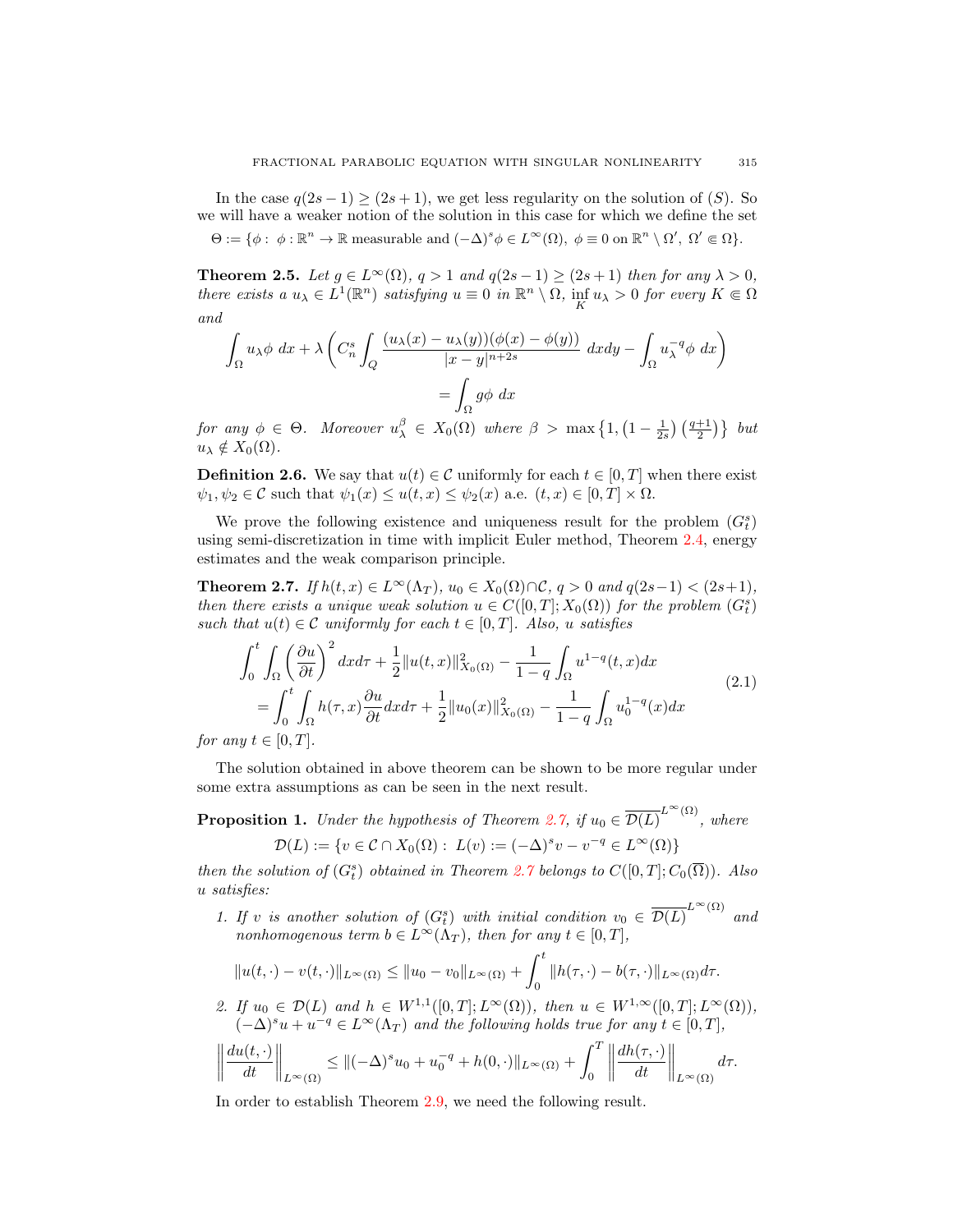In the case  $q(2s-1) \ge (2s+1)$ , we get less regularity on the solution of  $(S)$ . So we will have a weaker notion of the solution in this case for which we define the set

 $\Theta := \{ \phi : \phi : \mathbb{R}^n \to \mathbb{R} \text{ measurable and } (-\Delta)^s \phi \in L^\infty(\Omega), \ \phi \equiv 0 \text{ on } \mathbb{R}^n \setminus \Omega', \ \Omega' \in \Omega \}.$ 

**Theorem 2.5.** *Let*  $g \in L^{\infty}(\Omega)$ *,*  $q > 1$  *and*  $q(2s - 1) \geq (2s + 1)$  *then for any*  $\lambda > 0$ *, there exists*  $a u_{\lambda} \in L^{1}(\mathbb{R}^{n})$  *satisfying*  $u \equiv 0$  *in*  $\mathbb{R}^{n} \setminus \Omega$ *,*  $\inf_{K} u_{\lambda} > 0$  *for every*  $K \subseteq \Omega$ *and*

$$
\int_{\Omega} u_{\lambda} \phi \, dx + \lambda \left( C_n^s \int_Q \frac{(u_{\lambda}(x) - u_{\lambda}(y))(\phi(x) - \phi(y))}{|x - y|^{n+2s}} \, dxdy - \int_{\Omega} u_{\lambda}^{-q} \phi \, dx \right)
$$

$$
= \int_{\Omega} g \phi \, dx
$$

*for any*  $\phi \in \Theta$ . Moreover  $u_{\lambda}^{\beta} \in X_0(\Omega)$  where  $\beta > \max\left\{1, \left(1 - \frac{1}{2s}\right)\left(\frac{q+1}{2}\right)\right\}$  but  $u_{\lambda} \notin X_0(\Omega)$ .

**Definition 2.6.** We say that  $u(t) \in \mathcal{C}$  uniformly for each  $t \in [0, T]$  when there exist  $\psi_1, \psi_2 \in \mathcal{C}$  such that  $\psi_1(x) \leq u(t, x) \leq \psi_2(x)$  a.e.  $(t, x) \in [0, T] \times \Omega$ .

We prove the following existence and uniqueness result for the problem  $(G_t^s)$ using semi-discretization in time with implicit Euler method, Theorem 2.4, energy estimates and the weak comparison principle.

**Theorem 2.7.** *If*  $h(t, x) \in L^{\infty}(\Lambda_T)$ *,*  $u_0 \in X_0(\Omega) \cap C$ *, q > 0 and q*(2*s*-1) < (2*s*+1)*, then there exists a unique weak solution*  $u \in C([0, T]; X_0(\Omega))$  *for the problem*  $(G_t^s)$ *such that*  $u(t) \in \mathcal{C}$  *uniformly for each*  $t \in [0, T]$ *. Also,* u *satisfies* 

$$
\int_{0}^{t} \int_{\Omega} \left(\frac{\partial u}{\partial t}\right)^{2} dx d\tau + \frac{1}{2} \|u(t, x)\|_{X_{0}(\Omega)}^{2} - \frac{1}{1 - q} \int_{\Omega} u^{1 - q}(t, x) dx
$$
\n
$$
= \int_{0}^{t} \int_{\Omega} h(\tau, x) \frac{\partial u}{\partial t} dx d\tau + \frac{1}{2} \|u_{0}(x)\|_{X_{0}(\Omega)}^{2} - \frac{1}{1 - q} \int_{\Omega} u_{0}^{1 - q}(x) dx
$$
\n(2.1)

*for any*  $t \in [0, T]$ *.* 

The solution obtained in above theorem can be shown to be more regular under some extra assumptions as can be seen in the next result.

**Proposition 1.** *Under the hypothesis of Theorem 2.7, if*  $u_0 \in \overline{\mathcal{D}(L)}^{L^{\infty}(\Omega)}$ , where

$$
\mathcal{D}(L) := \{ v \in \mathcal{C} \cap X_0(\Omega) : L(v) := (-\Delta)^s v - v^{-q} \in L^{\infty}(\Omega) \}
$$

*then the solution of*  $(G_t^s)$  *obtained in Theorem 2.7 belongs to*  $C([0,T]; C_0(\overline{\Omega}))$ *. Also* u *satisfies:*

1. If v is another solution of  $(G_t^s)$  with initial condition  $v_0 \in \overline{\mathcal{D}(L)}^{L^{\infty}(\Omega)}$  and *nonhomogenous term*  $b \in L^{\infty}(\Lambda_T)$ *, then for any*  $t \in [0, T]$ *,* 

$$
||u(t,\cdot)-v(t,\cdot)||_{L^{\infty}(\Omega)} \leq ||u_0-v_0||_{L^{\infty}(\Omega)} + \int_0^t ||h(\tau,\cdot)-b(\tau,\cdot)||_{L^{\infty}(\Omega)}d\tau.
$$

2. If  $u_0 \in \mathcal{D}(L)$  and  $h \in W^{1,1}([0,T];L^{\infty}(\Omega))$ *, then*  $u \in W^{1,\infty}([0,T];L^{\infty}(\Omega))$ *,*  $(-\Delta)^s u + u^{-q} \in L^\infty(\Lambda_T)$  *and the following holds true for any*  $t \in [0,T]$ *,* 

$$
\left\|\frac{du(t,\cdot)}{dt}\right\|_{L^{\infty}(\Omega)} \leq \|(-\Delta)^{s}u_0 + u_0^{-q} + h(0,\cdot)\|_{L^{\infty}(\Omega)} + \int_0^T \left\|\frac{dh(\tau,\cdot)}{dt}\right\|_{L^{\infty}(\Omega)} d\tau.
$$

In order to establish Theorem 2.9, we need the following result.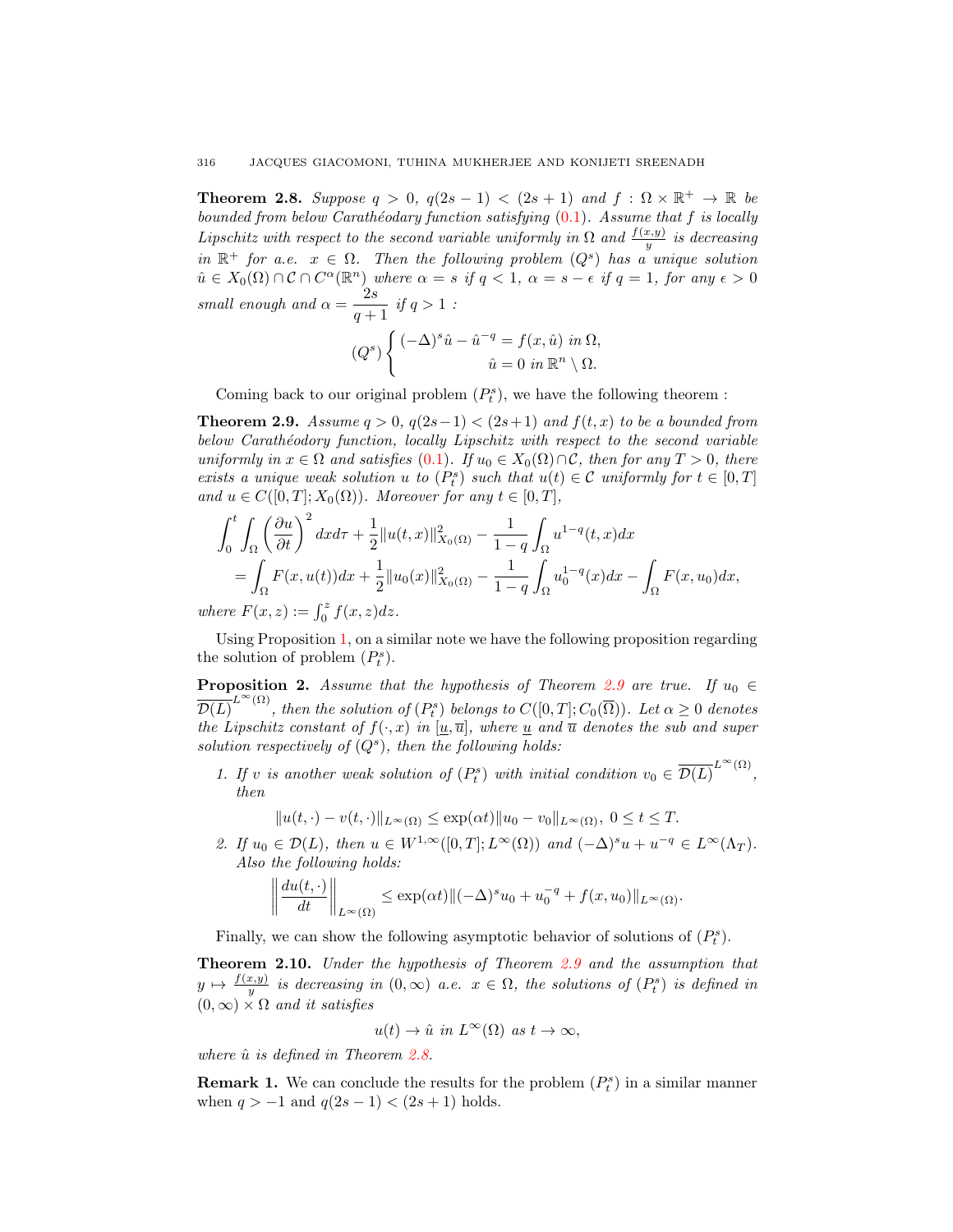**Theorem 2.8.** Suppose  $q > 0$ ,  $q(2s - 1) < (2s + 1)$  and  $f : \Omega \times \mathbb{R}^+ \to \mathbb{R}$  be *bounded from below Carath´eodary function satisfying* (0.1)*. Assume that* f *is locally Lipschitz with respect to the second variable uniformly in*  $\Omega$  *and*  $\frac{f(x,y)}{y}$  *is decreasing*  $in \mathbb{R}^+$  *for a.e.*  $x \in \Omega$ . Then the following problem  $(Q^s)$  has a unique solution  $\hat{u} \in X_0(\Omega) \cap \mathcal{C} \cap C^{\alpha}(\mathbb{R}^n)$  where  $\alpha = s$  if  $q < 1$ ,  $\alpha = s - \epsilon$  if  $q = 1$ , for any  $\epsilon > 0$ *small enough and*  $\alpha = \frac{2s}{\alpha}$  $\frac{20}{q+1}$  *if*  $q > 1$  *:* 

$$
(Qs) \begin{cases} (-\Delta)^s \hat{u} - \hat{u}^{-q} = f(x, \hat{u}) \text{ in } \Omega, \\ \hat{u} = 0 \text{ in } \mathbb{R}^n \setminus \Omega. \end{cases}
$$

Coming back to our original problem  $(P_t^s),$  we have the following theorem :

**Theorem 2.9.** Assume  $q > 0$ ,  $q(2s-1) < (2s+1)$  and  $f(t, x)$  to be a bounded from *below Carath´eodory function, locally Lipschitz with respect to the second variable uniformly in*  $x \in \Omega$  *and satisfies* (0.1). If  $u_0 \in X_0(\Omega) \cap C$ , then for any  $T > 0$ , there *exists a unique weak solution* u to  $(P_t^s)$  *such that*  $u(t) \in \mathcal{C}$  *uniformly for*  $t \in [0, T]$ *and*  $u \in C([0, T]; X_0(\Omega))$ *. Moreover for any*  $t \in [0, T]$ *,* 

$$
\int_0^t \int_{\Omega} \left(\frac{\partial u}{\partial t}\right)^2 dx d\tau + \frac{1}{2} \|u(t, x)\|_{X_0(\Omega)}^2 - \frac{1}{1 - q} \int_{\Omega} u^{1 - q}(t, x) dx
$$
  
= 
$$
\int_{\Omega} F(x, u(t)) dx + \frac{1}{2} \|u_0(x)\|_{X_0(\Omega)}^2 - \frac{1}{1 - q} \int_{\Omega} u_0^{1 - q}(x) dx - \int_{\Omega} F(x, u_0) dx,
$$
  
where  $F(x, z) := \int_0^z f(x, z) dz.$ 

 $\int_{0}^{z} f(x, z) dz.$ 

Using Proposition 1, on a similar note we have the following proposition regarding the solution of problem  $(P_t^s)$ .

**Proposition 2.** Assume that the hypothesis of Theorem 2.9 are true. If  $u_0 \in$  $\overline{\mathcal{D}(L)}^{L^{\infty}(\Omega)}$ , then the solution of  $(P_{t}^{s})$  belongs to  $C([0,T]; C_{0}(\overline{\Omega}))$ *. Let*  $\alpha \geq 0$  denotes *the Lipschitz constant of*  $f(\cdot, x)$  *in* [ $u, \overline{u}$ ], where  $u$  *and*  $\overline{u}$  *denotes the sub and super* solution respectively of  $(Q<sup>s</sup>)$ , then the following holds:

*1.* If v is another weak solution of  $(P_t^s)$  with initial condition  $v_0 \in \overline{\mathcal{D}(L)}^{L^{\infty}(\Omega)}$ , *then*

$$
||u(t, \cdot) - v(t, \cdot)||_{L^{\infty}(\Omega)} \le \exp(\alpha t) ||u_0 - v_0||_{L^{\infty}(\Omega)}, \ 0 \le t \le T.
$$

2. If  $u_0 \in \mathcal{D}(L)$ , then  $u \in W^{1,\infty}([0,T];L^{\infty}(\Omega))$  and  $(-\Delta)^s u + u^{-q} \in L^{\infty}(\Lambda_T)$ . *Also the following holds:*

$$
\left\|\frac{du(t,\cdot)}{dt}\right\|_{L^{\infty}(\Omega)} \leq \exp(\alpha t) \|(-\Delta)^s u_0 + u_0^{-q} + f(x,u_0)\|_{L^{\infty}(\Omega)}.
$$

Finally, we can show the following asymptotic behavior of solutions of  $(P_t^s)$ .

Theorem 2.10. *Under the hypothesis of Theorem 2.9 and the assumption that*  $y \mapsto \frac{f(x,y)}{y}$  is decreasing in  $(0,\infty)$  *a.e.*  $x \in \Omega$ , the solutions of  $(P_t^s)$  is defined in  $(0, \infty) \times \Omega$  *and it satisfies* 

$$
u(t) \to \hat{u} \text{ in } L^{\infty}(\Omega) \text{ as } t \to \infty,
$$

*where*  $\hat{u}$  *is defined in Theorem 2.8.* 

**Remark 1.** We can conclude the results for the problem  $(P_t^s)$  in a similar manner when  $q > -1$  and  $q(2s - 1) < (2s + 1)$  holds.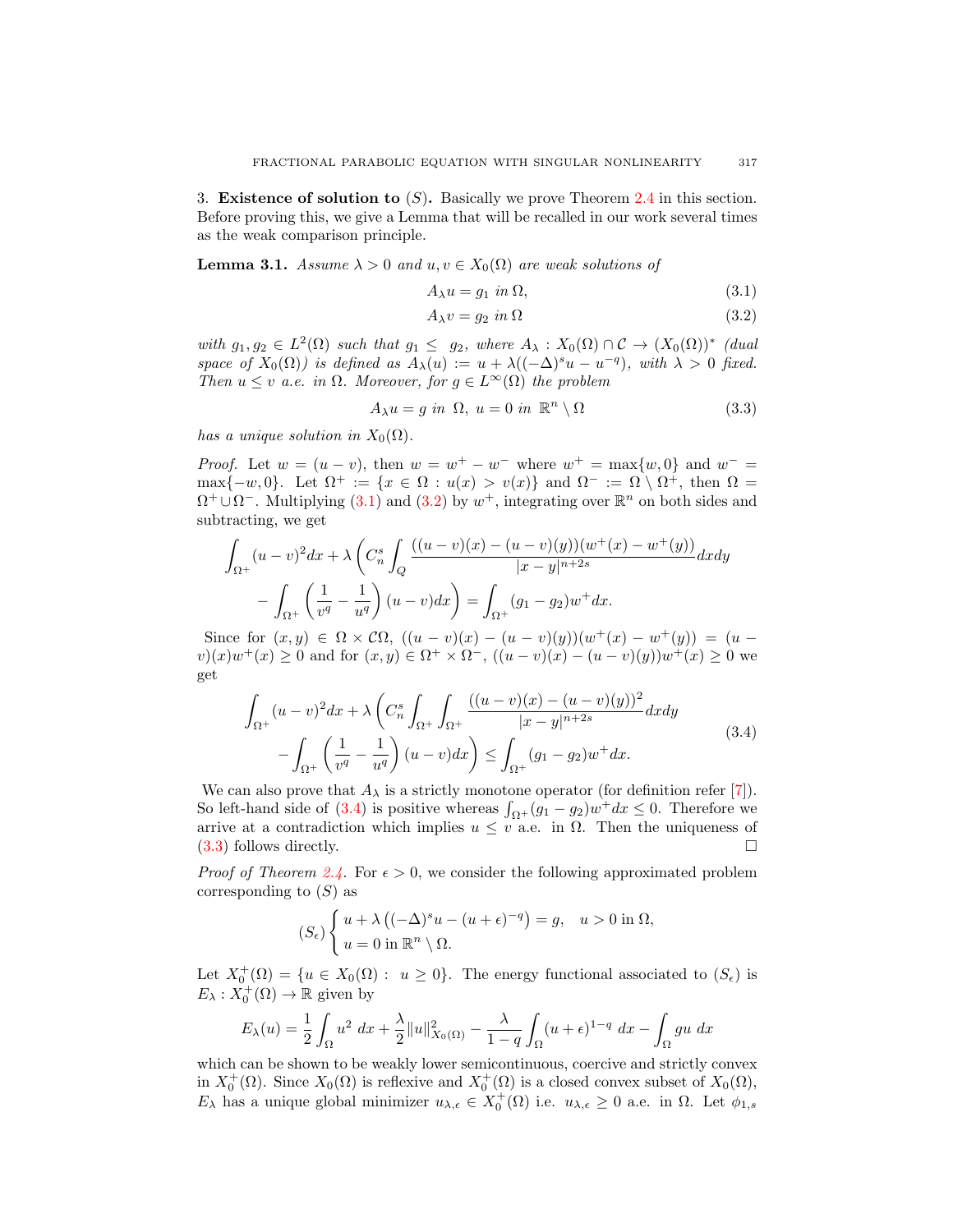3. Existence of solution to  $(S)$ . Basically we prove Theorem 2.4 in this section. Before proving this, we give a Lemma that will be recalled in our work several times as the weak comparison principle.

**Lemma 3.1.** *Assume*  $\lambda > 0$  *and*  $u, v \in X_0(\Omega)$  *are weak solutions of* 

$$
A_{\lambda}u = g_1 \text{ in } \Omega,
$$
\n
$$
(3.1)
$$

$$
A_{\lambda}v = g_2 \text{ in } \Omega \tag{3.2}
$$

with  $g_1, g_2 \in L^2(\Omega)$  such that  $g_1 \leq g_2$ , where  $A_\lambda : X_0(\Omega) \cap C \to (X_0(\Omega))^*$  (dual *space of*  $X_0(\Omega)$ *) is defined as*  $A_\lambda(u) := u + \lambda((-\Delta)^s u - u^{-q})$ *, with*  $\lambda > 0$  *fixed. Then*  $u \leq v$  *a.e.* in  $\Omega$ *. Moreover, for*  $g \in L^{\infty}(\Omega)$  *the problem* 

$$
A_{\lambda}u = g \text{ in } \Omega, u = 0 \text{ in } \mathbb{R}^n \setminus \Omega \tag{3.3}
$$

*has a unique solution in*  $X_0(\Omega)$ *.* 

*Proof.* Let  $w = (u - v)$ , then  $w = w^+ - w^-$  where  $w^+ = \max\{w, 0\}$  and  $w^- =$ max $\{-w, 0\}$ . Let  $\Omega^+ := \{x \in \Omega : u(x) > v(x)\}$  and  $\Omega^- := \Omega \setminus \Omega^+$ , then  $\Omega =$  $\Omega^+ \cup \Omega^-$ . Multiplying (3.1) and (3.2) by  $w^+$ , integrating over  $\mathbb{R}^n$  on both sides and subtracting, we get

$$
\int_{\Omega^+} (u-v)^2 dx + \lambda \left( C_n^s \int_Q \frac{((u-v)(x) - (u-v)(y))(w^+(x) - w^+(y))}{|x-y|^{n+2s}} dx dy - \int_{\Omega^+} \left( \frac{1}{v^q} - \frac{1}{u^q} \right) (u-v) dx \right) = \int_{\Omega^+} (g_1 - g_2) w^+ dx.
$$

Since for  $(x, y) \in \Omega \times C\Omega$ ,  $((u - v)(x) - (u - v)(y))(w^{+}(x) - w^{+}(y)) = (u$  $v(x)w^{+}(x) \geq 0$  and for  $(x, y) \in \Omega^{+} \times \Omega^{-}$ ,  $((u - v)(x) - (u - v)(y))w^{+}(x) \geq 0$  we get

$$
\int_{\Omega^{+}} (u-v)^{2} dx + \lambda \left( C_{n}^{s} \int_{\Omega^{+}} \int_{\Omega^{+}} \frac{((u-v)(x) - (u-v)(y))^{2}}{|x-y|^{n+2s}} dx dy - \int_{\Omega^{+}} \left( \frac{1}{v^{q}} - \frac{1}{u^{q}} \right) (u-v) dx \right) \leq \int_{\Omega^{+}} (g_{1} - g_{2}) w^{+} dx.
$$
\n(3.4)

We can also prove that  $A_{\lambda}$  is a strictly monotone operator (for definition refer [7]). So left-hand side of (3.4) is positive whereas  $\int_{\Omega^+} (g_1 - g_2) w^+ dx \leq 0$ . Therefore we arrive at a contradiction which implies  $u \leq v$  a.e. in  $\Omega$ . Then the uniqueness of (3.3) follows directly.

*Proof of Theorem 2.4.* For  $\epsilon > 0$ , we consider the following approximated problem corresponding to  $(S)$  as

$$
(S_{\epsilon})\begin{cases} u + \lambda \left( (-\Delta)^s u - (u + \epsilon)^{-q} \right) = g, & u > 0 \text{ in } \Omega, \\ u = 0 \text{ in } \mathbb{R}^n \setminus \Omega. \end{cases}
$$

Let  $X_0^+(\Omega) = \{u \in X_0(\Omega) : u \geq 0\}$ . The energy functional associated to  $(S_{\epsilon})$  is  $E_{\lambda}: X_0^+(\Omega) \to \mathbb{R}$  given by

$$
E_{\lambda}(u) = \frac{1}{2} \int_{\Omega} u^2 \, dx + \frac{\lambda}{2} ||u||_{X_0(\Omega)}^2 - \frac{\lambda}{1-q} \int_{\Omega} (u+\epsilon)^{1-q} \, dx - \int_{\Omega} gu \, dx
$$

which can be shown to be weakly lower semicontinuous, coercive and strictly convex in  $X_0^+(\Omega)$ . Since  $X_0(\Omega)$  is reflexive and  $X_0^+(\Omega)$  is a closed convex subset of  $X_0(\Omega)$ ,  $E_{\lambda}$  has a unique global minimizer  $u_{\lambda,\epsilon} \in X_0^+(\Omega)$  i.e.  $u_{\lambda,\epsilon} \geq 0$  a.e. in  $\Omega$ . Let  $\phi_{1,s}$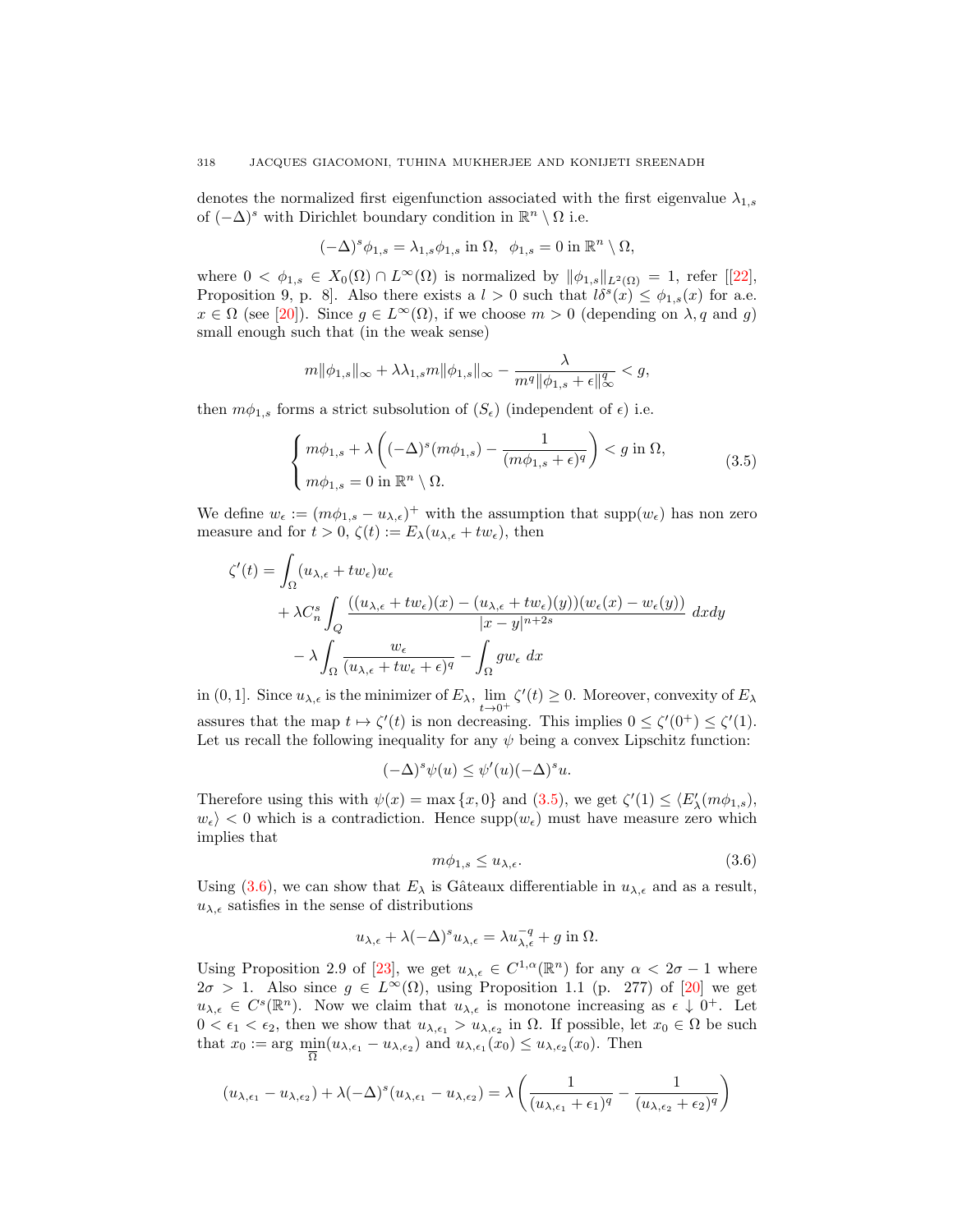denotes the normalized first eigenfunction associated with the first eigenvalue  $\lambda_{1,s}$ of  $(-\Delta)^s$  with Dirichlet boundary condition in  $\mathbb{R}^n \setminus \Omega$  i.e.

$$
(-\Delta)^s \phi_{1,s} = \lambda_{1,s} \phi_{1,s} \text{ in } \Omega, \ \ \phi_{1,s} = 0 \text{ in } \mathbb{R}^n \setminus \Omega,
$$

where  $0 < \phi_{1,s} \in X_0(\Omega) \cap L^{\infty}(\Omega)$  is normalized by  $||\phi_{1,s}||_{L^2(\Omega)} = 1$ , refer  $[[22],$ Proposition 9, p. 8. Also there exists a  $l > 0$  such that  $l\delta^s(x) \leq \phi_{1,s}(x)$  for a.e.  $x \in \Omega$  (see [20]). Since  $g \in L^{\infty}(\Omega)$ , if we choose  $m > 0$  (depending on  $\lambda, q$  and g) small enough such that (in the weak sense)

$$
m \|\phi_{1,s}\|_{\infty} + \lambda \lambda_{1,s} m \|\phi_{1,s}\|_{\infty} - \frac{\lambda}{m^q \|\phi_{1,s} + \epsilon\|_{\infty}^q} < g,
$$

then  $m\phi_{1,s}$  forms a strict subsolution of  $(S_{\epsilon})$  (independent of  $\epsilon$ ) i.e.

$$
\begin{cases} m\phi_{1,s} + \lambda \left( (-\Delta)^s (m\phi_{1,s}) - \frac{1}{(m\phi_{1,s} + \epsilon)^q} \right) < g \text{ in } \Omega, \\ m\phi_{1,s} = 0 \text{ in } \mathbb{R}^n \setminus \Omega. \end{cases} \tag{3.5}
$$

We define  $w_{\epsilon} := (m\phi_{1,s} - u_{\lambda,\epsilon})^+$  with the assumption that  $\text{supp}(w_{\epsilon})$  has non zero measure and for  $t > 0$ ,  $\zeta(t) := E_{\lambda}(u_{\lambda,\epsilon} + tw_{\epsilon})$ , then

$$
\zeta'(t) = \int_{\Omega} (u_{\lambda,\epsilon} + tw_{\epsilon})w_{\epsilon} \n+ \lambda C_n^s \int_Q \frac{((u_{\lambda,\epsilon} + tw_{\epsilon})(x) - (u_{\lambda,\epsilon} + tw_{\epsilon})(y))(w_{\epsilon}(x) - w_{\epsilon}(y))}{|x - y|^{n+2s}} dx dy \n- \lambda \int_{\Omega} \frac{w_{\epsilon}}{(u_{\lambda,\epsilon} + tw_{\epsilon} + \epsilon)^q} - \int_{\Omega} gw_{\epsilon} dx
$$

in (0, 1]. Since  $u_{\lambda,\epsilon}$  is the minimizer of  $E_{\lambda}$ ,  $\lim_{t\to 0^+} \zeta'(t) \ge 0$ . Moreover, convexity of  $E_{\lambda}$ assures that the map  $t \mapsto \zeta'(t)$  is non decreasing. This implies  $0 \le \zeta'(0^+) \le \zeta'(1)$ . Let us recall the following inequality for any  $\psi$  being a convex Lipschitz function:

$$
(-\Delta)^s \psi(u) \le \psi'(u)(-\Delta)^s u.
$$

Therefore using this with  $\psi(x) = \max\{x, 0\}$  and  $(3.5)$ , we get  $\zeta'(1) \le \langle E'_\lambda(m\phi_{1,s}),$  $w_{\epsilon}$  < 0 which is a contradiction. Hence  $\text{supp}(w_{\epsilon})$  must have measure zero which implies that

$$
m\phi_{1,s} \le u_{\lambda,\epsilon}.\tag{3.6}
$$

Using (3.6), we can show that  $E_{\lambda}$  is Gâteaux differentiable in  $u_{\lambda,\epsilon}$  and as a result,  $u_{\lambda,\epsilon}$  satisfies in the sense of distributions

$$
u_{\lambda,\epsilon} + \lambda(-\Delta)^s u_{\lambda,\epsilon} = \lambda u_{\lambda,\epsilon}^{-q} + g \text{ in } \Omega.
$$

Using Proposition 2.9 of [23], we get  $u_{\lambda,\epsilon} \in C^{1,\alpha}(\mathbb{R}^n)$  for any  $\alpha < 2\sigma - 1$  where  $2\sigma > 1$ . Also since  $g \in L^{\infty}(\Omega)$ , using Proposition 1.1 (p. 277) of [20] we get  $u_{\lambda,\epsilon} \in C^{s}(\mathbb{R}^{n}).$  Now we claim that  $u_{\lambda,\epsilon}$  is monotone increasing as  $\epsilon \downarrow 0^{+}$ . Let  $0 < \epsilon_1 < \epsilon_2$ , then we show that  $u_{\lambda, \epsilon_1} > u_{\lambda, \epsilon_2}$  in  $\Omega$ . If possible, let  $x_0 \in \Omega$  be such that  $x_0 := \arg \min_{\overline{\Omega}} (u_{\lambda,\epsilon_1} - u_{\lambda,\epsilon_2})$  and  $u_{\lambda,\epsilon_1}(x_0) \leq u_{\lambda,\epsilon_2}(x_0)$ . Then

$$
(u_{\lambda,\epsilon_1}-u_{\lambda,\epsilon_2})+\lambda(-\Delta)^s(u_{\lambda,\epsilon_1}-u_{\lambda,\epsilon_2})=\lambda\left(\frac{1}{(u_{\lambda,\epsilon_1}+\epsilon_1)^q}-\frac{1}{(u_{\lambda,\epsilon_2}+\epsilon_2)^q}\right)
$$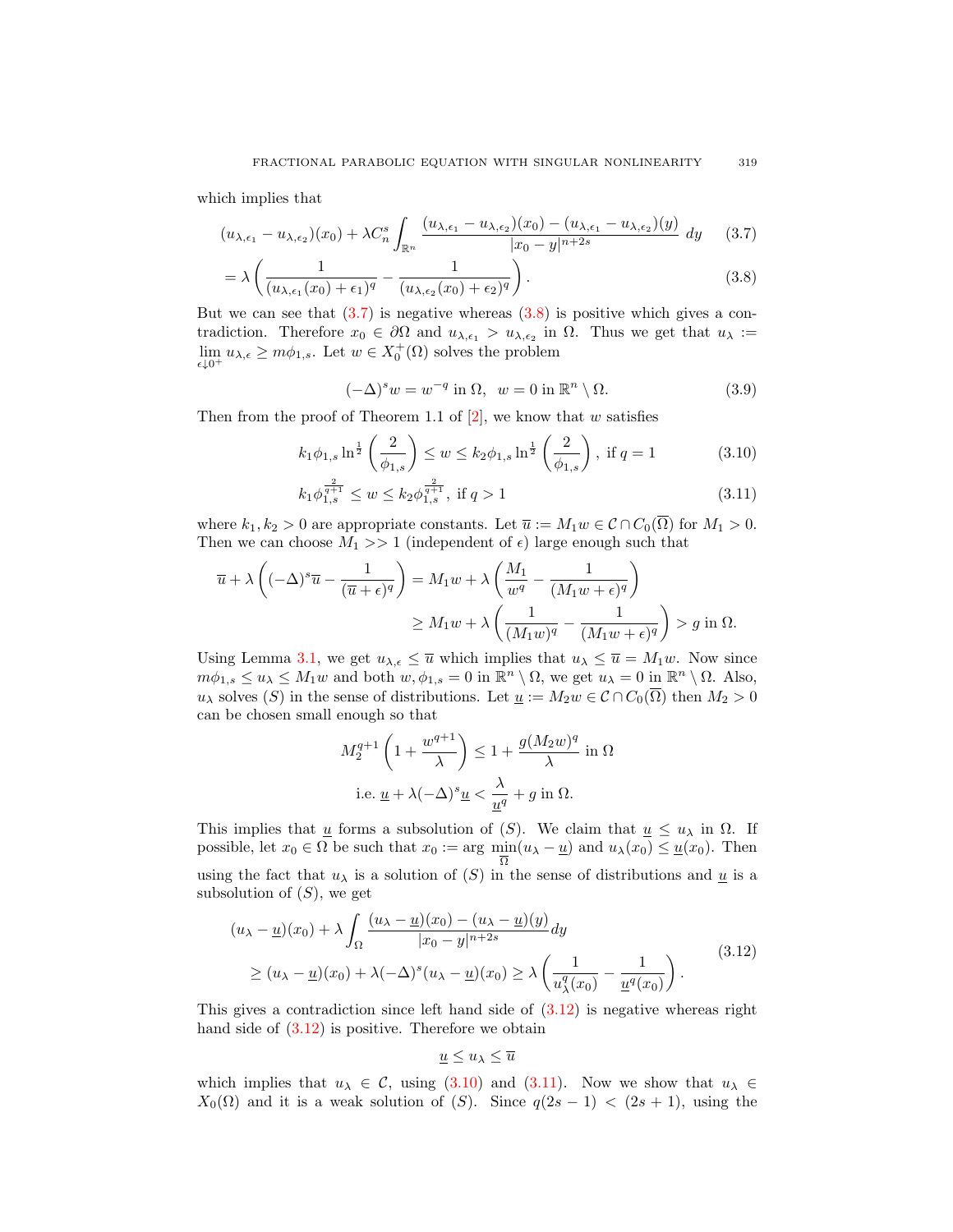which implies that

$$
(u_{\lambda,\epsilon_1} - u_{\lambda,\epsilon_2})(x_0) + \lambda C_n^s \int_{\mathbb{R}^n} \frac{(u_{\lambda,\epsilon_1} - u_{\lambda,\epsilon_2})(x_0) - (u_{\lambda,\epsilon_1} - u_{\lambda,\epsilon_2})(y)}{|x_0 - y|^{n+2s}} dy \qquad (3.7)
$$

$$
= \lambda \left( \frac{1}{(u_{\lambda,\epsilon_1}(x_0) + \epsilon_1)^q} - \frac{1}{(u_{\lambda,\epsilon_2}(x_0) + \epsilon_2)^q} \right).
$$
 (3.8)

But we can see that  $(3.7)$  is negative whereas  $(3.8)$  is positive which gives a contradiction. Therefore  $x_0 \in \partial\Omega$  and  $u_{\lambda, \epsilon_1} > u_{\lambda, \epsilon_2}$  in  $\Omega$ . Thus we get that  $u_{\lambda} :=$  $\lim_{\epsilon \downarrow 0^+} u_{\lambda,\epsilon} \geq m\phi_{1,s}$ . Let  $w \in X_0^+(\Omega)$  solves the problem

$$
(-\Delta)^s w = w^{-q} \text{ in } \Omega, \ \ w = 0 \text{ in } \mathbb{R}^n \setminus \Omega. \tag{3.9}
$$

Then from the proof of Theorem 1.1 of  $[2]$ , we know that w satisfies

$$
k_1 \phi_{1,s} \ln^{\frac{1}{2}} \left( \frac{2}{\phi_{1,s}} \right) \le w \le k_2 \phi_{1,s} \ln^{\frac{1}{2}} \left( \frac{2}{\phi_{1,s}} \right), \text{ if } q = 1
$$
 (3.10)

$$
k_1 \phi_{1,s}^{\frac{2}{q+1}} \le w \le k_2 \phi_{1,s}^{\frac{2}{q+1}}, \text{ if } q > 1 \tag{3.11}
$$

where  $k_1, k_2 > 0$  are appropriate constants. Let  $\overline{u} := M_1 w \in C \cap C_0(\overline{\Omega})$  for  $M_1 > 0$ . Then we can choose  $M_1 >> 1$  (independent of  $\epsilon$ ) large enough such that

$$
\overline{u} + \lambda \left( (-\Delta)^s \overline{u} - \frac{1}{(\overline{u} + \epsilon)^q} \right) = M_1 w + \lambda \left( \frac{M_1}{w^q} - \frac{1}{(M_1 w + \epsilon)^q} \right)
$$
  

$$
\geq M_1 w + \lambda \left( \frac{1}{(M_1 w)^q} - \frac{1}{(M_1 w + \epsilon)^q} \right) > g \text{ in } \Omega.
$$

Using Lemma 3.1, we get  $u_{\lambda,\epsilon} \leq \overline{u}$  which implies that  $u_{\lambda} \leq \overline{u} = M_1w$ . Now since  $m\phi_{1,s} \leq u_\lambda \leq M_1 w$  and both  $w, \phi_{1,s} = 0$  in  $\mathbb{R}^n \setminus \Omega$ , we get  $u_\lambda = 0$  in  $\mathbb{R}^n \setminus \Omega$ . Also,  $u_\lambda$  solves (S) in the sense of distributions. Let  $\underline{u} := M_2w \in \mathcal{C} \cap C_0(\overline{\Omega})$  then  $M_2 > 0$ can be chosen small enough so that

$$
M_2^{q+1}\left(1+\frac{w^{q+1}}{\lambda}\right) \leq 1+\frac{g(M_2w)^q}{\lambda}\text{ in }\Omega
$$
  
i.e.  $\underline{u} + \lambda(-\Delta)^s \underline{u} < \frac{\lambda}{\underline{u}^q} + g \text{ in }\Omega.$ 

This implies that <u>u</u> forms a subsolution of  $(S)$ . We claim that  $\underline{u} \leq u_\lambda$  in  $\Omega$ . If possible, let  $x_0 \in \Omega$  be such that  $x_0 := \arg \min_{\overline{\Omega}} (u_\lambda - \underline{u})$  and  $u_\lambda(x_0) \leq \underline{u}(x_0)$ . Then using the fact that  $u_{\lambda}$  is a solution of  $(S)$  in the sense of distributions and  $\underline{u}$  is a subsolution of  $(S)$ , we get

$$
(u_{\lambda} - \underline{u})(x_0) + \lambda \int_{\Omega} \frac{(u_{\lambda} - \underline{u})(x_0) - (u_{\lambda} - \underline{u})(y)}{|x_0 - y|^{n+2s}} dy
$$
  
 
$$
\ge (u_{\lambda} - \underline{u})(x_0) + \lambda (-\Delta)^s (u_{\lambda} - \underline{u})(x_0) \ge \lambda \left(\frac{1}{u_{\lambda}^q(x_0)} - \frac{1}{\underline{u}^q(x_0)}\right).
$$
 (3.12)

This gives a contradiction since left hand side of  $(3.12)$  is negative whereas right hand side of  $(3.12)$  is positive. Therefore we obtain

$$
\underline{u} \le u_\lambda \le \overline{u}
$$

which implies that  $u_{\lambda} \in \mathcal{C}$ , using (3.10) and (3.11). Now we show that  $u_{\lambda} \in$  $X_0(\Omega)$  and it is a weak solution of (S). Since  $q(2s - 1) < (2s + 1)$ , using the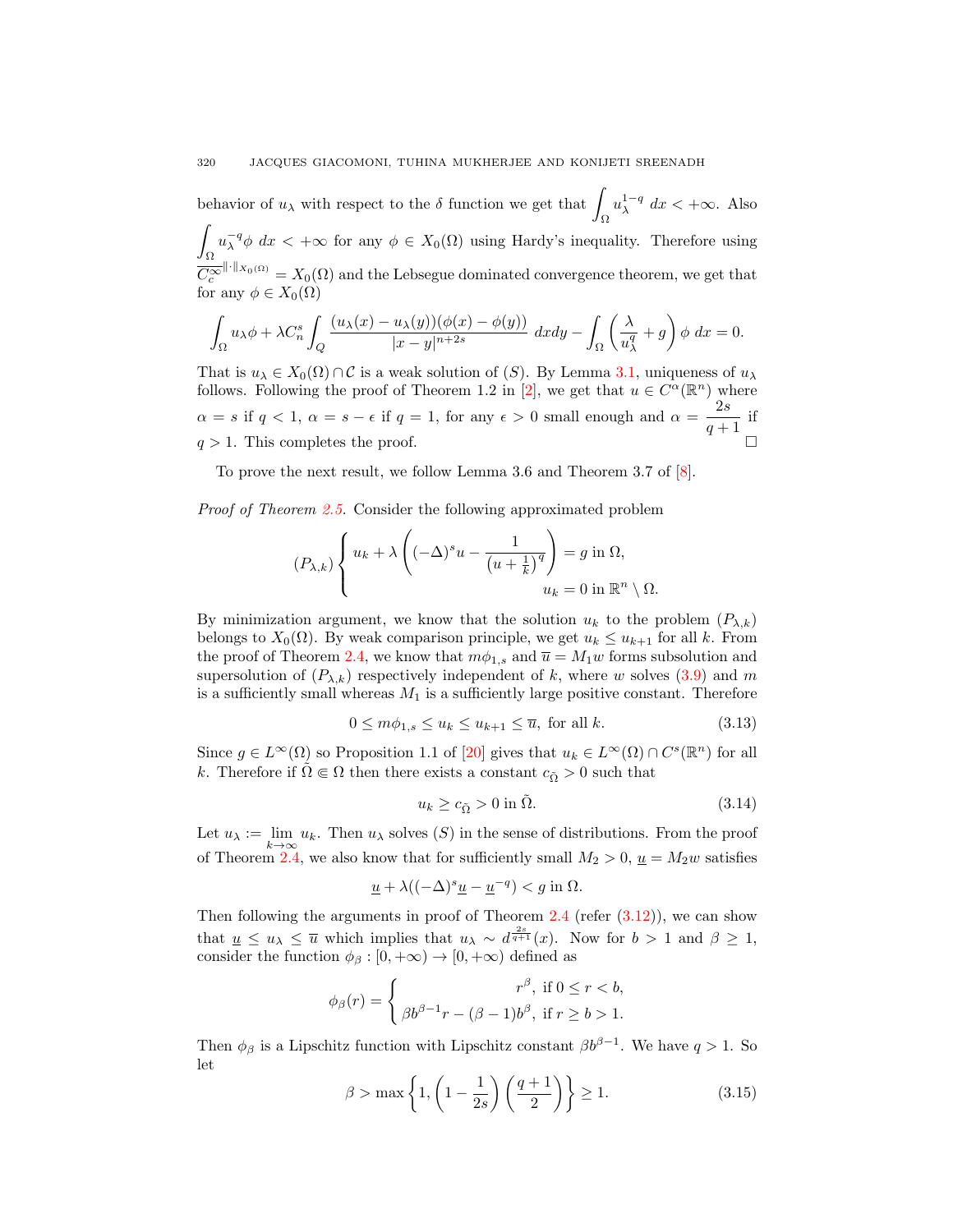behavior of  $u_\lambda$  with respect to the  $\delta$  function we get that  $\int u_\lambda^{1-q} dx < +\infty$ . Also  $\int_{\Omega}$ <br> $\int_{\Omega} e^{-q} \phi \, d\pi \leq \log \text{ for any } \phi \in X(\Omega)$  using Hardy's income Ω  $u_{\lambda}^{-q}\phi$  dx < + $\infty$  for any  $\phi \in X_0(\Omega)$  using Hardy's inequality. Therefore using  $\overline{C_c^{\infty}}^{\|\cdot\|_{X_0(\Omega)}} = X_0(\Omega)$  and the Lebsegue dominated convergence theorem, we get that for any  $\phi \in X_0(\Omega)$ 

$$
\int_{\Omega} u_{\lambda} \phi + \lambda C_n^s \int_Q \frac{(u_{\lambda}(x) - u_{\lambda}(y))(\phi(x) - \phi(y))}{|x - y|^{n+2s}} dxdy - \int_{\Omega} \left(\frac{\lambda}{u_{\lambda}^q} + g\right) \phi \ dx = 0.
$$

That is  $u_{\lambda} \in X_0(\Omega) \cap C$  is a weak solution of (S). By Lemma 3.1, uniqueness of  $u_{\lambda}$ follows. Following the proof of Theorem 1.2 in [2], we get that  $u \in C^{\alpha}(\mathbb{R}^n)$  where  $\alpha = s$  if  $q < 1$ ,  $\alpha = s - \epsilon$  if  $q = 1$ , for any  $\epsilon > 0$  small enough and  $\alpha = \frac{2s}{\epsilon}$  $\frac{2e}{q+1}$  if  $q > 1$ . This completes the proof.

To prove the next result, we follow Lemma 3.6 and Theorem 3.7 of [8].

*Proof of Theorem 2.5.* Consider the following approximated problem

$$
(P_{\lambda,k})\left\{\n\begin{aligned}\nu_k + \lambda \left( (-\Delta)^s u - \frac{1}{\left(u + \frac{1}{k}\right)^q} \right) &= g \text{ in } \Omega, \\
u_k &= 0 \text{ in } \mathbb{R}^n \setminus \Omega.\n\end{aligned}\n\right.
$$

By minimization argument, we know that the solution  $u_k$  to the problem  $(P_{\lambda,k})$ belongs to  $X_0(\Omega)$ . By weak comparison principle, we get  $u_k \leq u_{k+1}$  for all k. From the proof of Theorem 2.4, we know that  $m\phi_{1,s}$  and  $\overline{u} = M_1w$  forms subsolution and supersolution of  $(P_{\lambda,k})$  respectively independent of k, where w solves  $(3.9)$  and m is a sufficiently small whereas  $M_1$  is a sufficiently large positive constant. Therefore

$$
0 \le m\phi_{1,s} \le u_k \le u_{k+1} \le \overline{u}, \text{ for all } k. \tag{3.13}
$$

Since  $g \in L^{\infty}(\Omega)$  so Proposition 1.1 of [20] gives that  $u_k \in L^{\infty}(\Omega) \cap C^s(\mathbb{R}^n)$  for all k. Therefore if  $\Omega \in \Omega$  then there exists a constant  $c_{\tilde{Q}} > 0$  such that

$$
u_k \ge c_{\tilde{\Omega}} > 0 \text{ in } \tilde{\Omega}. \tag{3.14}
$$

Let  $u_{\lambda} := \lim_{k \to \infty} u_k$ . Then  $u_{\lambda}$  solves  $(S)$  in the sense of distributions. From the proof of Theorem 2.4, we also know that for sufficiently small  $M_2 > 0$ ,  $\underline{u} = M_2w$  satisfies

$$
\underline{u} + \lambda ((-\Delta)^s \underline{u} - \underline{u}^{-q}) < g \text{ in } \Omega.
$$

Then following the arguments in proof of Theorem  $2.4$  (refer  $(3.12)$ ), we can show that  $\underline{u} \le u_\lambda \le \overline{u}$  which implies that  $u_\lambda \sim d^{\frac{2s}{q+1}}(x)$ . Now for  $b > 1$  and  $\beta \ge 1$ , consider the function  $\phi_{\beta}: [0, +\infty) \to [0, +\infty)$  defined as

$$
\phi_{\beta}(r) = \begin{cases}\nr^{\beta}, & \text{if } 0 \le r < b, \\
\beta b^{\beta - 1}r - (\beta - 1)b^{\beta}, & \text{if } r \ge b > 1.\n\end{cases}
$$

Then  $\phi_\beta$  is a Lipschitz function with Lipschitz constant  $\beta b^{\beta-1}$ . We have  $q > 1$ . So let

$$
\beta > \max\left\{1, \left(1 - \frac{1}{2s}\right)\left(\frac{q+1}{2}\right)\right\} \ge 1. \tag{3.15}
$$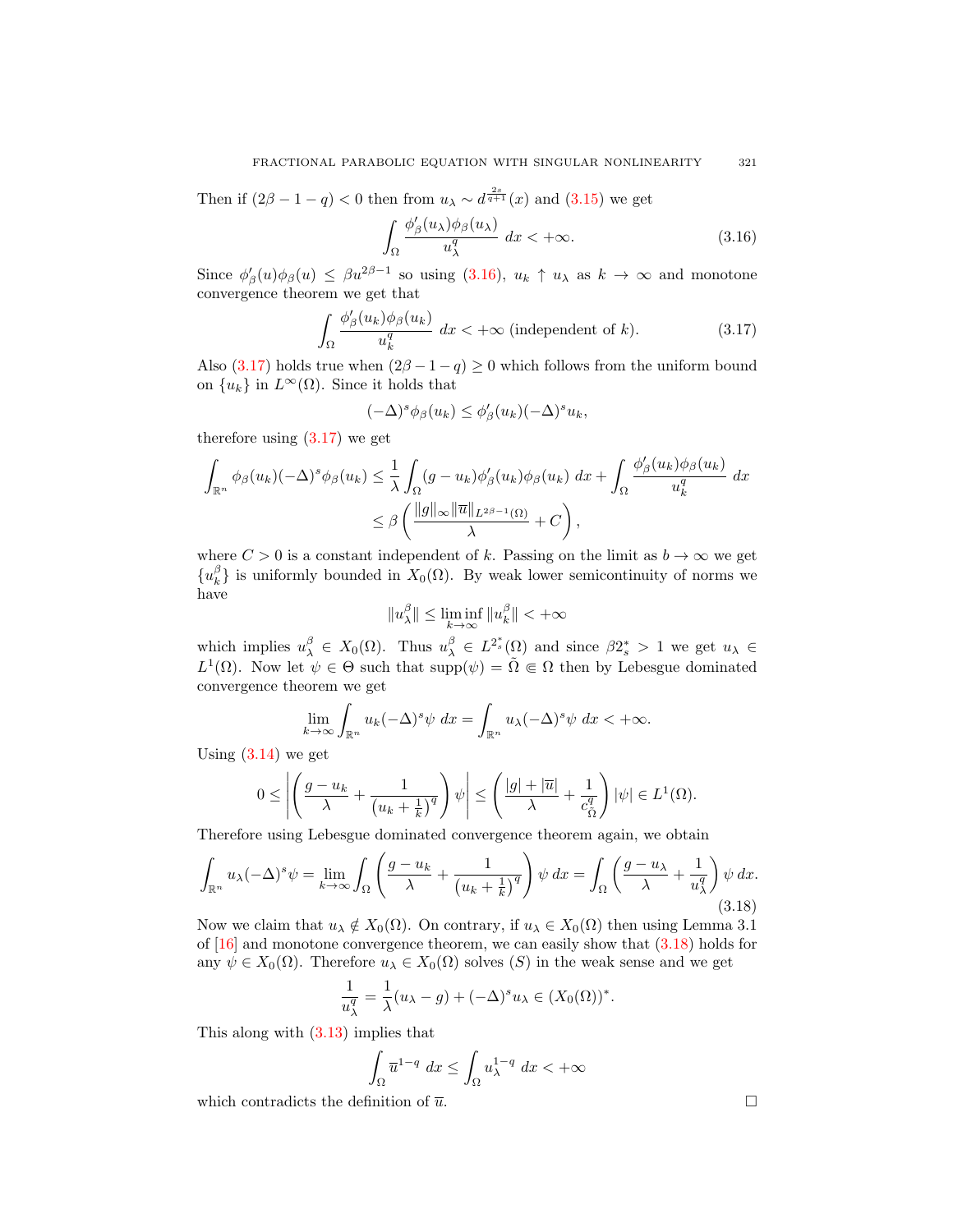## FRACTIONAL PARABOLIC EQUATION WITH SINGULAR NONLINEARITY 321

Then if  $(2\beta - 1 - q) < 0$  then from  $u_{\lambda} \sim d^{\frac{2s}{q+1}}(x)$  and  $(3.15)$  we get

$$
\int_{\Omega} \frac{\phi'_{\beta}(u_{\lambda})\phi_{\beta}(u_{\lambda})}{u_{\lambda}^{q}} dx < +\infty.
$$
 (3.16)

Since  $\phi'_{\beta}(u)\phi_{\beta}(u) \le \beta u^{2\beta-1}$  so using (3.16),  $u_k \uparrow u_\lambda$  as  $k \to \infty$  and monotone convergence theorem we get that

$$
\int_{\Omega} \frac{\phi'_{\beta}(u_k)\phi_{\beta}(u_k)}{u_k^q} dx < +\infty \text{ (independent of } k). \tag{3.17}
$$

Also (3.17) holds true when  $(2\beta - 1 - q) \ge 0$  which follows from the uniform bound on  $\{u_k\}$  in  $L^{\infty}(\Omega)$ . Since it holds that

$$
(-\Delta)^s \phi_\beta(u_k) \le \phi'_\beta(u_k) (-\Delta)^s u_k,
$$

therefore using (3.17) we get

$$
\int_{\mathbb{R}^n} \phi_\beta(u_k)(-\Delta)^s \phi_\beta(u_k) \leq \frac{1}{\lambda} \int_{\Omega} (g - u_k) \phi_\beta'(u_k) \phi_\beta(u_k) dx + \int_{\Omega} \frac{\phi_\beta'(u_k) \phi_\beta(u_k)}{u_k^q} dx
$$
  

$$
\leq \beta \left( \frac{\|g\|_{\infty} \|\overline{u}\|_{L^{2\beta-1}(\Omega)}}{\lambda} + C \right),
$$

where  $C > 0$  is a constant independent of k. Passing on the limit as  $b \to \infty$  we get  ${u_k^{\beta}}$  is uniformly bounded in  $X_0(\Omega)$ . By weak lower semicontinuity of norms we have

$$
||u_{\lambda}^{\beta}|| \le \liminf_{k \to \infty} ||u_{k}^{\beta}|| < +\infty
$$

which implies  $u_{\lambda}^{\beta} \in X_0(\Omega)$ . Thus  $u_{\lambda}^{\beta} \in L^{2^*_s}(\Omega)$  and since  $\beta 2^*_s > 1$  we get  $u_{\lambda} \in$  $L^1(\Omega)$ . Now let  $\psi \in \Theta$  such that  $\text{supp}(\psi) = \tilde{\Omega} \Subset \Omega$  then by Lebesgue dominated convergence theorem we get

$$
\lim_{k \to \infty} \int_{\mathbb{R}^n} u_k (-\Delta)^s \psi \, dx = \int_{\mathbb{R}^n} u_\lambda (-\Delta)^s \psi \, dx < +\infty.
$$

Using  $(3.14)$  we get

$$
0 \leq \left| \left( \frac{g - u_k}{\lambda} + \frac{1}{\left( u_k + \frac{1}{k} \right)^q} \right) \psi \right| \leq \left( \frac{|g| + |\overline{u}|}{\lambda} + \frac{1}{c_{\tilde{\Omega}}^q} \right) |\psi| \in L^1(\Omega).
$$

Therefore using Lebesgue dominated convergence theorem again, we obtain

$$
\int_{\mathbb{R}^n} u_\lambda (-\Delta)^s \psi = \lim_{k \to \infty} \int_{\Omega} \left( \frac{g - u_k}{\lambda} + \frac{1}{\left(u_k + \frac{1}{k}\right)^q} \right) \psi \, dx = \int_{\Omega} \left( \frac{g - u_\lambda}{\lambda} + \frac{1}{u_\lambda^q} \right) \psi \, dx. \tag{3.18}
$$

Now we claim that  $u_{\lambda} \notin X_0(\Omega)$ . On contrary, if  $u_{\lambda} \in X_0(\Omega)$  then using Lemma 3.1 of [16] and monotone convergence theorem, we can easily show that (3.18) holds for any  $\psi \in X_0(\Omega)$ . Therefore  $u_\lambda \in X_0(\Omega)$  solves  $(S)$  in the weak sense and we get

$$
\frac{1}{u_{\lambda}^{q}} = \frac{1}{\lambda}(u_{\lambda} - g) + (-\Delta)^{s} u_{\lambda} \in (X_{0}(\Omega))^{*}
$$

.

This along with (3.13) implies that

$$
\int_{\Omega} \overline{u}^{1-q} dx \le \int_{\Omega} u_{\lambda}^{1-q} dx < +\infty
$$

which contradicts the definition of  $\bar{u}$ .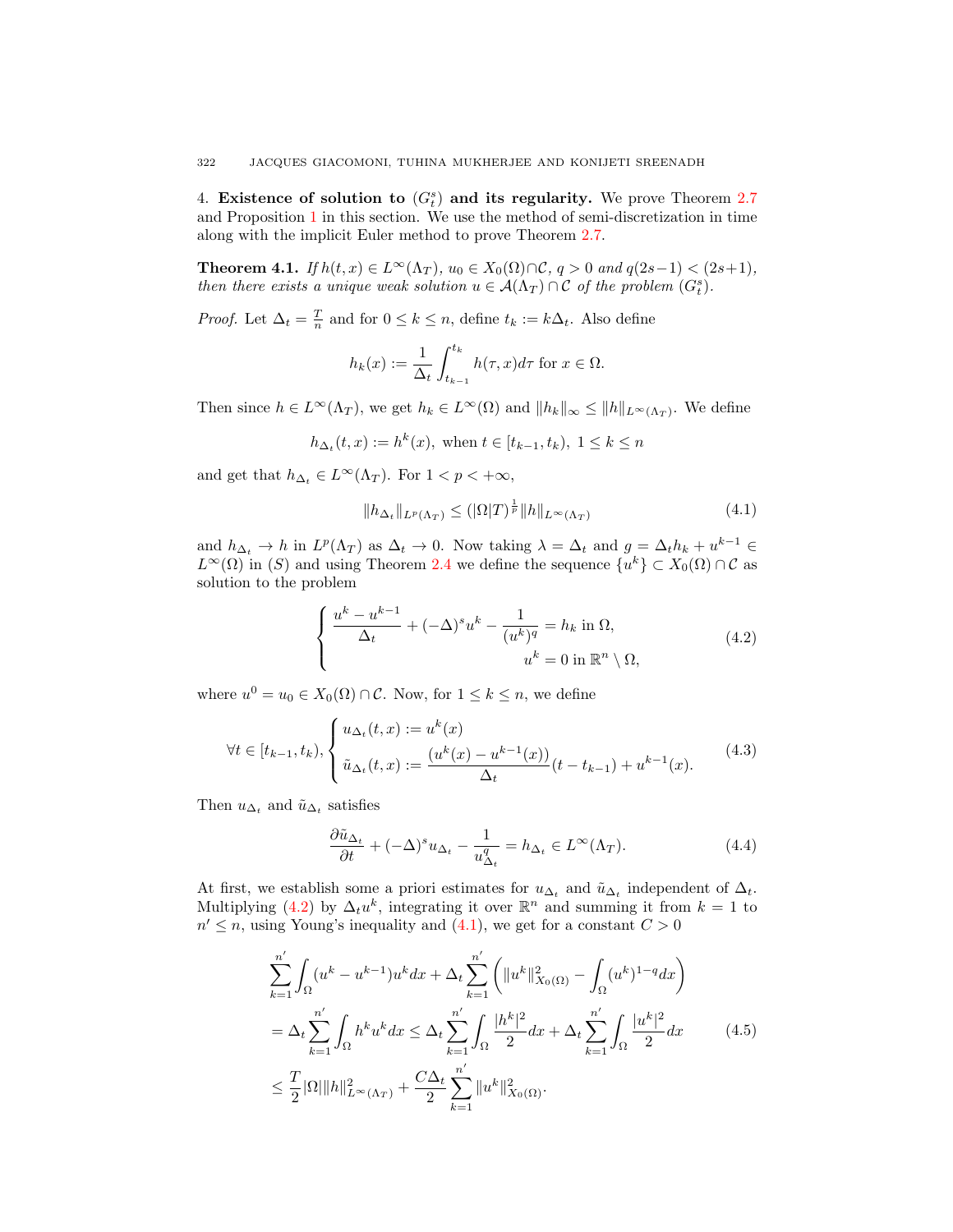4. Existence of solution to  $(G_t^s)$  and its regularity. We prove Theorem 2.7 and Proposition 1 in this section. We use the method of semi-discretization in time along with the implicit Euler method to prove Theorem 2.7.

**Theorem 4.1.** *If*  $h(t, x) \in L^{\infty}(\Lambda_T)$ *,*  $u_0 \in X_0(\Omega) \cap \mathcal{C}$ *, q > 0 and q*(2*s*−1) < (2*s*+1)*, then there exists a unique weak solution*  $u \in A(\Lambda_T) \cap C$  *of the problem*  $(G_t^s)$ *.* 

*Proof.* Let  $\Delta_t = \frac{T}{n}$  and for  $0 \leq k \leq n$ , define  $t_k := k\Delta_t$ . Also define

$$
h_k(x) := \frac{1}{\Delta_t} \int_{t_{k-1}}^{t_k} h(\tau, x) d\tau
$$
 for  $x \in \Omega$ .

Then since  $h \in L^{\infty}(\Lambda_T)$ , we get  $h_k \in L^{\infty}(\Omega)$  and  $||h_k||_{\infty} \le ||h||_{L^{\infty}(\Lambda_T)}$ . We define

$$
h_{\Delta_t}(t, x) := h^k(x)
$$
, when  $t \in [t_{k-1}, t_k)$ ,  $1 \le k \le n$ 

and get that  $h_{\Delta_t} \in L^{\infty}(\Lambda_T)$ . For  $1 < p < +\infty$ ,

$$
||h_{\Delta_t}||_{L^p(\Lambda_T)} \leq (|\Omega|T)^{\frac{1}{p}}||h||_{L^{\infty}(\Lambda_T)}
$$
\n(4.1)

and  $h_{\Delta_t} \to h$  in  $L^p(\Lambda_T)$  as  $\Delta_t \to 0$ . Now taking  $\lambda = \Delta_t$  and  $g = \Delta_t h_k + u^{k-1} \in$  $L^{\infty}(\Omega)$  in (S) and using Theorem 2.4 we define the sequence  $\{u^k\} \subset X_0(\Omega) \cap C$  as solution to the problem

$$
\begin{cases} \frac{u^k - u^{k-1}}{\Delta_t} + (-\Delta)^s u^k - \frac{1}{(u^k)^q} = h_k \text{ in } \Omega, \\ u^k = 0 \text{ in } \mathbb{R}^n \setminus \Omega, \end{cases} \tag{4.2}
$$

where  $u^0 = u_0 \in X_0(\Omega) \cap \mathcal{C}$ . Now, for  $1 \leq k \leq n$ , we define

$$
\forall t \in [t_{k-1}, t_k), \begin{cases} u_{\Delta_t}(t, x) := u^k(x) \\ \tilde{u}_{\Delta_t}(t, x) := \frac{(u^k(x) - u^{k-1}(x))}{\Delta_t}(t - t_{k-1}) + u^{k-1}(x). \end{cases} (4.3)
$$

Then  $u_{\Delta_t}$  and  $\tilde{u}_{\Delta_t}$  satisfies

$$
\frac{\partial \tilde{u}_{\Delta_t}}{\partial t} + (-\Delta)^s u_{\Delta_t} - \frac{1}{u_{\Delta_t}^q} = h_{\Delta_t} \in L^{\infty}(\Lambda_T). \tag{4.4}
$$

At first, we establish some a priori estimates for  $u_{\Delta_t}$  and  $\tilde{u}_{\Delta_t}$  independent of  $\Delta_t$ . Multiplying (4.2) by  $\Delta_t u^k$ , integrating it over  $\mathbb{R}^n$  and summing it from  $k = 1$  to  $n' \leq n$ , using Young's inequality and (4.1), we get for a constant  $C > 0$ 

$$
\sum_{k=1}^{n'} \int_{\Omega} (u^k - u^{k-1}) u^k dx + \Delta_t \sum_{k=1}^{n'} \left( \|u^k\|_{X_0(\Omega)}^2 - \int_{\Omega} (u^k)^{1-q} dx \right)
$$
  
=  $\Delta_t \sum_{k=1}^{n'} \int_{\Omega} h^k u^k dx \le \Delta_t \sum_{k=1}^{n'} \int_{\Omega} \frac{|h^k|^2}{2} dx + \Delta_t \sum_{k=1}^{n'} \int_{\Omega} \frac{|u^k|^2}{2} dx$  (4.5)  
 $\le \frac{T}{2} |\Omega| \|h\|_{L^{\infty}(\Lambda_T)}^2 + \frac{C \Delta_t}{2} \sum_{k=1}^{n'} \|u^k\|_{X_0(\Omega)}^2.$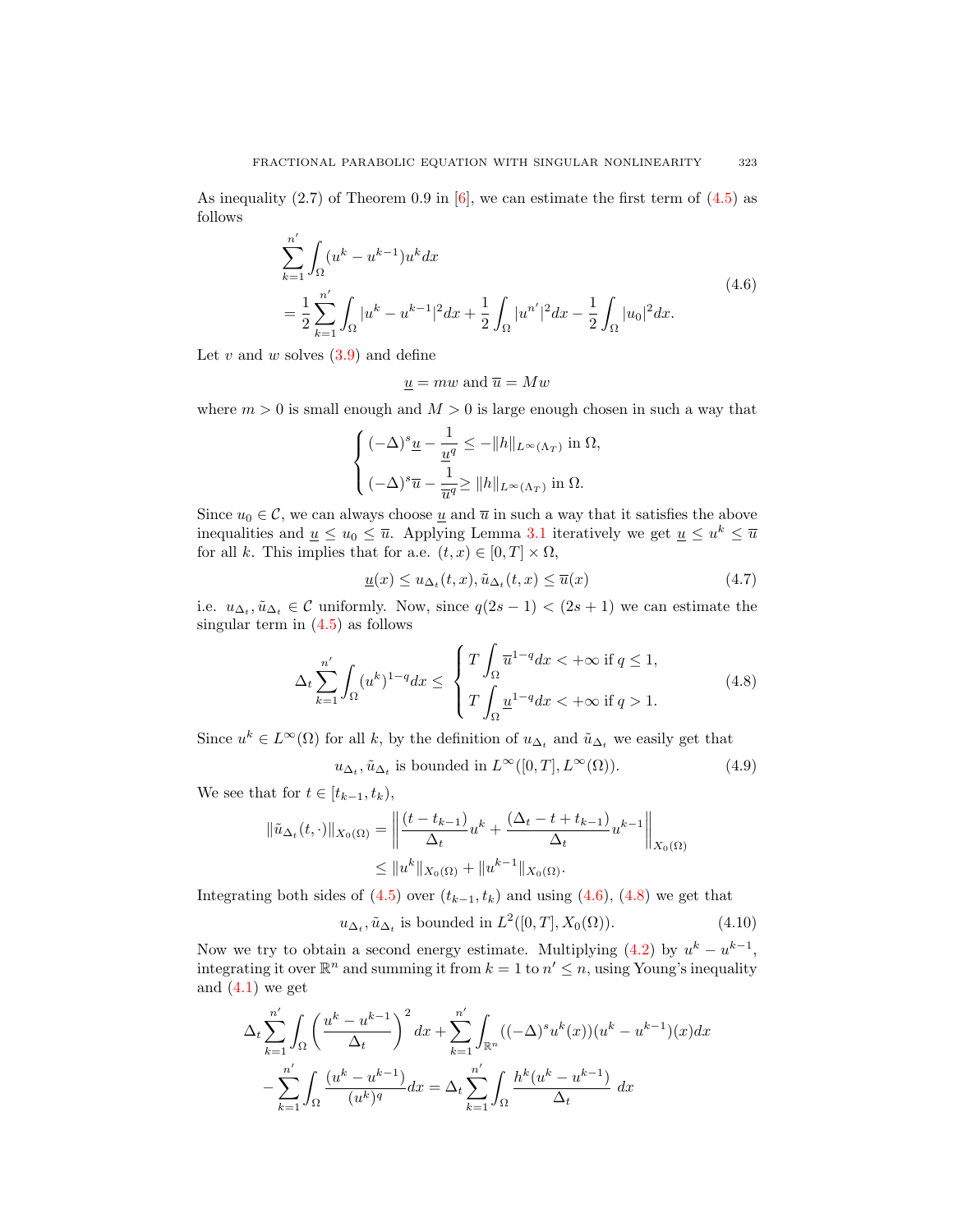As inequality  $(2.7)$  of Theorem 0.9 in [6], we can estimate the first term of  $(4.5)$  as follows

$$
\sum_{k=1}^{n'} \int_{\Omega} (u^k - u^{k-1}) u^k dx
$$
\n
$$
= \frac{1}{2} \sum_{k=1}^{n'} \int_{\Omega} |u^k - u^{k-1}|^2 dx + \frac{1}{2} \int_{\Omega} |u^{n'}|^2 dx - \frac{1}{2} \int_{\Omega} |u_0|^2 dx.
$$
\n(4.6)

Let  $v$  and  $w$  solves  $(3.9)$  and define

$$
\underline{u} = mw
$$
 and  $\overline{u} = Mw$ 

where  $m > 0$  is small enough and  $M > 0$  is large enough chosen in such a way that

$$
\begin{cases} (-\Delta)^s \underline{u} - \frac{1}{\underline{u}^q} \le - \|h\|_{L^\infty(\Lambda_T)} \text{ in } \Omega, \\ (-\Delta)^s \overline{u} - \frac{1}{\overline{u}^q} \ge \|h\|_{L^\infty(\Lambda_T)} \text{ in } \Omega. \end{cases}
$$

Since  $u_0 \in \mathcal{C}$ , we can always choose <u>u</u> and  $\overline{u}$  in such a way that it satisfies the above inequalities and  $\underline{u} \le u_0 \le \overline{u}$ . Applying Lemma 3.1 iteratively we get  $\underline{u} \le u^k \le \overline{u}$ for all k. This implies that for a.e.  $(t, x) \in [0, T] \times \Omega$ ,

$$
\underline{u}(x) \le u_{\Delta_t}(t,x), \tilde{u}_{\Delta_t}(t,x) \le \overline{u}(x) \tag{4.7}
$$

i.e.  $u_{\Delta_t}, \tilde{u}_{\Delta_t} \in \mathcal{C}$  uniformly. Now, since  $q(2s-1) < (2s+1)$  we can estimate the singular term in  $(4.5)$  as follows

$$
\Delta_t \sum_{k=1}^{n'} \int_{\Omega} (u^k)^{1-q} dx \le \begin{cases} T \int_{\Omega} \overline{u}^{1-q} dx < +\infty \text{ if } q \le 1, \\ T \int_{\Omega} \underline{u}^{1-q} dx < +\infty \text{ if } q > 1. \end{cases}
$$
(4.8)

Since  $u^k \in L^{\infty}(\Omega)$  for all k, by the definition of  $u_{\Delta_t}$  and  $\tilde{u}_{\Delta_t}$  we easily get that

$$
u_{\Delta_t}, \tilde{u}_{\Delta_t} \text{ is bounded in } L^{\infty}([0, T], L^{\infty}(\Omega)).
$$
\n
$$
(4.9)
$$

We see that for  $t \in [t_{k-1}, t_k)$ ,

$$
\|\tilde{u}_{\Delta_t}(t,\cdot)\|_{X_0(\Omega)} = \left\| \frac{(t - t_{k-1})}{\Delta_t} u^k + \frac{(\Delta_t - t + t_{k-1})}{\Delta_t} u^{k-1} \right\|_{X_0(\Omega)}
$$
  

$$
\leq \|u^k\|_{X_0(\Omega)} + \|u^{k-1}\|_{X_0(\Omega)}.
$$

Integrating both sides of  $(4.5)$  over  $(t_{k-1}, t_k)$  and using  $(4.6)$ ,  $(4.8)$  we get that

$$
u_{\Delta_t}, \tilde{u}_{\Delta_t} \text{ is bounded in } L^2([0, T], X_0(\Omega)).\tag{4.10}
$$

Now we try to obtain a second energy estimate. Multiplying  $(4.2)$  by  $u^k - u^{k-1}$ , integrating it over  $\mathbb{R}^n$  and summing it from  $k = 1$  to  $n' \leq n$ , using Young's inequality and  $(4.1)$  we get

$$
\Delta_t \sum_{k=1}^{n'} \int_{\Omega} \left( \frac{u^k - u^{k-1}}{\Delta_t} \right)^2 dx + \sum_{k=1}^{n'} \int_{\mathbb{R}^n} ((-\Delta)^s u^k(x)) (u^k - u^{k-1})(x) dx
$$

$$
- \sum_{k=1}^{n'} \int_{\Omega} \frac{(u^k - u^{k-1})}{(u^k)^q} dx = \Delta_t \sum_{k=1}^{n'} \int_{\Omega} \frac{h^k (u^k - u^{k-1})}{\Delta_t} dx
$$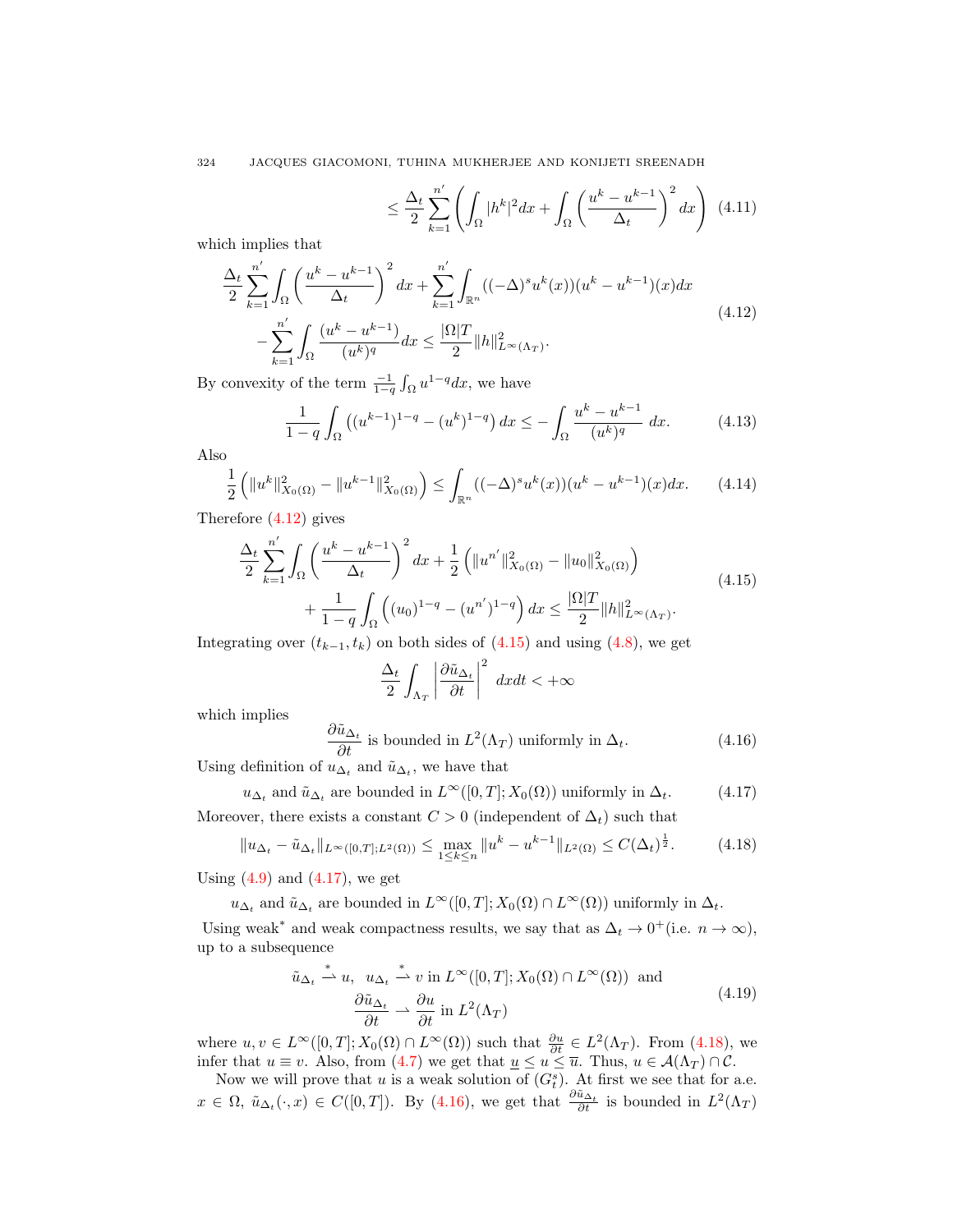324 JACQUES GIACOMONI, TUHINA MUKHERJEE AND KONIJETI SREENADH

$$
\leq \frac{\Delta_t}{2} \sum_{k=1}^{n'} \left( \int_{\Omega} |h^k|^2 dx + \int_{\Omega} \left( \frac{u^k - u^{k-1}}{\Delta_t} \right)^2 dx \right) (4.11)
$$

which implies that

$$
\frac{\Delta_t}{2} \sum_{k=1}^{n'} \int_{\Omega} \left( \frac{u^k - u^{k-1}}{\Delta_t} \right)^2 dx + \sum_{k=1}^{n'} \int_{\mathbb{R}^n} ((-\Delta)^s u^k(x))(u^k - u^{k-1})(x) dx
$$
\n
$$
- \sum_{k=1}^{n'} \int_{\Omega} \frac{(u^k - u^{k-1})}{(u^k)^q} dx \le \frac{|\Omega|T}{2} \|h\|_{L^\infty(\Lambda_T)}^2.
$$
\n(4.12)

By convexity of the term  $\frac{-1}{1-q} \int_{\Omega} u^{1-q} dx$ , we have

$$
\frac{1}{1-q} \int_{\Omega} \left( (u^{k-1})^{1-q} - (u^k)^{1-q} \right) dx \le - \int_{\Omega} \frac{u^k - u^{k-1}}{(u^k)^q} dx. \tag{4.13}
$$

Also

$$
\frac{1}{2} \left( \|u^k\|_{X_0(\Omega)}^2 - \|u^{k-1}\|_{X_0(\Omega)}^2 \right) \le \int_{\mathbb{R}^n} ((-\Delta)^s u^k(x))(u^k - u^{k-1})(x) dx. \tag{4.14}
$$

Therefore (4.12) gives

$$
\frac{\Delta_t}{2} \sum_{k=1}^{n'} \int_{\Omega} \left( \frac{u^k - u^{k-1}}{\Delta_t} \right)^2 dx + \frac{1}{2} \left( \|u^{n'}\|_{X_0(\Omega)}^2 - \|u_0\|_{X_0(\Omega)}^2 \right) + \frac{1}{1-q} \int_{\Omega} \left( (u_0)^{1-q} - (u^{n'})^{1-q} \right) dx \le \frac{|\Omega|T}{2} \|h\|_{L^\infty(\Lambda_T)}^2.
$$
\n(4.15)

Integrating over  $(t_{k-1}, t_k)$  on both sides of  $(4.15)$  and using  $(4.8)$ , we get

$$
\frac{\Delta_t}{2} \int_{\Lambda_T} \left| \frac{\partial \tilde{u}_{\Delta_t}}{\partial t} \right|^2 dx dt < +\infty
$$

which implies

$$
\frac{\partial \tilde{u}_{\Delta_t}}{\partial t}
$$
 is bounded in  $L^2(\Lambda_T)$  uniformly in  $\Delta_t$ . (4.16)

Using definition of  $u_{\Delta_t}$  and  $\tilde{u}_{\Delta_t}$ , we have that

$$
u_{\Delta_t}
$$
 and  $\tilde{u}_{\Delta_t}$  are bounded in  $L^{\infty}([0,T]; X_0(\Omega))$  uniformly in  $\Delta_t$ . (4.17)

Moreover, there exists a constant  $C > 0$  (independent of  $\Delta_t$ ) such that

$$
||u_{\Delta_t} - \tilde{u}_{\Delta_t}||_{L^{\infty}([0,T];L^2(\Omega))} \le \max_{1 \le k \le n} ||u^k - u^{k-1}||_{L^2(\Omega)} \le C(\Delta_t)^{\frac{1}{2}}.
$$
 (4.18)

Using  $(4.9)$  and  $(4.17)$ , we get

 $u_{\Delta_t}$  and  $\tilde{u}_{\Delta_t}$  are bounded in  $L^{\infty}([0,T]; X_0(\Omega) \cap L^{\infty}(\Omega))$  uniformly in  $\Delta_t$ .

Using weak<sup>\*</sup> and weak compactness results, we say that as  $\Delta_t \to 0^+$  (i.e.  $n \to \infty$ ), up to a subsequence

$$
\tilde{u}_{\Delta_t} \stackrel{*}{\rightharpoonup} u, \quad u_{\Delta_t} \stackrel{*}{\rightharpoonup} v \text{ in } L^{\infty}([0, T]; X_0(\Omega) \cap L^{\infty}(\Omega)) \text{ and}
$$
\n
$$
\frac{\partial \tilde{u}_{\Delta_t}}{\partial t} \rightharpoonup \frac{\partial u}{\partial t} \text{ in } L^2(\Lambda_T) \tag{4.19}
$$

where  $u, v \in L^{\infty}([0,T]; X_0(\Omega) \cap L^{\infty}(\Omega))$  such that  $\frac{\partial u}{\partial t} \in L^2(\Lambda_T)$ . From (4.18), we infer that  $u \equiv v$ . Also, from (4.7) we get that  $\underline{u} \le u \le \overline{u}$ . Thus,  $u \in \mathcal{A}(\Lambda_T) \cap \mathcal{C}$ .

Now we will prove that u is a weak solution of  $(G_t^s)$ . At first we see that for a.e.  $x \in \Omega$ ,  $\tilde{u}_{\Delta_t}(\cdot, x) \in C([0, T])$ . By (4.16), we get that  $\frac{\partial \tilde{u}_{\Delta_t}}{\partial t}$  is bounded in  $L^2(\Lambda_T)$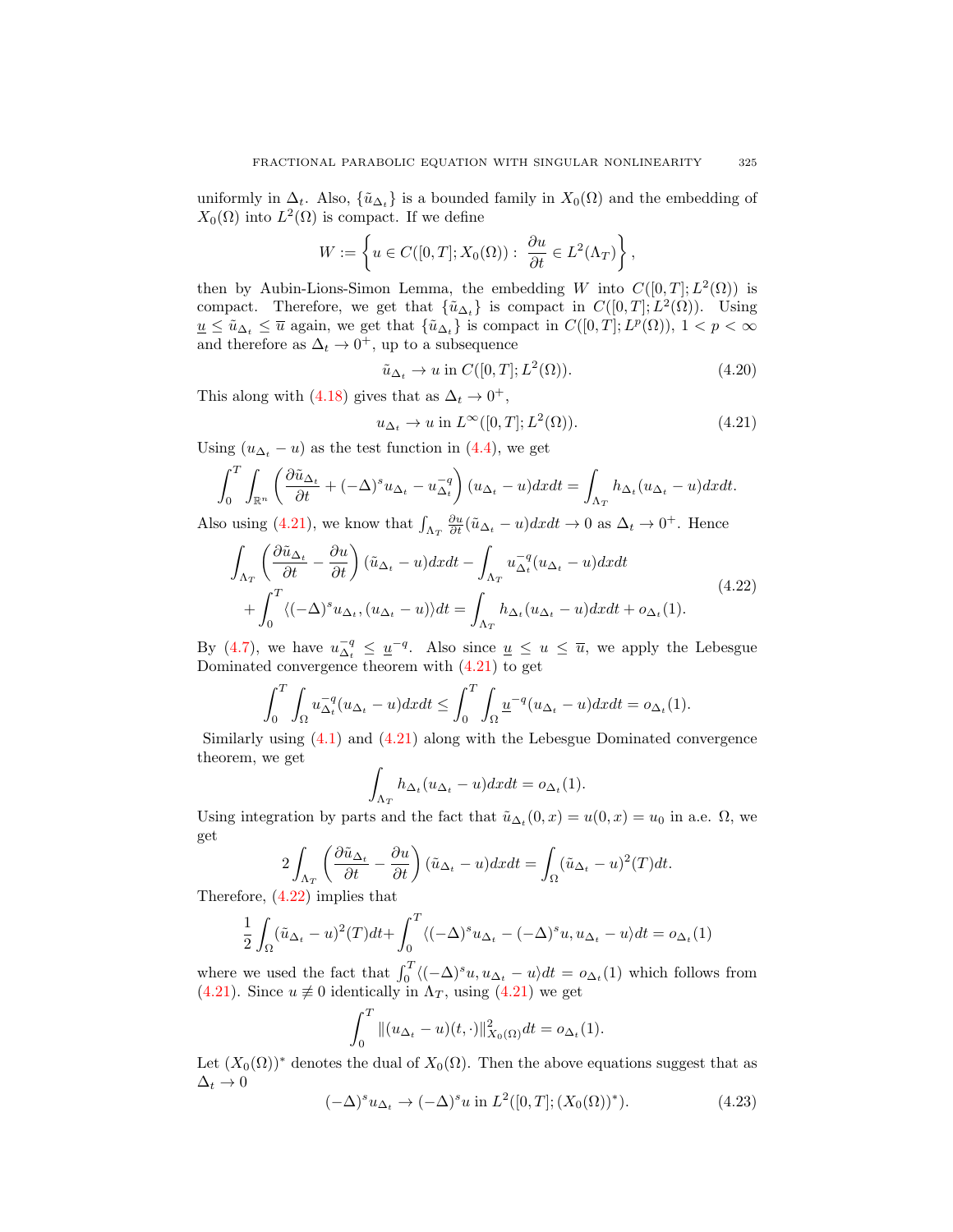uniformly in  $\Delta_t$ . Also,  $\{\tilde{u}_{\Delta_t}\}\$ is a bounded family in  $X_0(\Omega)$  and the embedding of  $X_0(\Omega)$  into  $L^2(\Omega)$  is compact. If we define

$$
W := \left\{ u \in C([0, T]; X_0(\Omega)) : \ \frac{\partial u}{\partial t} \in L^2(\Lambda_T) \right\}
$$

then by Aubin-Lions-Simon Lemma, the embedding W into  $C([0,T]; L^2(\Omega))$  is compact. Therefore, we get that  $\{\tilde{u}_{\Delta_t}\}\$ is compact in  $C([0,T];L^2(\Omega))$ . Using  $\underline{u} \leq \tilde{u}_{\Delta_t} \leq \overline{u}$  again, we get that  $\{\tilde{u}_{\Delta_t}\}\$ is compact in  $C([0,T];L^p(\Omega)), 1 < p < \infty$ and therefore as  $\Delta_t \to 0^+$ , up to a subsequence

$$
\tilde{u}_{\Delta_t} \to u \text{ in } C([0, T]; L^2(\Omega)). \tag{4.20}
$$

,

This along with (4.18) gives that as  $\Delta_t \to 0^+,$ 

$$
u_{\Delta_t} \to u \text{ in } L^{\infty}([0,T]; L^2(\Omega)). \tag{4.21}
$$

Using  $(u_{\Delta_t} - u)$  as the test function in (4.4), we get

$$
\int_0^T \int_{\mathbb{R}^n} \left( \frac{\partial \tilde{u}_{\Delta_t}}{\partial t} + (-\Delta)^s u_{\Delta_t} - u_{\Delta_t}^{-q} \right) (u_{\Delta_t} - u) dx dt = \int_{\Lambda_T} h_{\Delta_t} (u_{\Delta_t} - u) dx dt.
$$

Also using (4.21), we know that  $\int_{\Lambda_T} \frac{\partial u}{\partial t}(\tilde{u}_{\Delta_t} - u) dx dt \to 0$  as  $\Delta_t \to 0^+$ . Hence

$$
\int_{\Lambda_T} \left( \frac{\partial \tilde{u}_{\Delta_t}}{\partial t} - \frac{\partial u}{\partial t} \right) (\tilde{u}_{\Delta_t} - u) dx dt - \int_{\Lambda_T} u_{\Delta_t}^{-q} (u_{\Delta_t} - u) dx dt + \int_0^T \langle (-\Delta)^s u_{\Delta_t}, (u_{\Delta_t} - u) \rangle dt = \int_{\Lambda_T} h_{\Delta_t} (u_{\Delta_t} - u) dx dt + o_{\Delta_t}(1).
$$
\n(4.22)

By (4.7), we have  $u_{\Delta_t}^{-q} \leq \underline{u}^{-q}$ . Also since  $\underline{u} \leq u \leq \overline{u}$ , we apply the Lebesgue Dominated convergence theorem with (4.21) to get

$$
\int_0^T \int_{\Omega} u_{\Delta_t}^{-q} (u_{\Delta_t} - u) dx dt \le \int_0^T \int_{\Omega} \underline{u}^{-q} (u_{\Delta_t} - u) dx dt = o_{\Delta_t}(1).
$$

Similarly using (4.1) and (4.21) along with the Lebesgue Dominated convergence theorem, we get

$$
\int_{\Lambda_T} h_{\Delta_t}(u_{\Delta_t} - u) dx dt = o_{\Delta_t}(1).
$$

Using integration by parts and the fact that  $\tilde{u}_{\Delta_t}(0, x) = u(0, x) = u_0$  in a.e.  $\Omega$ , we get

$$
2\int_{\Lambda_T} \left(\frac{\partial \tilde{u}_{\Delta_t}}{\partial t} - \frac{\partial u}{\partial t}\right) (\tilde{u}_{\Delta_t} - u) dx dt = \int_{\Omega} (\tilde{u}_{\Delta_t} - u)^2 (T) dt.
$$

Therefore, (4.22) implies that

$$
\frac{1}{2} \int_{\Omega} (\tilde{u}_{\Delta_t} - u)^2 (T) dt + \int_0^T \langle (-\Delta)^s u_{\Delta_t} - (-\Delta)^s u, u_{\Delta_t} - u \rangle dt = o_{\Delta_t}(1)
$$

where we used the fact that  $\int_0^T \langle (-\Delta)^s u, u_{\Delta_t} - u \rangle dt = o_{\Delta_t}(1)$  which follows from (4.21). Since  $u \neq 0$  identically in  $\Lambda_T$ , using (4.21) we get

$$
\int_0^T \|(u_{\Delta_t} - u)(t, \cdot)\|_{X_0(\Omega)}^2 dt = o_{\Delta_t}(1).
$$

Let  $(X_0(\Omega))^*$  denotes the dual of  $X_0(\Omega)$ . Then the above equations suggest that as  $\Delta_t \to 0$ 

$$
(-\Delta)^s u_{\Delta_t} \to (-\Delta)^s u \text{ in } L^2([0,T]; (X_0(\Omega))^*).
$$
 (4.23)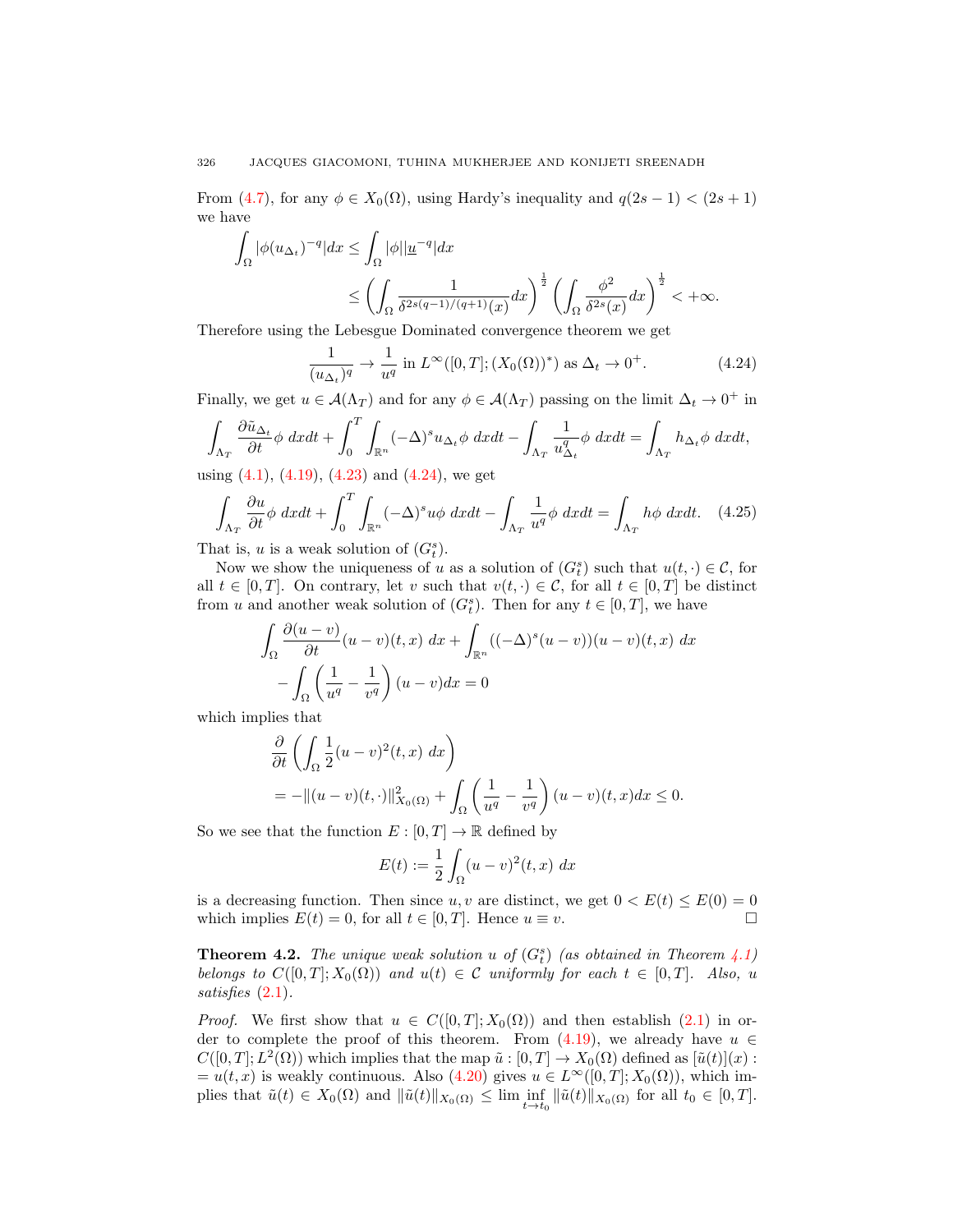From (4.7), for any  $\phi \in X_0(\Omega)$ , using Hardy's inequality and  $q(2s-1) < (2s+1)$ we have

$$
\int_{\Omega} |\phi(u_{\Delta_t})^{-q}| dx \le \int_{\Omega} |\phi||\underline{u}^{-q}| dx
$$
  

$$
\le \left(\int_{\Omega} \frac{1}{\delta^{2s(q-1)/(q+1)}(x)} dx\right)^{\frac{1}{2}} \left(\int_{\Omega} \frac{\phi^2}{\delta^{2s}(x)} dx\right)^{\frac{1}{2}} < +\infty.
$$

Therefore using the Lebesgue Dominated convergence theorem we get

$$
\frac{1}{(u_{\Delta_t})^q} \to \frac{1}{u^q} \text{ in } L^{\infty}([0,T]; (X_0(\Omega))^*) \text{ as } \Delta_t \to 0^+.
$$
 (4.24)

Finally, we get  $u \in \mathcal{A}(\Lambda_T)$  and for any  $\phi \in \mathcal{A}(\Lambda_T)$  passing on the limit  $\Delta_t \to 0^+$  in

$$
\int_{\Lambda_T} \frac{\partial \tilde{u}_{\Delta_t}}{\partial t} \phi \, dxdt + \int_0^T \int_{\mathbb{R}^n} (-\Delta)^s u_{\Delta_t} \phi \, dxdt - \int_{\Lambda_T} \frac{1}{u_{\Delta_t}^q} \phi \, dxdt = \int_{\Lambda_T} h_{\Delta_t} \phi \, dxdt,
$$

using  $(4.1)$ ,  $(4.19)$ ,  $(4.23)$  and  $(4.24)$ , we get

$$
\int_{\Lambda_T} \frac{\partial u}{\partial t} \phi \, dxdt + \int_0^T \int_{\mathbb{R}^n} (-\Delta)^s u \phi \, dxdt - \int_{\Lambda_T} \frac{1}{u^q} \phi \, dxdt = \int_{\Lambda_T} h \phi \, dxdt. \tag{4.25}
$$

That is, u is a weak solution of  $(G_t^s)$ .

Now we show the uniqueness of u as a solution of  $(G_t^s)$  such that  $u(t, \cdot) \in \mathcal{C}$ , for all  $t \in [0, T]$ . On contrary, let v such that  $v(t, \cdot) \in \mathcal{C}$ , for all  $t \in [0, T]$  be distinct from u and another weak solution of  $(G_t^s)$ . Then for any  $t \in [0, T]$ , we have

$$
\int_{\Omega} \frac{\partial(u-v)}{\partial t} (u-v)(t,x) dx + \int_{\mathbb{R}^n} ((-\Delta)^s (u-v))(u-v)(t,x) dx
$$

$$
- \int_{\Omega} \left(\frac{1}{u^q} - \frac{1}{v^q}\right) (u-v) dx = 0
$$

which implies that

$$
\frac{\partial}{\partial t} \left( \int_{\Omega} \frac{1}{2} (u - v)^2 (t, x) dx \right)
$$
  
= 
$$
- \|(u - v)(t, \cdot)\|_{X_0(\Omega)}^2 + \int_{\Omega} \left( \frac{1}{u^q} - \frac{1}{v^q} \right) (u - v)(t, x) dx \le 0.
$$

So we see that the function  $E : [0, T] \to \mathbb{R}$  defined by

$$
E(t) := \frac{1}{2} \int_{\Omega} (u - v)^2(t, x) dx
$$

is a decreasing function. Then since u, v are distinct, we get  $0 < E(t) \le E(0) = 0$ which implies  $E(t) = 0$ , for all  $t \in [0, T]$ . Hence  $u \equiv v$ .

**Theorem 4.2.** The unique weak solution u of  $(G_t^s)$  (as obtained in Theorem 4.1) *belongs to*  $C([0, T]; X_0(\Omega))$  *and*  $u(t) \in C$  *uniformly for each*  $t \in [0, T]$ *. Also,* u *satisfies* (2.1)*.*

*Proof.* We first show that  $u \in C([0,T]; X_0(\Omega))$  and then establish (2.1) in order to complete the proof of this theorem. From  $(4.19)$ , we already have  $u \in$  $C([0,T];L^2(\Omega))$  which implies that the map  $\tilde{u}:[0,T] \to X_0(\Omega)$  defined as  $[\tilde{u}(t)](x)$ :  $= u(t, x)$  is weakly continuous. Also (4.20) gives  $u \in L^{\infty}([0, T]; X_0(\Omega))$ , which implies that  $\tilde{u}(t) \in X_0(\Omega)$  and  $\|\tilde{u}(t)\|_{X_0(\Omega)} \leq \lim \inf_{t \to t_0} \|\tilde{u}(t)\|_{X_0(\Omega)}$  for all  $t_0 \in [0, T]$ .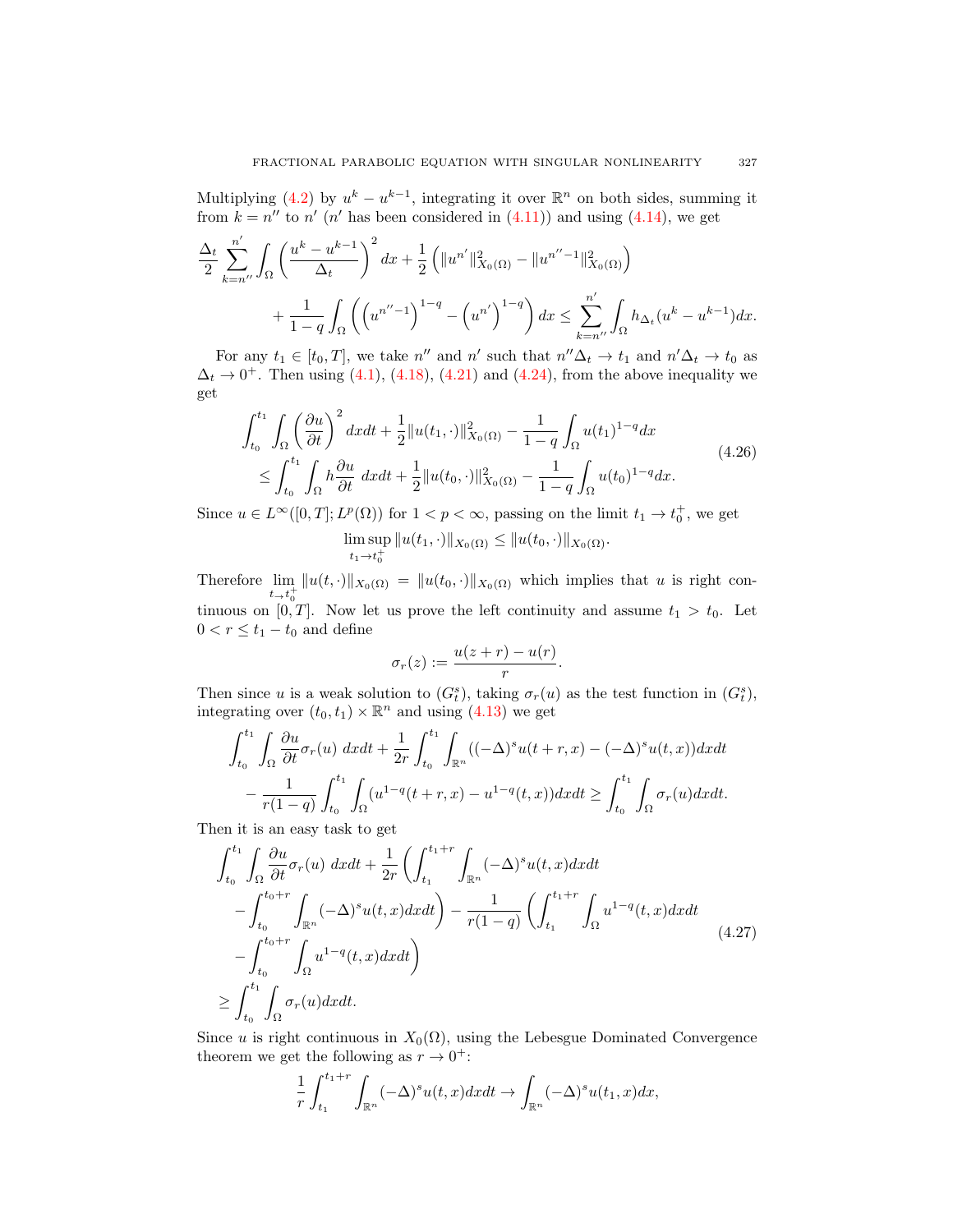Multiplying (4.2) by  $u^k - u^{k-1}$ , integrating it over  $\mathbb{R}^n$  on both sides, summing it from  $k = n''$  to n' (n' has been considered in (4.11)) and using (4.14), we get

$$
\frac{\Delta_t}{2} \sum_{k=n''}^{n'} \int_{\Omega} \left( \frac{u^k - u^{k-1}}{\Delta_t} \right)^2 dx + \frac{1}{2} \left( \|u^{n'}\|_{X_0(\Omega)}^2 - \|u^{n''-1}\|_{X_0(\Omega)}^2 \right) + \frac{1}{1-q} \int_{\Omega} \left( \left(u^{n''-1}\right)^{1-q} - \left(u^{n'}\right)^{1-q} \right) dx \le \sum_{k=n''}^{n'} \int_{\Omega} h_{\Delta_t}(u^k - u^{k-1}) dx.
$$

For any  $t_1 \in [t_0, T]$ , we take n'' and n' such that  $n''\Delta_t \to t_1$  and  $n'\Delta_t \to t_0$  as  $\Delta_t \rightarrow 0^+$ . Then using (4.1), (4.18), (4.21) and (4.24), from the above inequality we get

$$
\int_{t_0}^{t_1} \int_{\Omega} \left(\frac{\partial u}{\partial t}\right)^2 dxdt + \frac{1}{2} \|u(t_1, \cdot)\|_{X_0(\Omega)}^2 - \frac{1}{1-q} \int_{\Omega} u(t_1)^{1-q} dx
$$
\n
$$
\leq \int_{t_0}^{t_1} \int_{\Omega} h \frac{\partial u}{\partial t} dxdt + \frac{1}{2} \|u(t_0, \cdot)\|_{X_0(\Omega)}^2 - \frac{1}{1-q} \int_{\Omega} u(t_0)^{1-q} dx.
$$
\n(4.26)

Since  $u \in L^{\infty}([0,T]; L^p(\Omega))$  for  $1 < p < \infty$ , passing on the limit  $t_1 \to t_0^+$ , we get lim sup  $t_1 \rightarrow t_0^+$  $||u(t_1, \cdot)||_{X_0(\Omega)} \leq ||u(t_0, \cdot)||_{X_0(\Omega)}.$ 

Therefore  $\lim_{t\to t_0^+} ||u(t,\cdot)||_{X_0(\Omega)} = ||u(t_0,\cdot)||_{X_0(\Omega)}$  which implies that u is right continuous on  $[0, T]$ . Now let us prove the left continuity and assume  $t_1 > t_0$ . Let  $0 < r \leq t_1 - t_0$  and define

$$
\sigma_r(z) := \frac{u(z+r) - u(r)}{r}.
$$

Then since u is a weak solution to  $(G_t^s)$ , taking  $\sigma_r(u)$  as the test function in  $(G_t^s)$ , integrating over  $(t_0, t_1) \times \mathbb{R}^n$  and using  $(4.13)$  we get

$$
\int_{t_0}^{t_1} \int_{\Omega} \frac{\partial u}{\partial t} \sigma_r(u) \, dx dt + \frac{1}{2r} \int_{t_0}^{t_1} \int_{\mathbb{R}^n} ((-\Delta)^s u(t+r, x) - (-\Delta)^s u(t, x)) dx dt
$$

$$
- \frac{1}{r(1-q)} \int_{t_0}^{t_1} \int_{\Omega} (u^{1-q}(t+r, x) - u^{1-q}(t, x)) dx dt \ge \int_{t_0}^{t_1} \int_{\Omega} \sigma_r(u) dx dt.
$$

Then it is an easy task to get

$$
\int_{t_0}^{t_1} \int_{\Omega} \frac{\partial u}{\partial t} \sigma_r(u) \, dxdt + \frac{1}{2r} \left( \int_{t_1}^{t_1+r} \int_{\mathbb{R}^n} (-\Delta)^s u(t, x) dxdt \right.\n- \int_{t_0}^{t_0+r} \int_{\mathbb{R}^n} (-\Delta)^s u(t, x) dxdt \right) - \frac{1}{r(1-q)} \left( \int_{t_1}^{t_1+r} \int_{\Omega} u^{1-q}(t, x) dxdt \right.\n- \int_{t_0}^{t_0+r} \int_{\Omega} u^{1-q}(t, x) dxdt \right) \n\geq \int_{t_0}^{t_1} \int_{\Omega} \sigma_r(u) dxdt.
$$
\n(4.27)

Since u is right continuous in  $X_0(\Omega)$ , using the Lebesgue Dominated Convergence theorem we get the following as  $r \to 0^+$ :

$$
\frac{1}{r} \int_{t_1}^{t_1+r} \int_{\mathbb{R}^n} (-\Delta)^s u(t,x) dx dt \to \int_{\mathbb{R}^n} (-\Delta)^s u(t_1,x) dx,
$$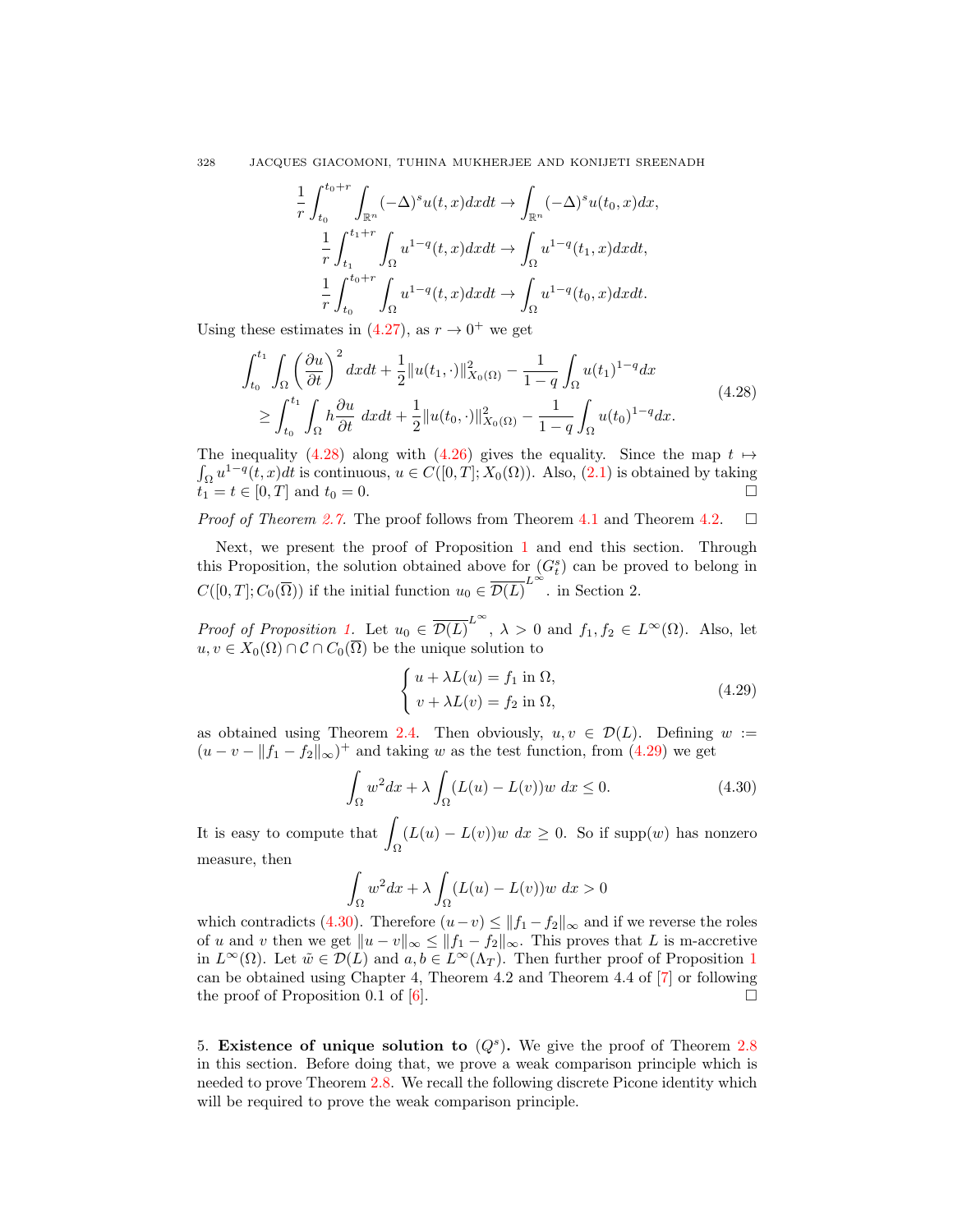328 JACQUES GIACOMONI, TUHINA MUKHERJEE AND KONIJETI SREENADH

$$
\frac{1}{r} \int_{t_0}^{t_0+r} \int_{\mathbb{R}^n} (-\Delta)^s u(t, x) dx dt \to \int_{\mathbb{R}^n} (-\Delta)^s u(t_0, x) dx,
$$
  

$$
\frac{1}{r} \int_{t_1}^{t_1+r} \int_{\Omega} u^{1-q}(t, x) dx dt \to \int_{\Omega} u^{1-q}(t_1, x) dx dt,
$$
  

$$
\frac{1}{r} \int_{t_0}^{t_0+r} \int_{\Omega} u^{1-q}(t, x) dx dt \to \int_{\Omega} u^{1-q}(t_0, x) dx dt.
$$

Using these estimates in  $(4.27)$ , as  $r \to 0^+$  we get

$$
\int_{t_0}^{t_1} \int_{\Omega} \left(\frac{\partial u}{\partial t}\right)^2 dx dt + \frac{1}{2} \|u(t_1, \cdot)\|_{X_0(\Omega)}^2 - \frac{1}{1-q} \int_{\Omega} u(t_1)^{1-q} dx
$$
\n
$$
\geq \int_{t_0}^{t_1} \int_{\Omega} h \frac{\partial u}{\partial t} dx dt + \frac{1}{2} \|u(t_0, \cdot)\|_{X_0(\Omega)}^2 - \frac{1}{1-q} \int_{\Omega} u(t_0)^{1-q} dx.
$$
\n(4.28)

The inequality (4.28) along with (4.26) gives the equality. Since the map  $t \mapsto$  $\int_{\Omega} u^{1-q}(t, x) dt$  is continuous,  $u \in C([0, T]; X_0(\Omega))$ . Also,  $(2.1)$  is obtained by taking  $t_1 = t \in [0, T]$  and  $t_0 = 0$ .

*Proof of Theorem 2.7.* The proof follows from Theorem 4.1 and Theorem 4.2. □

Next, we present the proof of Proposition 1 and end this section. Through this Proposition, the solution obtained above for  $(G_t^s)$  can be proved to belong in  $C([0, T]; C_0(\overline{\Omega}))$  if the initial function  $u_0 \in \overline{\mathcal{D}(L)}^{L^{\infty}}$ . in Section 2.

*Proof of Proposition 1.* Let  $u_0 \in \overline{\mathcal{D}(L)}^{L^{\infty}}$ ,  $\lambda > 0$  and  $f_1, f_2 \in L^{\infty}(\Omega)$ . Also, let  $u, v \in X_0(\Omega) \cap C \cap C_0(\overline{\Omega})$  be the unique solution to

$$
\begin{cases}\n u + \lambda L(u) = f_1 \text{ in } \Omega, \\
 v + \lambda L(v) = f_2 \text{ in } \Omega,\n\end{cases}
$$
\n(4.29)

as obtained using Theorem 2.4. Then obviously,  $u, v \in \mathcal{D}(L)$ . Defining  $w :=$  $(u - v - ||f_1 - f_2||_{\infty})^+$  and taking w as the test function, from (4.29) we get

$$
\int_{\Omega} w^2 dx + \lambda \int_{\Omega} (L(u) - L(v))w dx \le 0.
$$
\n(4.30)

It is easy to compute that  $\overline{\phantom{a}}$ Ω  $(L(u) - L(v))w dx \geq 0$ . So if supp $(w)$  has nonzero measure, then

$$
\int_{\Omega} w^2 dx + \lambda \int_{\Omega} (L(u) - L(v))w dx > 0
$$

which contradicts (4.30). Therefore  $(u-v) \le ||f_1 - f_2||_{\infty}$  and if we reverse the roles of u and v then we get  $||u - v||_{\infty} \le ||f_1 - f_2||_{\infty}$ . This proves that L is m-accretive in  $L^{\infty}(\Omega)$ . Let  $\tilde{w} \in \mathcal{D}(L)$  and  $a, b \in L^{\infty}(\Lambda_T)$ . Then further proof of Proposition 1 can be obtained using Chapter 4, Theorem 4.2 and Theorem 4.4 of [7] or following the proof of Proposition 0.1 of [6].  $\Box$ 

5. Existence of unique solution to  $(Q<sup>s</sup>)$ . We give the proof of Theorem 2.8 in this section. Before doing that, we prove a weak comparison principle which is needed to prove Theorem 2.8. We recall the following discrete Picone identity which will be required to prove the weak comparison principle.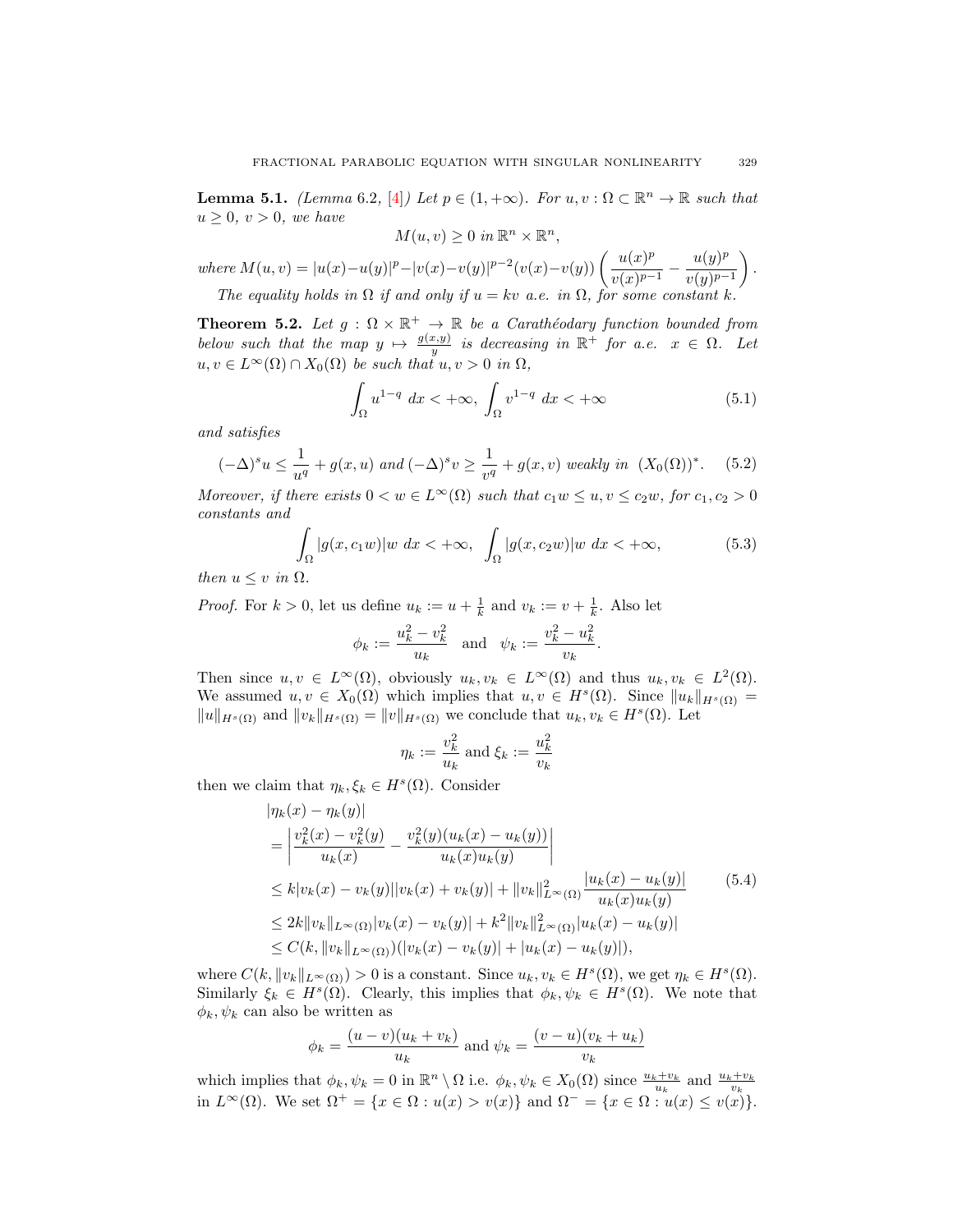**Lemma 5.1.** *(Lemma* 6.2, [4]*)* Let  $p \in (1, +\infty)$ *. For*  $u, v : \Omega \subset \mathbb{R}^n \to \mathbb{R}$  such that  $u > 0$ ,  $v > 0$ , we have

$$
M(u, v) \ge 0 \ in \ \mathbb{R}^n \times \mathbb{R}^n,
$$

*where*  $M(u, v) = |u(x)-u(y)|^p - |v(x)-v(y)|^{p-2}(v(x)-v(y)) \left( \frac{u(x)^p}{(x-p)^p} \right)$  $\frac{u(x)^p}{v(x)^{p-1}} - \frac{u(y)^p}{v(y)^{p-1}}$  $v(y)^{p-1}$  $\big).$ *The equality holds in*  $\Omega$  *if and only if*  $u = kv$  *a.e. in*  $\Omega$ *, for some constant* k.

**Theorem 5.2.** Let  $g : \Omega \times \mathbb{R}^+ \to \mathbb{R}$  be a Carathéodary function bounded from *below such that the map*  $y \mapsto \frac{g(x,y)}{y}$  *is decreasing in*  $\mathbb{R}^+$  *for a.e.*  $x \in \Omega$ *. Let*  $u, v \in L^{\infty}(\Omega) \cap X_0(\Omega)$  *be such that*  $u, v > 0$  *in*  $\Omega$ *,* 

$$
\int_{\Omega} u^{1-q} dx < +\infty, \int_{\Omega} v^{1-q} dx < +\infty \tag{5.1}
$$

*and satisfies*

$$
(-\Delta)^s u \le \frac{1}{u^q} + g(x, u) \text{ and } (-\Delta)^s v \ge \frac{1}{v^q} + g(x, v) \text{ weakly in } (X_0(\Omega))^*. \tag{5.2}
$$

*Moreover, if there exists*  $0 < w \in L^{\infty}(\Omega)$  *such that*  $c_1w \leq u, v \leq c_2w$ , for  $c_1, c_2 > 0$ *constants and*

$$
\int_{\Omega} |g(x, c_1 w)| w \ dx < +\infty, \quad \int_{\Omega} |g(x, c_2 w)| w \ dx < +\infty,
$$
\n(5.3)

*then*  $u \leq v$  *in*  $\Omega$ *.* 

*Proof.* For  $k > 0$ , let us define  $u_k := u + \frac{1}{k}$  and  $v_k := v + \frac{1}{k}$ . Also let

$$
\phi_k := \frac{u_k^2 - v_k^2}{u_k}
$$
 and  $\psi_k := \frac{v_k^2 - u_k^2}{v_k}$ .

Then since  $u, v \in L^{\infty}(\Omega)$ , obviously  $u_k, v_k \in L^{\infty}(\Omega)$  and thus  $u_k, v_k \in L^2(\Omega)$ . We assumed  $u, v \in X_0(\Omega)$  which implies that  $u, v \in H^s(\Omega)$ . Since  $||u_k||_{H^s(\Omega)} =$  $||u||_{H^s(\Omega)}$  and  $||v_k||_{H^s(\Omega)} = ||v||_{H^s(\Omega)}$  we conclude that  $u_k, v_k \in H^s(\Omega)$ . Let

$$
\eta_k := \frac{v_k^2}{u_k} \text{ and } \xi_k := \frac{u_k^2}{v_k}
$$

then we claim that  $\eta_k, \xi_k \in H^s(\Omega)$ . Consider

$$
\begin{split}\n|\eta_k(x) - \eta_k(y)| \\
&= \left| \frac{v_k^2(x) - v_k^2(y)}{u_k(x)} - \frac{v_k^2(y)(u_k(x) - u_k(y))}{u_k(x)u_k(y)} \right| \\
&\le k|v_k(x) - v_k(y)||v_k(x) + v_k(y)| + \|v_k\|_{L^\infty(\Omega)}^2 \frac{|u_k(x) - u_k(y)|}{u_k(x)u_k(y)} \\
&\le 2k\|v_k\|_{L^\infty(\Omega)}|v_k(x) - v_k(y)| + k^2\|v_k\|_{L^\infty(\Omega)}^2|u_k(x) - u_k(y)| \\
&\le C(k, \|v_k\|_{L^\infty(\Omega)})(|v_k(x) - v_k(y)| + |u_k(x) - u_k(y)|),\n\end{split} \tag{5.4}
$$

where  $C(k, ||v_k||_{L^{\infty}(\Omega)}) > 0$  is a constant. Since  $u_k, v_k \in H^s(\Omega)$ , we get  $\eta_k \in H^s(\Omega)$ . Similarly  $\xi_k \in H^s(\Omega)$ . Clearly, this implies that  $\phi_k, \psi_k \in H^s(\Omega)$ . We note that  $\phi_k, \psi_k$  can also be written as

$$
\phi_k = \frac{(u - v)(u_k + v_k)}{u_k}
$$
 and  $\psi_k = \frac{(v - u)(v_k + u_k)}{v_k}$ 

which implies that  $\phi_k, \psi_k = 0$  in  $\mathbb{R}^n \setminus \Omega$  i.e.  $\phi_k, \psi_k \in X_0(\Omega)$  since  $\frac{u_k + v_k}{u_k}$  and  $\frac{u_k + v_k}{v_k}$ in  $L^{\infty}(\Omega)$ . We set  $\Omega^{+} = \{x \in \Omega : u(x) > v(x)\}\$ and  $\Omega^{-} = \{x \in \Omega : u(x) \leq v(x)\}\$ .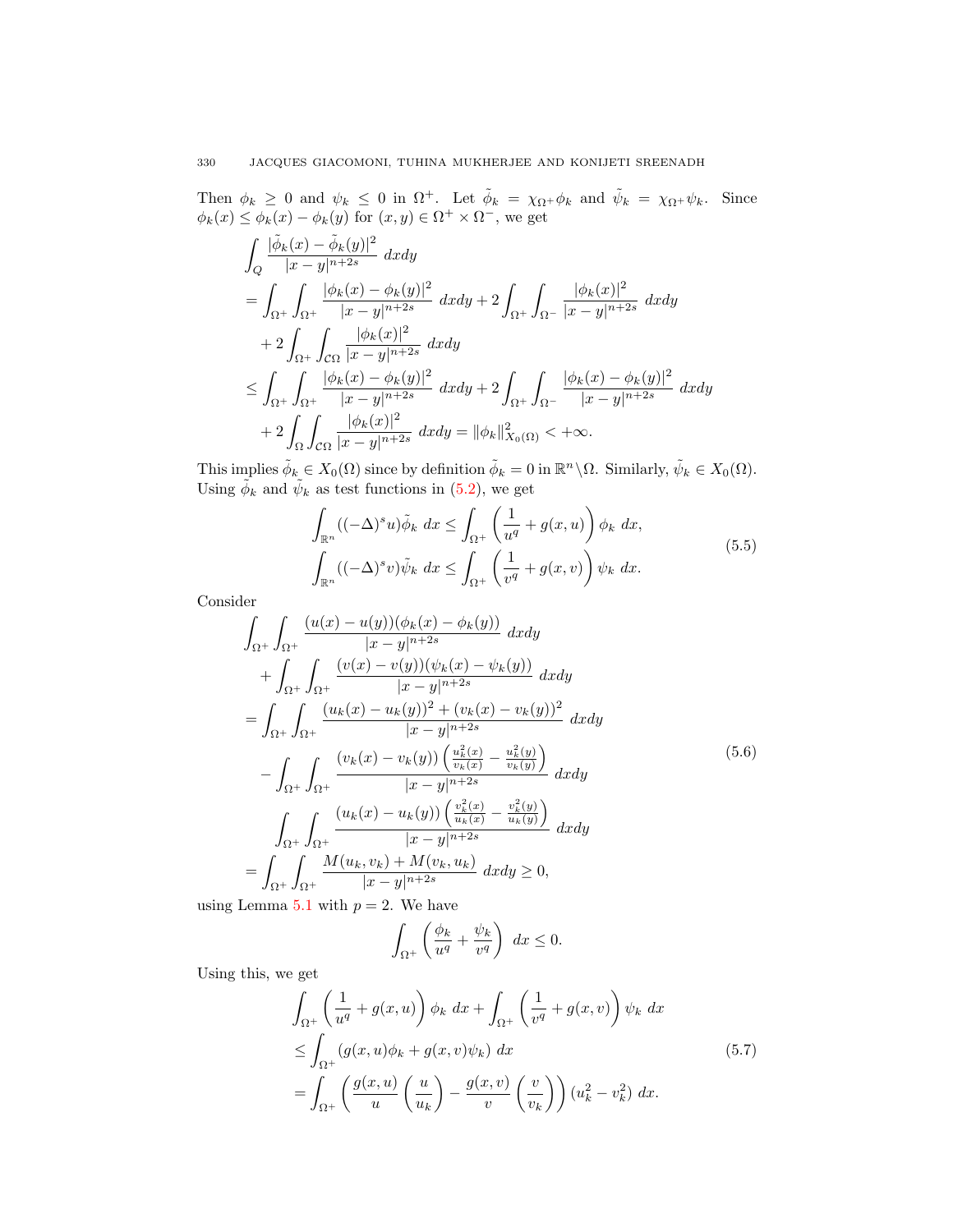Then  $\phi_k \geq 0$  and  $\psi_k \leq 0$  in  $\Omega^+$ . Let  $\tilde{\phi}_k = \chi_{\Omega^+} \phi_k$  and  $\tilde{\psi}_k = \chi_{\Omega^+} \psi_k$ . Since  $\phi_k(x) \leq \phi_k(x) - \phi_k(y)$  for  $(x, y) \in \Omega^+ \times \Omega^-$ , we get

$$
\int_{Q} \frac{|\tilde{\phi}_{k}(x) - \tilde{\phi}_{k}(y)|^{2}}{|x - y|^{n+2s}} dx dy
$$
\n
$$
= \int_{\Omega^{+}} \int_{\Omega^{+}} \frac{|\phi_{k}(x) - \phi_{k}(y)|^{2}}{|x - y|^{n+2s}} dx dy + 2 \int_{\Omega^{+}} \int_{\Omega^{-}} \frac{|\phi_{k}(x)|^{2}}{|x - y|^{n+2s}} dx dy
$$
\n
$$
+ 2 \int_{\Omega^{+}} \int_{C\Omega} \frac{|\phi_{k}(x)|^{2}}{|x - y|^{n+2s}} dx dy
$$
\n
$$
\leq \int_{\Omega^{+}} \int_{\Omega^{+}} \frac{|\phi_{k}(x) - \phi_{k}(y)|^{2}}{|x - y|^{n+2s}} dx dy + 2 \int_{\Omega^{+}} \int_{\Omega^{-}} \frac{|\phi_{k}(x) - \phi_{k}(y)|^{2}}{|x - y|^{n+2s}} dx dy
$$
\n
$$
+ 2 \int_{\Omega} \int_{C\Omega} \frac{|\phi_{k}(x)|^{2}}{|x - y|^{n+2s}} dx dy = ||\phi_{k}||_{X_{0}(\Omega)}^{2} < +\infty.
$$

This implies  $\tilde{\phi}_k \in X_0(\Omega)$  since by definition  $\tilde{\phi}_k = 0$  in  $\mathbb{R}^n \setminus \Omega$ . Similarly,  $\tilde{\psi}_k \in X_0(\Omega)$ . Using  $\tilde{\phi}_k$  and  $\tilde{\psi}_k$  as test functions in (5.2), we get

$$
\int_{\mathbb{R}^n} ((-\Delta)^s u) \tilde{\phi}_k \, dx \le \int_{\Omega^+} \left( \frac{1}{u^q} + g(x, u) \right) \phi_k \, dx,
$$
\n
$$
\int_{\mathbb{R}^n} ((-\Delta)^s v) \tilde{\psi}_k \, dx \le \int_{\Omega^+} \left( \frac{1}{v^q} + g(x, v) \right) \psi_k \, dx.
$$
\n(5.5)

Consider

$$
\int_{\Omega^{+}} \int_{\Omega^{+}} \frac{(u(x) - u(y))(\phi_{k}(x) - \phi_{k}(y))}{|x - y|^{n+2s}} dx dy \n+ \int_{\Omega^{+}} \int_{\Omega^{+}} \frac{(v(x) - v(y))(\psi_{k}(x) - \psi_{k}(y))}{|x - y|^{n+2s}} dx dy \n= \int_{\Omega^{+}} \int_{\Omega^{+}} \frac{(u_{k}(x) - u_{k}(y))^{2} + (v_{k}(x) - v_{k}(y))^{2}}{|x - y|^{n+2s}} dx dy \n- \int_{\Omega^{+}} \int_{\Omega^{+}} \frac{(v_{k}(x) - v_{k}(y))(\frac{u_{k}^{2}(x)}{v_{k}(x)} - \frac{u_{k}^{2}(y)}{v_{k}(y)})}{|x - y|^{n+2s}} dx dy \n= \int_{\Omega^{+}} \int_{\Omega^{+}} \frac{(u_{k}(x) - u_{k}(y))(\frac{v_{k}^{2}(x)}{u_{k}(x)} - \frac{v_{k}^{2}(y)}{u_{k}(y)})}{|x - y|^{n+2s}} dx dy \n= \int_{\Omega^{+}} \int_{\Omega^{+}} \frac{M(u_{k}, v_{k}) + M(v_{k}, u_{k})}{|x - y|^{n+2s}} dx dy \ge 0,
$$

using Lemma 5.1 with  $p = 2$ . We have

$$
\int_{\Omega^+} \left( \frac{\phi_k}{u^q} + \frac{\psi_k}{v^q} \right) dx \le 0.
$$

Using this, we get

$$
\int_{\Omega^+} \left( \frac{1}{u^q} + g(x, u) \right) \phi_k \, dx + \int_{\Omega^+} \left( \frac{1}{v^q} + g(x, v) \right) \psi_k \, dx
$$
\n
$$
\leq \int_{\Omega^+} (g(x, u)\phi_k + g(x, v)\psi_k) \, dx \tag{5.7}
$$
\n
$$
= \int_{\Omega^+} \left( \frac{g(x, u)}{u} \left( \frac{u}{u_k} \right) - \frac{g(x, v)}{v} \left( \frac{v}{v_k} \right) \right) (u_k^2 - v_k^2) \, dx.
$$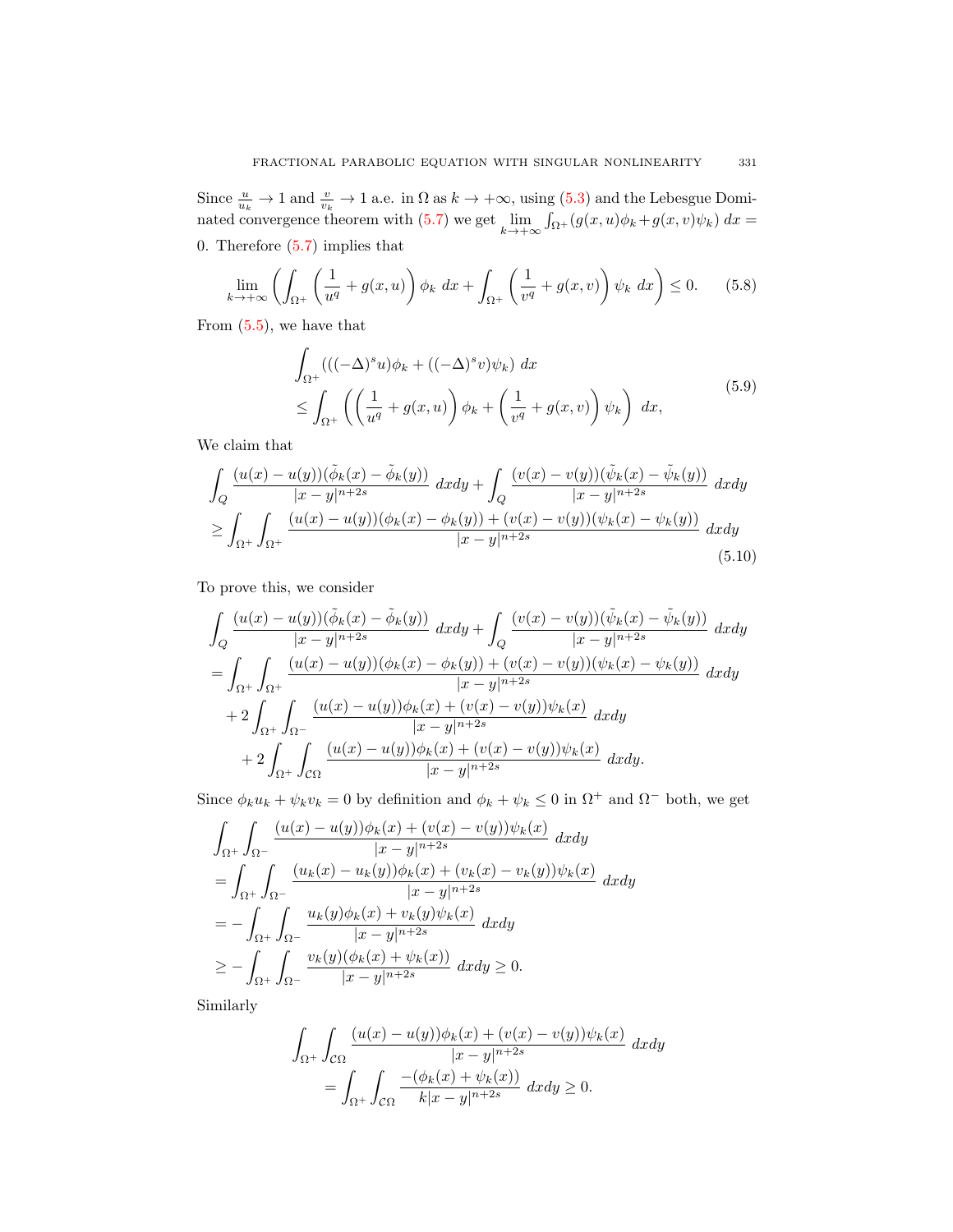Since  $\frac{u}{u_k} \to 1$  and  $\frac{v}{v_k} \to 1$  a.e. in  $\Omega$  as  $k \to +\infty$ , using (5.3) and the Lebesgue Dominated convergence theorem with (5.7) we get  $\lim_{k \to +\infty} \int_{\Omega^+} (g(x, u)\phi_k + g(x, v)\psi_k) dx =$ 0. Therefore (5.7) implies that

$$
\lim_{k \to +\infty} \left( \int_{\Omega^+} \left( \frac{1}{u^q} + g(x, u) \right) \phi_k \, dx + \int_{\Omega^+} \left( \frac{1}{v^q} + g(x, v) \right) \psi_k \, dx \right) \le 0. \tag{5.8}
$$

From (5.5), we have that

$$
\int_{\Omega^+} ((((-\Delta)^s u)\phi_k + ((-\Delta)^s v)\psi_k) dx \leq \int_{\Omega^+} \left( \left( \frac{1}{u^q} + g(x, u) \right) \phi_k + \left( \frac{1}{v^q} + g(x, v) \right) \psi_k \right) dx,
$$
\n(5.9)

We claim that

$$
\int_{Q} \frac{(u(x) - u(y))(\tilde{\phi}_k(x) - \tilde{\phi}_k(y))}{|x - y|^{n+2s}} dx dy + \int_{Q} \frac{(v(x) - v(y))(\tilde{\psi}_k(x) - \tilde{\psi}_k(y))}{|x - y|^{n+2s}} dx dy
$$
\n
$$
\geq \int_{\Omega^+} \int_{\Omega^+} \frac{(u(x) - u(y))(\phi_k(x) - \phi_k(y)) + (v(x) - v(y))(\psi_k(x) - \psi_k(y))}{|x - y|^{n+2s}} dx dy
$$
\n(5.10)

To prove this, we consider

$$
\int_{Q} \frac{(u(x) - u(y))(\tilde{\phi}_{k}(x) - \tilde{\phi}_{k}(y))}{|x - y|^{n+2s}} dx dy + \int_{Q} \frac{(v(x) - v(y))(\tilde{\psi}_{k}(x) - \tilde{\psi}_{k}(y))}{|x - y|^{n+2s}} dx dy \n= \int_{\Omega^{+}} \int_{\Omega^{+}} \frac{(u(x) - u(y))(\phi_{k}(x) - \phi_{k}(y)) + (v(x) - v(y))(\psi_{k}(x) - \psi_{k}(y))}{|x - y|^{n+2s}} dx dy \n+ 2 \int_{\Omega^{+}} \int_{\Omega^{-}} \frac{(u(x) - u(y))\phi_{k}(x) + (v(x) - v(y))\psi_{k}(x)}{|x - y|^{n+2s}} dx dy \n+ 2 \int_{\Omega^{+}} \int_{\mathcal{C}\Omega} \frac{(u(x) - u(y))\phi_{k}(x) + (v(x) - v(y))\psi_{k}(x)}{|x - y|^{n+2s}} dx dy.
$$

Since  $\phi_k u_k + \psi_k v_k = 0$  by definition and  $\phi_k + \psi_k \leq 0$  in  $\Omega^+$  and  $\Omega^-$  both, we get

$$
\int_{\Omega^{+}} \int_{\Omega^{-}} \frac{(u(x) - u(y))\phi_{k}(x) + (v(x) - v(y))\psi_{k}(x)}{|x - y|^{n+2s}} dxdy
$$
\n
$$
= \int_{\Omega^{+}} \int_{\Omega^{-}} \frac{(u_{k}(x) - u_{k}(y))\phi_{k}(x) + (v_{k}(x) - v_{k}(y))\psi_{k}(x)}{|x - y|^{n+2s}} dxdy
$$
\n
$$
= -\int_{\Omega^{+}} \int_{\Omega^{-}} \frac{u_{k}(y)\phi_{k}(x) + v_{k}(y)\psi_{k}(x)}{|x - y|^{n+2s}} dxdy
$$
\n
$$
\geq -\int_{\Omega^{+}} \int_{\Omega^{-}} \frac{v_{k}(y)(\phi_{k}(x) + \psi_{k}(x))}{|x - y|^{n+2s}} dxdy \geq 0.
$$

Similarly

$$
\int_{\Omega^+} \int_{\mathcal{C}\Omega} \frac{(u(x) - u(y))\phi_k(x) + (v(x) - v(y))\psi_k(x)}{|x - y|^{n+2s}} dx dy
$$

$$
= \int_{\Omega^+} \int_{\mathcal{C}\Omega} \frac{-(\phi_k(x) + \psi_k(x))}{k|x - y|^{n+2s}} dx dy \ge 0.
$$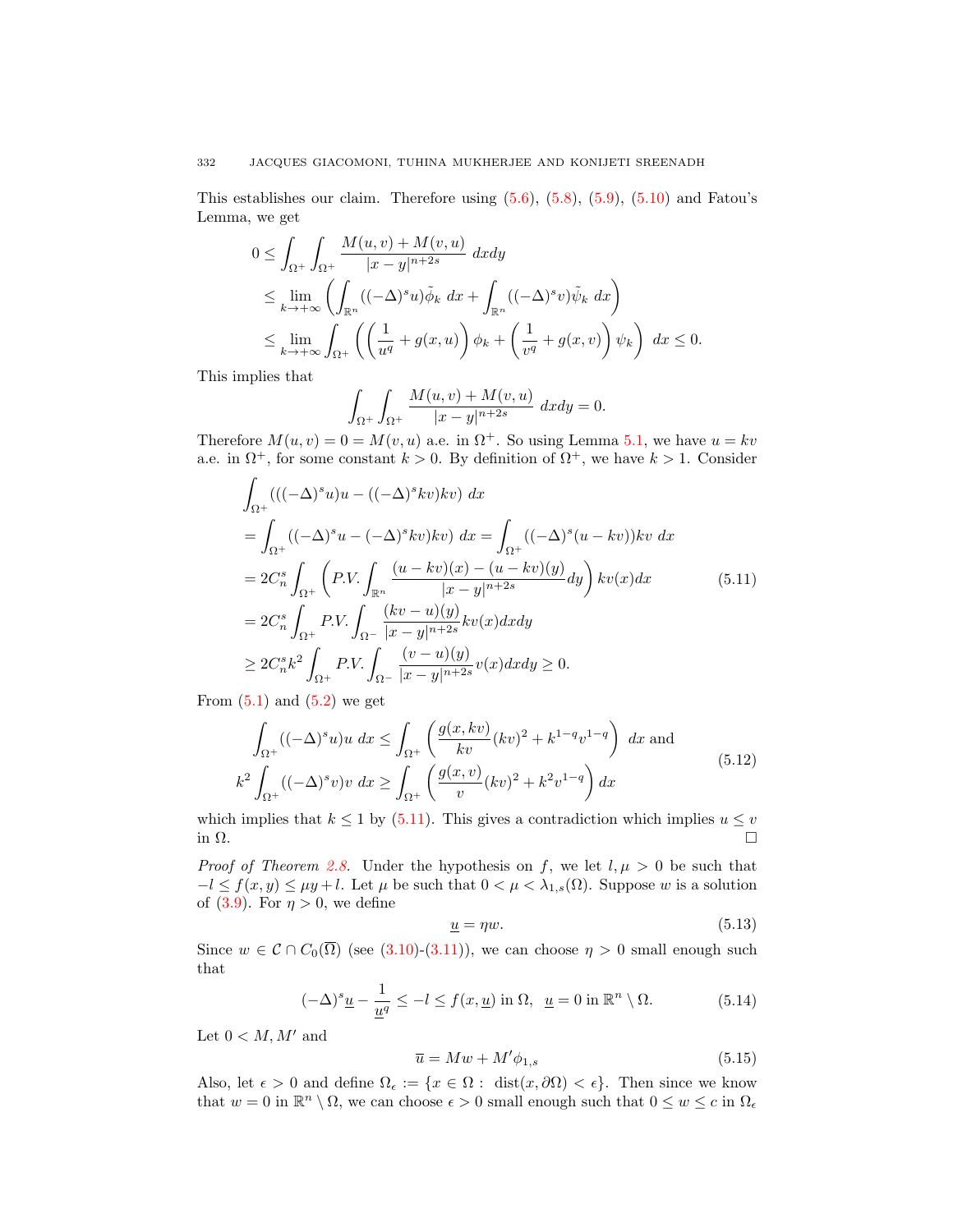## 332 JACQUES GIACOMONI, TUHINA MUKHERJEE AND KONIJETI SREENADH

This establishes our claim. Therefore using  $(5.6)$ ,  $(5.8)$ ,  $(5.9)$ ,  $(5.10)$  and Fatou's Lemma, we get

$$
0 \leq \int_{\Omega^+} \int_{\Omega^+} \frac{M(u, v) + M(v, u)}{|x - y|^{n+2s}} dx dy
$$
  
\n
$$
\leq \lim_{k \to +\infty} \left( \int_{\mathbb{R}^n} ((-\Delta)^s u) \tilde{\phi}_k dx + \int_{\mathbb{R}^n} ((-\Delta)^s v) \tilde{\psi}_k dx \right)
$$
  
\n
$$
\leq \lim_{k \to +\infty} \int_{\Omega^+} \left( \left( \frac{1}{u^q} + g(x, u) \right) \phi_k + \left( \frac{1}{v^q} + g(x, v) \right) \psi_k \right) dx \leq 0.
$$

This implies that

$$
\int_{\Omega^+} \int_{\Omega^+} \frac{M(u,v) + M(v,u)}{|x - y|^{n+2s}} dx dy = 0.
$$

Therefore  $M(u, v) = 0 = M(v, u)$  a.e. in  $\Omega^+$ . So using Lemma 5.1, we have  $u = kv$ a.e. in  $\Omega^+$ , for some constant  $k > 0$ . By definition of  $\Omega^+$ , we have  $k > 1$ . Consider

$$
\int_{\Omega^{+}} ((( (\Delta)^{s} u) u - ((-\Delta)^{s} kv) kv) dx \n= \int_{\Omega^{+}} ((-\Delta)^{s} u - (-\Delta)^{s} kv) kv) dx = \int_{\Omega^{+}} ((-\Delta)^{s} (u - kv)) kv dx \n= 2C_{n}^{s} \int_{\Omega^{+}} \left( P.V. \int_{\mathbb{R}^{n}} \frac{(u - kv)(x) - (u - kv)(y)}{|x - y|^{n + 2s}} dy \right) kv(x) dx \qquad (5.11)\n= 2C_{n}^{s} \int_{\Omega^{+}} P.V. \int_{\Omega^{-}} \frac{(kv - u)(y)}{|x - y|^{n + 2s}} kv(x) dx dy \n\geq 2C_{n}^{s} k^{2} \int_{\Omega^{+}} P.V. \int_{\Omega^{-}} \frac{(v - u)(y)}{|x - y|^{n + 2s}} v(x) dx dy \geq 0.
$$

From  $(5.1)$  and  $(5.2)$  we get

$$
\int_{\Omega^{+}} ((-\Delta)^{s} u)u \, dx \le \int_{\Omega^{+}} \left( \frac{g(x, kv)}{kv} (kv)^{2} + k^{1-q} v^{1-q} \right) \, dx \text{ and}
$$
\n
$$
k^{2} \int_{\Omega^{+}} ((-\Delta)^{s} v) v \, dx \ge \int_{\Omega^{+}} \left( \frac{g(x, v)}{v} (kv)^{2} + k^{2} v^{1-q} \right) dx \tag{5.12}
$$

which implies that  $k \leq 1$  by (5.11). This gives a contradiction which implies  $u \leq v$ in  $\Omega$ .

*Proof of Theorem 2.8.* Under the hypothesis on f, we let  $l, \mu > 0$  be such that  $-l \le f(x, y) \le \mu y + l$ . Let  $\mu$  be such that  $0 < \mu < \lambda_{1,s}(\Omega)$ . Suppose w is a solution of (3.9). For  $\eta > 0$ , we define

$$
\underline{u} = \eta w.\tag{5.13}
$$

Since  $w \in \mathcal{C} \cap C_0(\overline{\Omega})$  (see (3.10)-(3.11)), we can choose  $\eta > 0$  small enough such that

$$
(-\Delta)^s \underline{u} - \frac{1}{\underline{u}^q} \le -l \le f(x, \underline{u}) \text{ in } \Omega, \ \underline{u} = 0 \text{ in } \mathbb{R}^n \setminus \Omega. \tag{5.14}
$$

Let  $0 < M, M'$  and

$$
\overline{u} = Mw + M'\phi_{1,s} \tag{5.15}
$$

Also, let  $\epsilon > 0$  and define  $\Omega_{\epsilon} := \{x \in \Omega : \text{ dist}(x, \partial \Omega) < \epsilon\}.$  Then since we know that  $w = 0$  in  $\mathbb{R}^n \setminus \Omega$ , we can choose  $\epsilon > 0$  small enough such that  $0 \leq w \leq c$  in  $\Omega_{\epsilon}$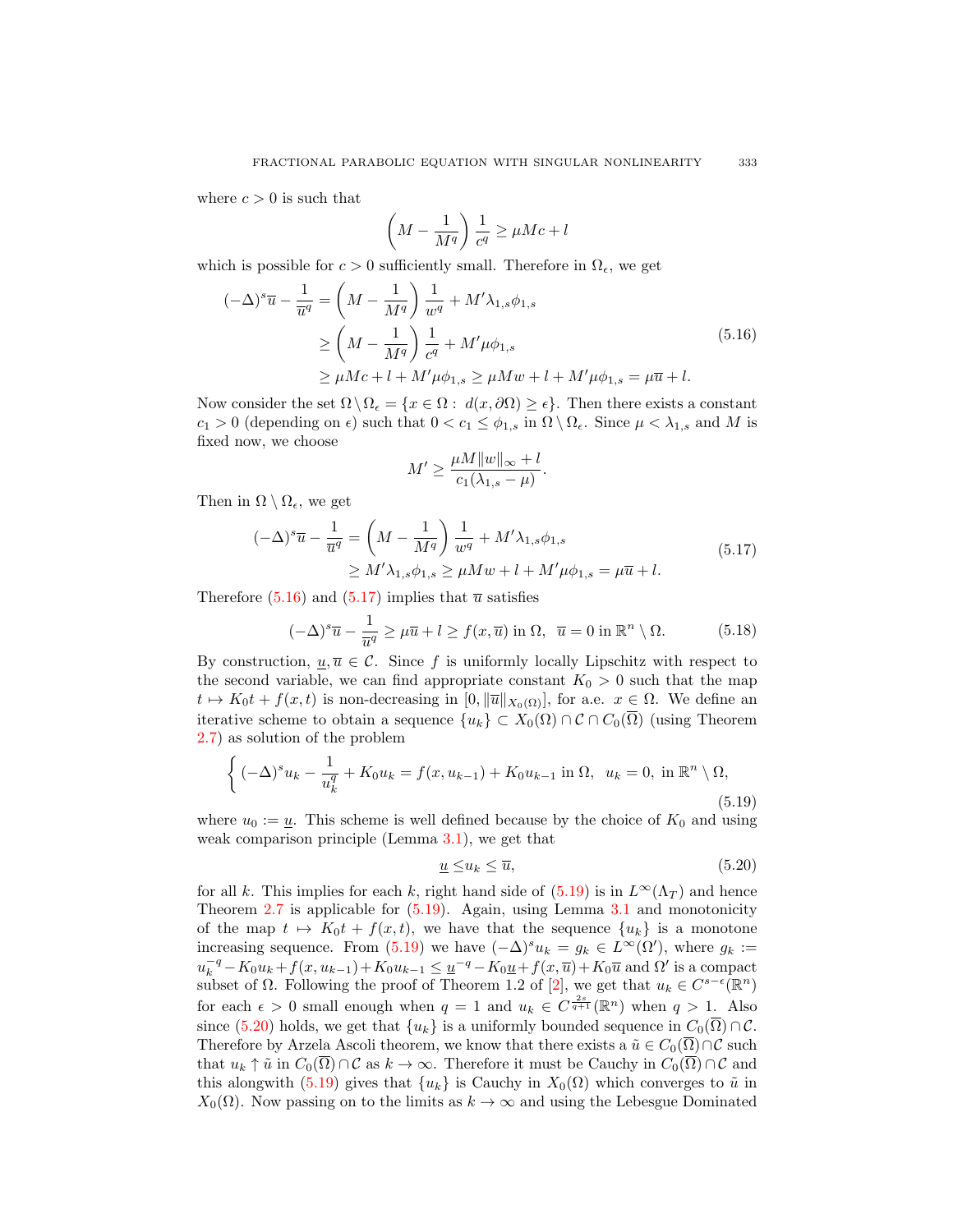where  $c > 0$  is such that

$$
\left(M - \frac{1}{M^q}\right) \frac{1}{c^q} \ge \mu Mc + l
$$

which is possible for  $c > 0$  sufficiently small. Therefore in  $\Omega_{\epsilon}$ , we get

$$
(-\Delta)^{s}\overline{u} - \frac{1}{\overline{u}^{q}} = \left(M - \frac{1}{M^{q}}\right)\frac{1}{w^{q}} + M'\lambda_{1,s}\phi_{1,s}
$$
  
\n
$$
\geq \left(M - \frac{1}{M^{q}}\right)\frac{1}{c^{q}} + M'\mu\phi_{1,s}
$$
  
\n
$$
\geq \mu Mc + l + M'\mu\phi_{1,s} \geq \mu M w + l + M'\mu\phi_{1,s} = \mu \overline{u} + l.
$$
\n(5.16)

Now consider the set  $\Omega \setminus \Omega_{\epsilon} = \{x \in \Omega : d(x, \partial \Omega) \geq \epsilon\}$ . Then there exists a constant  $c_1 > 0$  (depending on  $\epsilon$ ) such that  $0 < c_1 \leq \phi_{1,s}$  in  $\Omega \setminus \Omega_{\epsilon}$ . Since  $\mu < \lambda_{1,s}$  and M is fixed now, we choose

$$
M' \ge \frac{\mu M ||w||_{\infty} + l}{c_1(\lambda_{1,s} - \mu)}.
$$

Then in  $\Omega \setminus \Omega_{\epsilon}$ , we get

$$
(-\Delta)^{s}\overline{u} - \frac{1}{\overline{u}^{q}} = \left(M - \frac{1}{M^{q}}\right)\frac{1}{w^{q}} + M'\lambda_{1,s}\phi_{1,s}
$$
  
\n
$$
\geq M'\lambda_{1,s}\phi_{1,s} \geq \mu Mw + l + M'\mu\phi_{1,s} = \mu\overline{u} + l.
$$
\n(5.17)

Therefore  $(5.16)$  and  $(5.17)$  implies that  $\overline{u}$  satisfies

$$
(-\Delta)^s \overline{u} - \frac{1}{\overline{u}^q} \ge \mu \overline{u} + l \ge f(x, \overline{u}) \text{ in } \Omega, \ \ \overline{u} = 0 \text{ in } \mathbb{R}^n \setminus \Omega. \tag{5.18}
$$

By construction,  $u, \overline{u} \in \mathcal{C}$ . Since f is uniformly locally Lipschitz with respect to the second variable, we can find appropriate constant  $K_0 > 0$  such that the map  $t \mapsto K_0t + f(x, t)$  is non-decreasing in  $[0, ||\overline{u}||_{X_0(\Omega)}]$ , for a.e.  $x \in \Omega$ . We define an iterative scheme to obtain a sequence  $\{u_k\} \subset X_0(\Omega) \cap C \cap C_0(\overline{\Omega})$  (using Theorem 2.7) as solution of the problem

$$
\left\{ (-\Delta)^s u_k - \frac{1}{u_k^q} + K_0 u_k = f(x, u_{k-1}) + K_0 u_{k-1} \text{ in } \Omega, \ u_k = 0, \text{ in } \mathbb{R}^n \setminus \Omega, \right\}
$$
\n(5.19)

where  $u_0 := \underline{u}$ . This scheme is well defined because by the choice of  $K_0$  and using weak comparison principle (Lemma 3.1), we get that

$$
\underline{u} \le u_k \le \overline{u},\tag{5.20}
$$

for all k. This implies for each k, right hand side of  $(5.19)$  is in  $L^{\infty}(\Lambda_T)$  and hence Theorem  $2.7$  is applicable for  $(5.19)$ . Again, using Lemma  $3.1$  and monotonicity of the map  $t \mapsto K_0t + f(x, t)$ , we have that the sequence  ${u_k}$  is a monotone increasing sequence. From (5.19) we have  $(-\Delta)^s u_k = g_k \in L^{\infty}(\Omega)$ , where  $g_k :=$  $u_k^{-q} - K_0 u_k + f(x, u_{k-1}) + K_0 u_{k-1} \leq \underline{u}^{-q} - K_0 \underline{u} + f(x, \overline{u}) + K_0 \overline{u}$  and  $\Omega'$  is a compact subset of  $\Omega$ . Following the proof of Theorem 1.2 of [2], we get that  $u_k \in C^{s-\epsilon}(\mathbb{R}^n)$ for each  $\epsilon > 0$  small enough when  $q = 1$  and  $u_k \in C^{\frac{2s}{q+1}}(\mathbb{R}^n)$  when  $q > 1$ . Also since (5.20) holds, we get that  $\{u_k\}$  is a uniformly bounded sequence in  $C_0(\overline{\Omega}) \cap C$ . Therefore by Arzela Ascoli theorem, we know that there exists a  $\tilde{u} \in C_0(\overline{\Omega}) \cap C$  such that  $u_k \uparrow \tilde{u}$  in  $C_0(\overline{\Omega}) \cap \mathcal{C}$  as  $k \to \infty$ . Therefore it must be Cauchy in  $C_0(\overline{\Omega}) \cap \mathcal{C}$  and this alongwith (5.19) gives that  $\{u_k\}$  is Cauchy in  $X_0(\Omega)$  which converges to  $\tilde{u}$  in  $X_0(\Omega)$ . Now passing on to the limits as  $k \to \infty$  and using the Lebesgue Dominated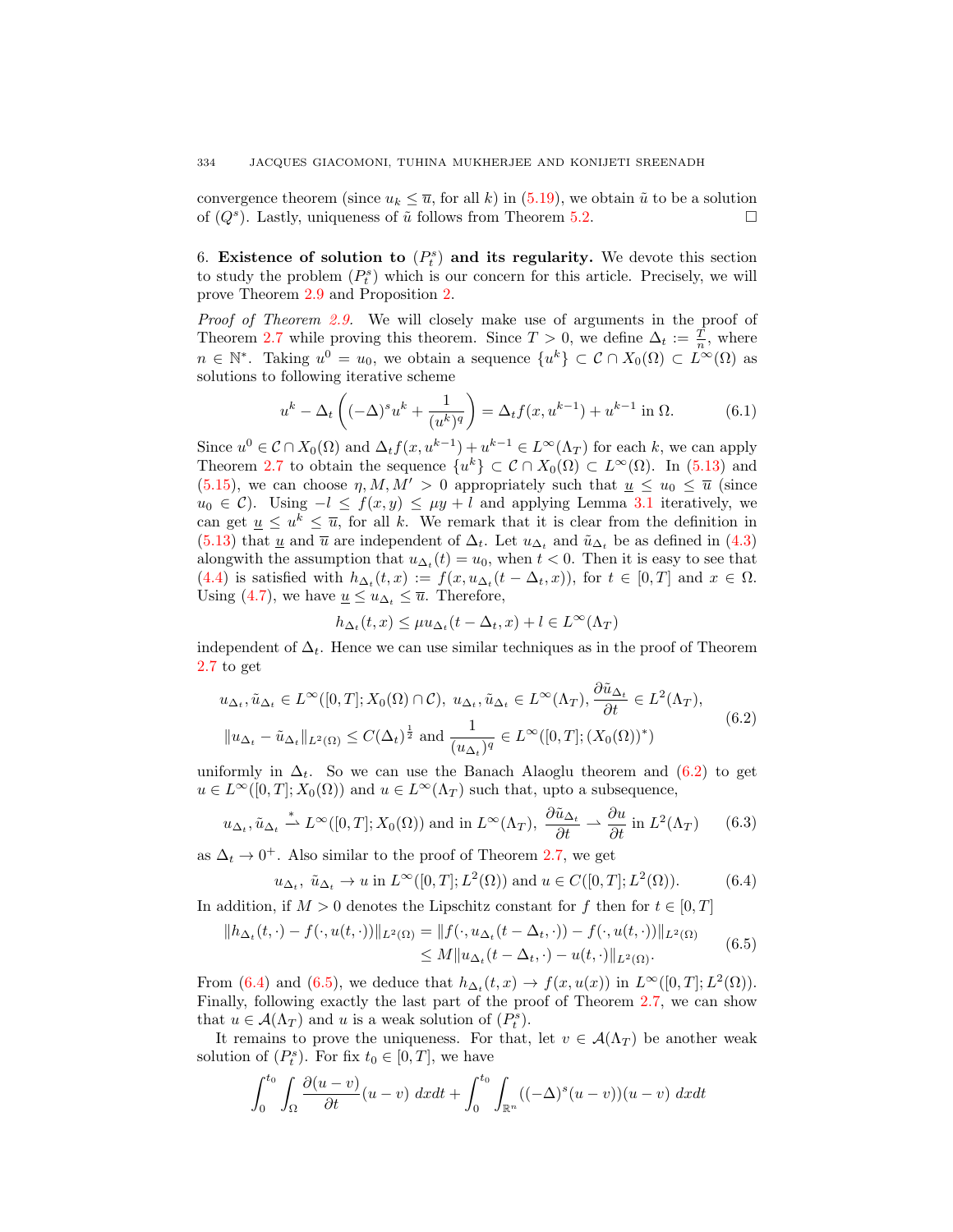convergence theorem (since  $u_k \leq \overline{u}$ , for all k) in (5.19), we obtain  $\tilde{u}$  to be a solution of  $(Q^s)$ . Lastly, uniqueness of  $\tilde{u}$  follows from Theorem 5.2.

6. Existence of solution to  $(P_t^s)$  and its regularity. We devote this section to study the problem  $(P_t^s)$  which is our concern for this article. Precisely, we will prove Theorem 2.9 and Proposition 2.

*Proof of Theorem 2.9.* We will closely make use of arguments in the proof of Theorem 2.7 while proving this theorem. Since  $T > 0$ , we define  $\Delta_t := \frac{T}{n}$ , where  $n \in \mathbb{N}^*$ . Taking  $u^0 = u_0$ , we obtain a sequence  $\{u^k\} \subset \mathcal{C} \cap X_0(\Omega) \subset L^{\infty}(\Omega)$  as solutions to following iterative scheme

$$
u^{k} - \Delta_{t} \left( (-\Delta)^{s} u^{k} + \frac{1}{(u^{k})^{q}} \right) = \Delta_{t} f(x, u^{k-1}) + u^{k-1} \text{ in } \Omega.
$$
 (6.1)

Since  $u^0 \in \mathcal{C} \cap X_0(\Omega)$  and  $\Delta_t f(x, u^{k-1}) + u^{k-1} \in L^{\infty}(\Lambda_T)$  for each k, we can apply Theorem 2.7 to obtain the sequence  $\{u^k\} \subset \mathcal{C} \cap X_0(\Omega) \subset L^{\infty}(\Omega)$ . In (5.13) and (5.15), we can choose  $\eta$ ,  $M$ ,  $M' > 0$  appropriately such that  $\underline{u} \leq u_0 \leq \overline{u}$  (since  $u_0 \in \mathcal{C}$ ). Using  $-l \leq f(x, y) \leq \mu y + l$  and applying Lemma 3.1 iteratively, we can get  $\underline{u} \leq u^k \leq \overline{u}$ , for all k. We remark that it is clear from the definition in (5.13) that  $\underline{u}$  and  $\overline{u}$  are independent of  $\Delta_t$ . Let  $u_{\Delta_t}$  and  $\tilde{u}_{\Delta_t}$  be as defined in (4.3) alongwith the assumption that  $u_{\Delta_t}(t) = u_0$ , when  $t < 0$ . Then it is easy to see that (4.4) is satisfied with  $h_{\Delta_t}(t,x) := f(x, u_{\Delta_t}(t - \Delta_t, x))$ , for  $t \in [0,T]$  and  $x \in \Omega$ . Using (4.7), we have  $\underline{u} \leq u_{\Delta_t} \leq \overline{u}$ . Therefore,

$$
h_{\Delta_t}(t,x)\leq \mu u_{\Delta_t}(t-\Delta_t,x)+l\in L^\infty(\Lambda_T)
$$

independent of  $\Delta_t$ . Hence we can use similar techniques as in the proof of Theorem 2.7 to get

$$
u_{\Delta_t}, \tilde{u}_{\Delta_t} \in L^{\infty}([0, T]; X_0(\Omega) \cap \mathcal{C}), u_{\Delta_t}, \tilde{u}_{\Delta_t} \in L^{\infty}(\Lambda_T), \frac{\partial \tilde{u}_{\Delta_t}}{\partial t} \in L^2(\Lambda_T),
$$
  

$$
\|u_{\Delta_t} - \tilde{u}_{\Delta_t}\|_{L^2(\Omega)} \le C(\Delta_t)^{\frac{1}{2}} \text{ and } \frac{1}{(u_{\Delta_t})^q} \in L^{\infty}([0, T]; (X_0(\Omega))^*)
$$
 (6.2)

uniformly in  $\Delta_t$ . So we can use the Banach Alaoglu theorem and (6.2) to get  $u \in L^{\infty}([0,T]; X_0(\Omega))$  and  $u \in L^{\infty}(\Lambda_T)$  such that, upto a subsequence,

$$
u_{\Delta_t}, \tilde{u}_{\Delta_t} \stackrel{*}{\rightharpoonup} L^{\infty}([0, T]; X_0(\Omega)) \text{ and in } L^{\infty}(\Lambda_T), \ \frac{\partial \tilde{u}_{\Delta_t}}{\partial t} \rightharpoonup \frac{\partial u}{\partial t} \text{ in } L^2(\Lambda_T) \qquad (6.3)
$$

as  $\Delta_t \to 0^+$ . Also similar to the proof of Theorem 2.7, we get

$$
u_{\Delta_t}, \tilde{u}_{\Delta_t} \to u \text{ in } L^{\infty}([0,T]; L^2(\Omega)) \text{ and } u \in C([0,T]; L^2(\Omega)).
$$
 (6.4)

In addition, if  $M > 0$  denotes the Lipschitz constant for f then for  $t \in [0, T]$ 

$$
||h_{\Delta_t}(t, \cdot) - f(\cdot, u(t, \cdot))||_{L^2(\Omega)} = ||f(\cdot, u_{\Delta_t}(t - \Delta_t, \cdot)) - f(\cdot, u(t, \cdot))||_{L^2(\Omega)}
$$
  
 
$$
\leq M ||u_{\Delta_t}(t - \Delta_t, \cdot) - u(t, \cdot)||_{L^2(\Omega)}.
$$
 (6.5)

From (6.4) and (6.5), we deduce that  $h_{\Delta_t}(t,x) \to f(x,u(x))$  in  $L^{\infty}([0,T];L^2(\Omega))$ . Finally, following exactly the last part of the proof of Theorem 2.7, we can show that  $u \in \mathcal{A}(\Lambda_T)$  and u is a weak solution of  $(P_t^s)$ .

It remains to prove the uniqueness. For that, let  $v \in \mathcal{A}(\Lambda_T)$  be another weak solution of  $(P_t^s)$ . For fix  $t_0 \in [0, T]$ , we have

$$
\int_0^{t_0} \int_{\Omega} \frac{\partial(u-v)}{\partial t}(u-v) \ dx dt + \int_0^{t_0} \int_{\mathbb{R}^n} ((-\Delta)^s (u-v))(u-v) \ dx dt
$$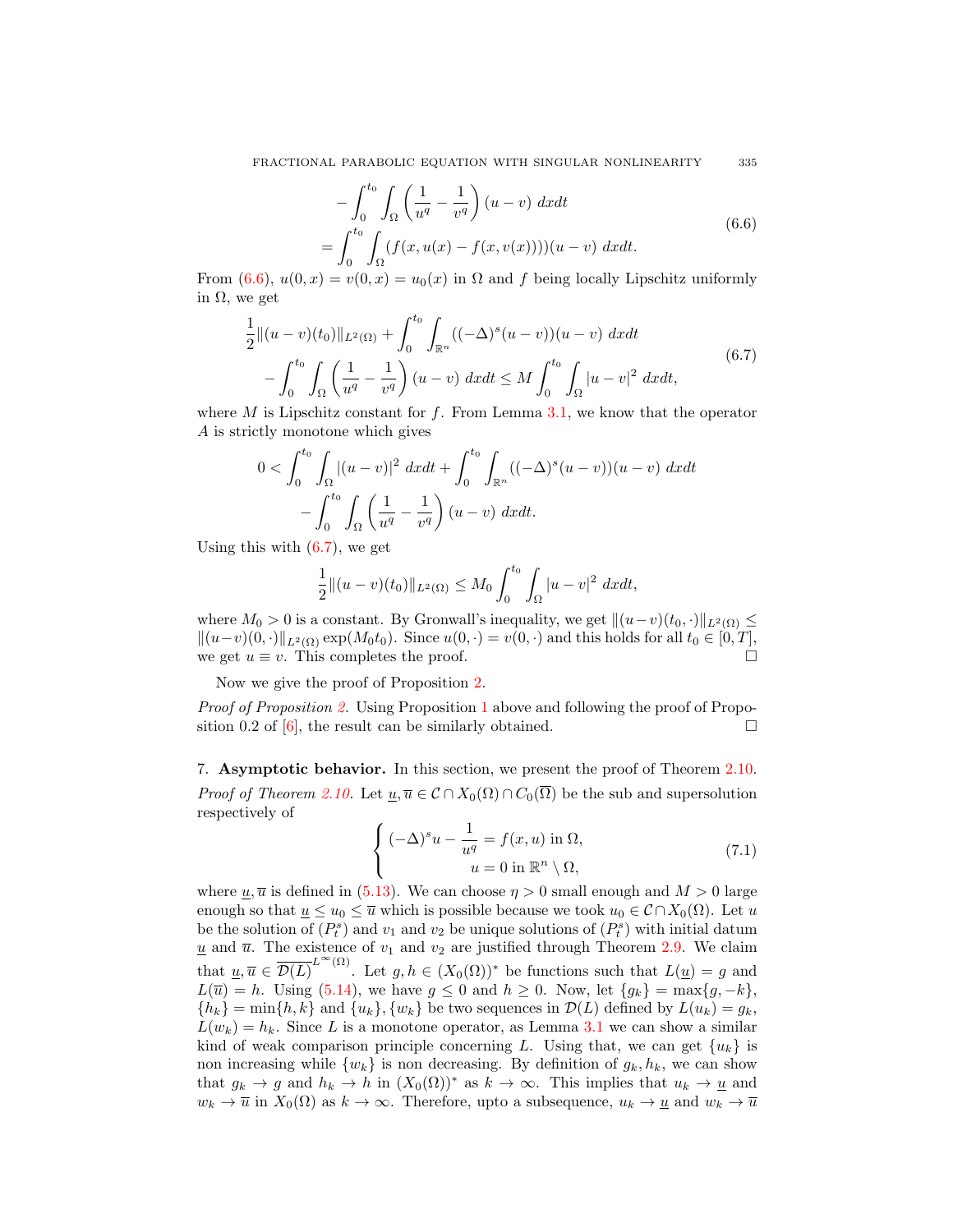$$
-\int_0^{t_0} \int_{\Omega} \left(\frac{1}{u^q} - \frac{1}{v^q}\right)(u - v) dx dt
$$
  
= 
$$
\int_0^{t_0} \int_{\Omega} (f(x, u(x) - f(x, v(x))))(u - v) dx dt.
$$
 (6.6)

From (6.6),  $u(0, x) = v(0, x) = u_0(x)$  in  $\Omega$  and f being locally Lipschitz uniformly in Ω, we get

$$
\frac{1}{2}||(u-v)(t_0)||_{L^2(\Omega)} + \int_0^{t_0} \int_{\mathbb{R}^n} ((-\Delta)^s (u-v))(u-v) \ dx dt \n- \int_0^{t_0} \int_{\Omega} \left(\frac{1}{u^q} - \frac{1}{v^q}\right) (u-v) \ dx dt \le M \int_0^{t_0} \int_{\Omega} |u-v|^2 \ dx dt,
$$
\n(6.7)

where  $M$  is Lipschitz constant for  $f$ . From Lemma 3.1, we know that the operator A is strictly monotone which gives

$$
0 < \int_0^{t_0} \int_{\Omega} |(u - v)|^2 \, dx dt + \int_0^{t_0} \int_{\mathbb{R}^n} ((-\Delta)^s (u - v))(u - v) \, dx dt - \int_0^{t_0} \int_{\Omega} \left(\frac{1}{u^q} - \frac{1}{v^q}\right) (u - v) \, dx dt.
$$

Using this with (6.7), we get

$$
\frac{1}{2}||(u-v)(t_0)||_{L^2(\Omega)} \le M_0 \int_0^{t_0} \int_{\Omega} |u-v|^2 \ dx dt,
$$

where  $M_0 > 0$  is a constant. By Gronwall's inequality, we get  $||(u-v)(t_0, \cdot)||_{L^2(\Omega)} \le$  $||(u-v)(0, \cdot)||_{L^2(\Omega)} \exp(M_0t_0)$ . Since  $u(0, \cdot) = v(0, \cdot)$  and this holds for all  $t_0 \in [0, T]$ , we get  $u \equiv v$ . This completes the proof.  $\Box$ 

Now we give the proof of Proposition 2.

*Proof of Proposition 2.* Using Proposition 1 above and following the proof of Proposition 0.2 of [6], the result can be similarly obtained.  $\square$ 

7. Asymptotic behavior. In this section, we present the proof of Theorem 2.10. *Proof of Theorem 2.10.* Let  $\underline{u}, \overline{u} \in C \cap X_0(\Omega) \cap C_0(\overline{\Omega})$  be the sub and supersolution respectively of

$$
\begin{cases}\n(-\Delta)^s u - \frac{1}{u^q} = f(x, u) \text{ in } \Omega, \\
u = 0 \text{ in } \mathbb{R}^n \setminus \Omega,\n\end{cases}
$$
\n(7.1)

where  $\underline{u}, \overline{u}$  is defined in (5.13). We can choose  $\eta > 0$  small enough and  $M > 0$  large enough so that  $\underline{u} \leq u_0 \leq \overline{u}$  which is possible because we took  $u_0 \in C \cap X_0(\Omega)$ . Let u be the solution of  $(P_t^s)$  and  $v_1$  and  $v_2$  be unique solutions of  $(P_t^s)$  with initial datum  $\underline{u}$  and  $\overline{u}$ . The existence of  $v_1$  and  $v_2$  are justified through Theorem 2.9. We claim that  $\underline{u}, \overline{u} \in \overline{\mathcal{D}(L)}^{L^{\infty}(\Omega)}$ . Let  $g, h \in (X_0(\Omega))^*$  be functions such that  $L(\underline{u}) = g$  and  $L(\overline{u}) = h$ . Using (5.14), we have  $g \le 0$  and  $h \ge 0$ . Now, let  $\{g_k\} = \max\{g, -k\},\$  ${h_k}$  = min{h, k} and {u<sub>k</sub>}, {w<sub>k</sub>} be two sequences in  $\mathcal{D}(L)$  defined by  $L(u_k) = g_k$ ,  $L(w_k) = h_k$ . Since L is a monotone operator, as Lemma 3.1 we can show a similar kind of weak comparison principle concerning L. Using that, we can get  $\{u_k\}$  is non increasing while  $\{w_k\}$  is non decreasing. By definition of  $g_k, h_k$ , we can show that  $g_k \to g$  and  $h_k \to h$  in  $(X_0(\Omega))^*$  as  $k \to \infty$ . This implies that  $u_k \to \underline{u}$  and  $w_k \to \overline{u}$  in  $X_0(\Omega)$  as  $k \to \infty$ . Therefore, upto a subsequence,  $u_k \to \underline{u}$  and  $w_k \to \overline{u}$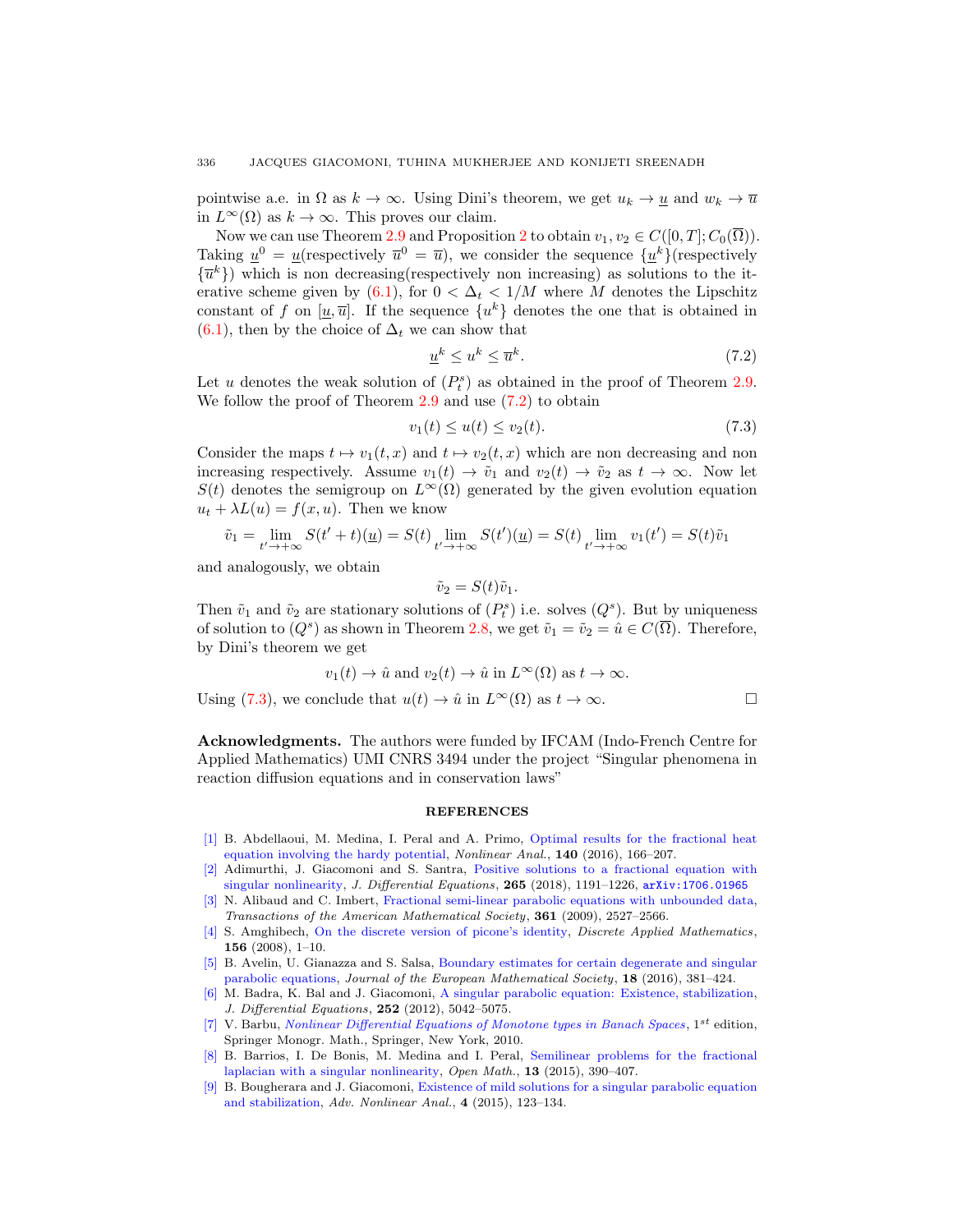pointwise a.e. in  $\Omega$  as  $k \to \infty$ . Using Dini's theorem, we get  $u_k \to u$  and  $w_k \to \overline{u}$ in  $L^{\infty}(\Omega)$  as  $k \to \infty$ . This proves our claim.

Now we can use Theorem 2.9 and Proposition 2 to obtain  $v_1, v_2 \in C([0, T]; C_0(\overline{\Omega}))$ . Taking  $\underline{u}^0 = \underline{u}$ (respectively  $\overline{u}^0 = \overline{u}$ ), we consider the sequence  $\{\underline{u}^k\}$ (respectively  $\{\overline{u}^k\}$ ) which is non decreasing(respectively non increasing) as solutions to the iterative scheme given by (6.1), for  $0 < \Delta_t < 1/M$  where M denotes the Lipschitz constant of f on  $[u,\overline{u}]$ . If the sequence  $\{u^k\}$  denotes the one that is obtained in (6.1), then by the choice of  $\Delta_t$  we can show that

$$
\underline{u}^k \le u^k \le \overline{u}^k. \tag{7.2}
$$

Let u denotes the weak solution of  $(P_t^s)$  as obtained in the proof of Theorem 2.9. We follow the proof of Theorem 2.9 and use  $(7.2)$  to obtain

$$
v_1(t) \le u(t) \le v_2(t). \tag{7.3}
$$

Consider the maps  $t \mapsto v_1(t, x)$  and  $t \mapsto v_2(t, x)$  which are non decreasing and non increasing respectively. Assume  $v_1(t) \to \tilde{v}_1$  and  $v_2(t) \to \tilde{v}_2$  as  $t \to \infty$ . Now let  $S(t)$  denotes the semigroup on  $L^{\infty}(\Omega)$  generated by the given evolution equation  $u_t + \lambda L(u) = f(x, u)$ . Then we know

$$
\tilde{v}_1 = \lim_{t' \to +\infty} S(t' + t)(\underline{u}) = S(t) \lim_{t' \to +\infty} S(t')(\underline{u}) = S(t) \lim_{t' \to +\infty} v_1(t') = S(t)\tilde{v}_1
$$

and analogously, we obtain

$$
\tilde{v}_2 = S(t)\tilde{v}_1.
$$

Then  $\tilde{v}_1$  and  $\tilde{v}_2$  are stationary solutions of  $(P_t^s)$  i.e. solves  $(Q^s)$ . But by uniqueness of solution to  $(Q^s)$  as shown in Theorem 2.8, we get  $\tilde{v}_1 = \tilde{v}_2 = \hat{u} \in C(\overline{\Omega})$ . Therefore, by Dini's theorem we get

$$
v_1(t) \to \hat{u} \text{ and } v_2(t) \to \hat{u} \text{ in } L^{\infty}(\Omega) \text{ as } t \to \infty.
$$
  
Using (7.3), we conclude that  $u(t) \to \hat{u}$  in  $L^{\infty}(\Omega)$  as  $t \to \infty$ .

Acknowledgments. The authors were funded by IFCAM (Indo-French Centre for Applied Mathematics) UMI CNRS 3494 under the project "Singular phenomena in reaction diffusion equations and in conservation laws"

## REFERENCES

- [1] B. Abdellaoui, M. Medina, I. Peral and A. Primo, Optimal results for the fractional heat equation involving the hardy potential, Nonlinear Anal., 140 (2016), 166–207.
- [2] Adimurthi, J. Giacomoni and S. Santra, Positive solutions to a fractional equation with singular nonlinearity, J. Differential Equations,  $265$  (2018), 1191-1226,  $arXiv:1706.01965$
- [3] N. Alibaud and C. Imbert, Fractional semi-linear parabolic equations with unbounded data, Transactions of the American Mathematical Society, 361 (2009), 2527–2566.
- [4] S. Amghibech, On the discrete version of picone's identity, Discrete Applied Mathematics, 156 (2008), 1–10.
- [5] B. Avelin, U. Gianazza and S. Salsa, Boundary estimates for certain degenerate and singular parabolic equations, Journal of the European Mathematical Society, 18 (2016), 381–424.
- [6] M. Badra, K. Bal and J. Giacomoni, A singular parabolic equation: Existence, stabilization, J. Differential Equations, 252 (2012), 5042–5075.
- [7] V. Barbu, Nonlinear Differential Equations of Monotone types in Banach Spaces,  $1^{st}$  edition, Springer Monogr. Math., Springer, New York, 2010.
- [8] B. Barrios, I. De Bonis, M. Medina and I. Peral, Semilinear problems for the fractional laplacian with a singular nonlinearity, Open Math., 13 (2015), 390–407.
- [9] B. Bougherara and J. Giacomoni, Existence of mild solutions for a singular parabolic equation and stabilization, Adv. Nonlinear Anal., 4 (2015), 123–134.